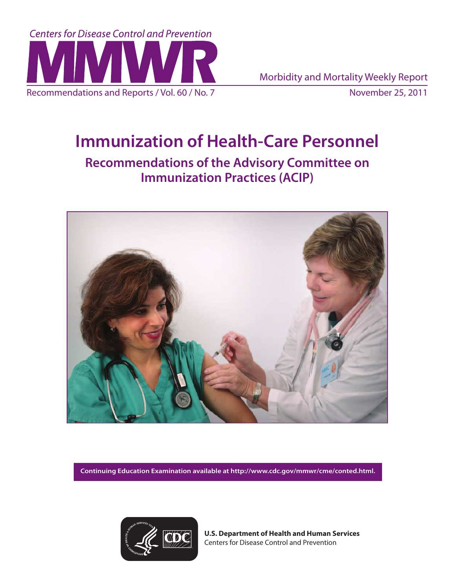

# **Immunization of Health-Care Personnel Recommendations of the Advisory Committee on**

**Immunization Practices (ACIP)**



**Continuing Education Examination available at [http://www.cdc.gov/mmwr/cme/conted.html.](http://www.cdc.gov/mmwr/cme/conted.html)** 



**U.S. Department of Health and Human Services** Centers for Disease Control and Prevention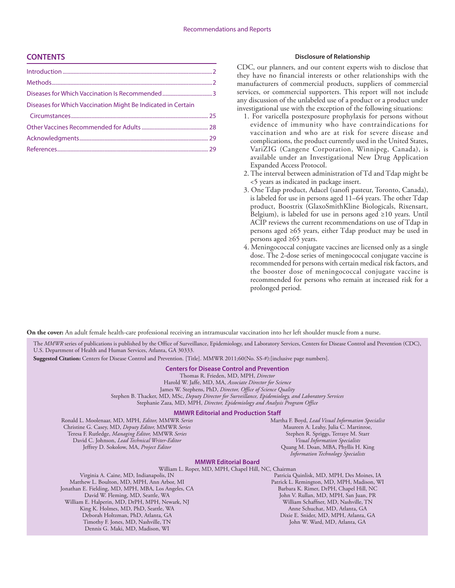#### **CONTENTS**

| Diseases for Which Vaccination Might Be Indicated in Certain |  |
|--------------------------------------------------------------|--|
|                                                              |  |
|                                                              |  |
|                                                              |  |
|                                                              |  |
|                                                              |  |

#### **Disclosure of Relationship**

CDC, our planners, and our content experts wish to disclose that they have no financial interests or other relationships with the manufacturers of commercial products, suppliers of commercial services, or commercial supporters. This report will not include any discussion of the unlabeled use of a product or a product under investigational use with the exception of the following situations:

- 1. For varicella postexposure prophylaxis for persons without evidence of immunity who have contraindications for vaccination and who are at risk for severe disease and complications, the product currently used in the United States, VariZIG (Cangene Corporation, Winnipeg, Canada), is available under an Investigational New Drug Application Expanded Access Protocol.
- 2. The interval between administration of Td and Tdap might be <5 years as indicated in package insert.
- 3. One Tdap product, Adacel (sanofi pasteur, Toronto, Canada), is labeled for use in persons aged 11–64 years. The other Tdap product, Boostrix (GlaxoSmithKline Biologicals, Rixensart, Belgium), is labeled for use in persons aged ≥10 years. Until ACIP reviews the current recommendations on use of Tdap in persons aged ≥65 years, either Tdap product may be used in persons aged ≥65 years.
- 4. Meningococcal conjugate vaccines are licensed only as a single dose. The 2-dose series of meningococcal conjugate vaccine is recommended for persons with certain medical risk factors, and the booster dose of meningococcal conjugate vaccine is recommended for persons who remain at increased risk for a prolonged period.

**On the cover:** An adult female health-care professional receiving an intramuscular vaccination into her left shoulder muscle from a nurse.

The *MMWR* series of publications is published by the Office of Surveillance, Epidemiology, and Laboratory Services, Centers for Disease Control and Prevention (CDC), U.S. Department of Health and Human Services, Atlanta, GA 30333.

**Suggested Citation:** Centers for Disease Control and Prevention. [Title]. MMWR 2011;60(No. SS-#):[inclusive page numbers].

#### **Centers for Disease Control and Prevention**

Thomas R. Frieden, MD, MPH, *Director* Harold W. Jaffe, MD, MA, *Associate Director for Science* James W. Stephens, PhD, *Director, Office of Science Quality* Stephen B. Thacker, MD, MSc, *Deputy Director for Surveillance, Epidemiology, and Laboratory Services* Stephanie Zaza, MD, MPH, *Director, Epidemiology and Analysis Program Office*

#### **MMWR Editorial and Production Staff**

Ronald L. Moolenaar, MD, MPH, *Editor,* MMWR *Series* Christine G. Casey, MD, *Deputy Editor,* MMWR *Series* Teresa F. Rutledge, *Managing Editor,* MMWR *Series* David C. Johnson, *Lead Technical Writer-Editor* Jeffrey D. Sokolow, MA, *Project Editor*

Martha F. Boyd, *Lead Visual Information Specialist* Maureen A. Leahy, Julia C. Martinroe, Stephen R. Spriggs, Terraye M. Starr *Visual Information Specialists* Quang M. Doan, MBA, Phyllis H. King *Information Technology Specialists*

#### **MMWR Editorial Board**

William L. Roper, MD, MPH, Chapel Hill, NC, Chairman Virginia A. Caine, MD, Indianapolis, IN Matthew L. Boulton, MD, MPH, Ann Arbor, MI Jonathan E. Fielding, MD, MPH, MBA, Los Angeles, CA David W. Fleming, MD, Seattle, WA William E. Halperin, MD, DrPH, MPH, Newark, NJ King K. Holmes, MD, PhD, Seattle, WA Deborah Holtzman, PhD, Atlanta, GA Timothy F. Jones, MD, Nashville, TN Dennis G. Maki, MD, Madison, WI

Patricia Quinlisk, MD, MPH, Des Moines, IA Patrick L. Remington, MD, MPH, Madison, WI Barbara K. Rimer, DrPH, Chapel Hill, NC John V. Rullan, MD, MPH, San Juan, PR William Schaffner, MD, Nashville, TN Anne Schuchat, MD, Atlanta, GA Dixie E. Snider, MD, MPH, Atlanta, GA John W. Ward, MD, Atlanta, GA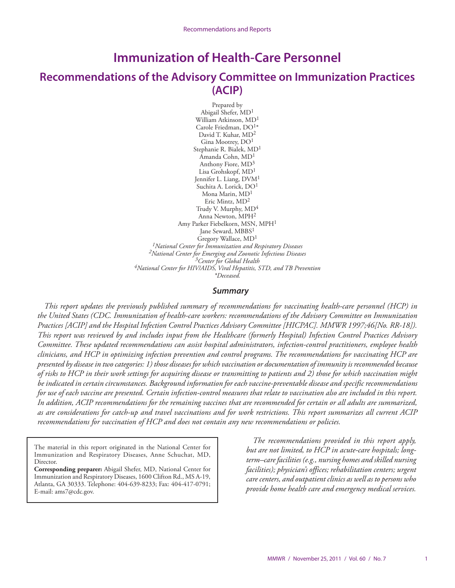## **Immunization of Health-Care Personnel**

## **Recommendations of the Advisory Committee on Immunization Practices (ACIP)**

Prepared by Abigail Shefer, MD1 William Atkinson, MD1 Carole Friedman, DO1\* David T. Kuhar, MD2 Gina Mootrey, DO<sup>1</sup> Stephanie R. Bialek, MD1 Amanda Cohn, MD1 Anthony Fiore, MD3 Lisa Grohskopf, MD1 Jennifer L. Liang, DVM1 Suchita A. Lorick, DO1 Mona Marin, MD1 Eric Mintz, MD2 Trudy V. Murphy, MD4 Anna Newton, MPH2 Amy Parker Fiebelkorn, MSN, MPH1 Jane Seward, MBBS<sup>1</sup> Gregory Wallace, MD1 *1National Center for Immunization and Respiratory Diseases 2National Center for Emerging and Zoonotic Infectious Diseases* <sup>4</sup>National Center for HIV/AIDS, Viral Hepatitis, STD, and TB Prevention *\*Deceased.*

#### *Summary*

*This report updates the previously published summary of recommendations for vaccinating health-care personnel (HCP) in the United States (CDC. Immunization of health-care workers: recommendations of the Advisory Committee on Immunization Practices [ACIP] and the Hospital Infection Control Practices Advisory Committee [HICPAC]. MMWR 1997;46[No. RR-18]). This report was reviewed by and includes input from the Healthcare (formerly Hospital) Infection Control Practices Advisory Committee. These updated recommendations can assist hospital administrators, infection-control practitioners, employee health clinicians, and HCP in optimizing infection prevention and control programs. The recommendations for vaccinating HCP are presented by disease in two categories: 1) those diseases for which vaccination or documentation of immunity is recommended because of risks to HCP in their work settings for acquiring disease or transmitting to patients and 2) those for which vaccination might be indicated in certain circumstances. Background information for each vaccine-preventable disease and specific recommendations for use of each vaccine are presented. Certain infection-control measures that relate to vaccination also are included in this report. In addition, ACIP recommendations for the remaining vaccines that are recommended for certain or all adults are summarized, as are considerations for catch-up and travel vaccinations and for work restrictions. This report summarizes all current ACIP recommendations for vaccination of HCP and does not contain any new recommendations or policies.*

The material in this report originated in the National Center for Immunization and Respiratory Diseases, Anne Schuchat, MD, Director.

**Corresponding preparer:** Abigail Shefer, MD, National Center for Immunization and Respiratory Diseases, 1600 Clifton Rd., MS A-19, Atlanta, GA 30333. Telephone: 404-639-8233; Fax: 404-417-0791; E-mail: [ams7@cdc.gov](mailto:ams7%40cdc.gov?subject=).

*The recommendations provided in this report apply, but are not limited, to HCP in acute-care hospitals; longterm–care facilities (e.g., nursing homes and skilled nursing facilities); physician's offices; rehabilitation centers; urgent care centers, and outpatient clinics as well as to persons who provide home health care and emergency medical services.*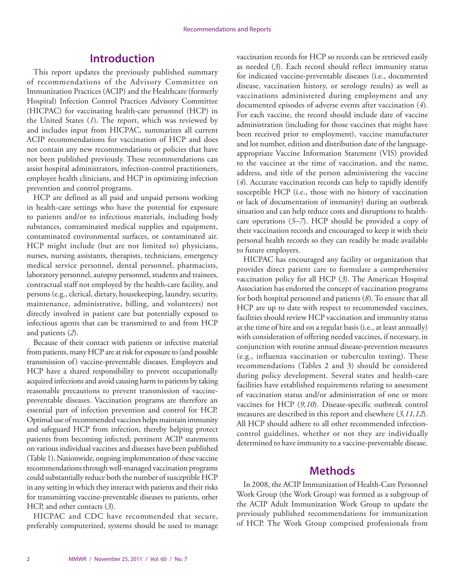## **Introduction**

<span id="page-3-0"></span>This report updates the previously published summary of recommendations of the Advisory Committee on Immunization Practices (ACIP) and the Healthcare (formerly Hospital) Infection Control Practices Advisory Committee (HICPAC) for vaccinating health-care personnel (HCP) in the United States (*1*). The report, which was reviewed by and includes input from HICPAC, summarizes all current ACIP recommendations for vaccination of HCP and does not contain any new recommendations or policies that have not been published previously. These recommendations can assist hospital administrators, infection-control practitioners, employee health clinicians, and HCP in optimizing infection prevention and control programs.

HCP are defined as all paid and unpaid persons working in health-care settings who have the potential for exposure to patients and/or to infectious materials, including body substances, contaminated medical supplies and equipment, contaminated environmental surfaces, or contaminated air. HCP might include (but are not limited to) physicians, nurses, nursing assistants, therapists, technicians, emergency medical service personnel, dental personnel, pharmacists, laboratory personnel, autopsy personnel, students and trainees, contractual staff not employed by the health-care facility, and persons (e.g., clerical, dietary, housekeeping, laundry, security, maintenance, administrative, billing, and volunteers) not directly involved in patient care but potentially exposed to infectious agents that can be transmitted to and from HCP and patients (*2*).

Because of their contact with patients or infective material from patients, many HCP are at risk for exposure to (and possible transmission of) vaccine-preventable diseases. Employers and HCP have a shared responsibility to prevent occupationally acquired infections and avoid causing harm to patients by taking reasonable precautions to prevent transmission of vaccinepreventable diseases. Vaccination programs are therefore an essential part of infection prevention and control for HCP. Optimal use of recommended vaccines helps maintain immunity and safeguard HCP from infection, thereby helping protect patients from becoming infected; pertinent ACIP statements on various individual vaccines and diseases have been published (Table 1). Nationwide, ongoing implementation of these vaccine recommendations through well-managed vaccination programs could substantially reduce both the number of susceptible HCP in any setting in which they interact with patients and their risks for transmitting vaccine-preventable diseases to patients, other HCP, and other contacts (*3*).

HICPAC and CDC have recommended that secure, preferably computerized, systems should be used to manage vaccination records for HCP so records can be retrieved easily as needed (*3*). Each record should reflect immunity status for indicated vaccine-preventable diseases (i.e., documented disease, vaccination history, or serology results) as well as vaccinations administered during employment and any documented episodes of adverse events after vaccination (*4*). For each vaccine, the record should include date of vaccine administration (including for those vaccines that might have been received prior to employment), vaccine manufacturer and lot number, edition and distribution date of the languageappropriate Vaccine Information Statement (VIS) provided to the vaccinee at the time of vaccination, and the name, address, and title of the person administering the vaccine (*4*). Accurate vaccination records can help to rapidly identify susceptible HCP (i.e., those with no history of vaccination or lack of documentation of immunity) during an outbreak situation and can help reduce costs and disruptions to healthcare operations (*5–7*). HCP should be provided a copy of their vaccination records and encouraged to keep it with their personal health records so they can readily be made available to future employers.

HICPAC has encouraged any facility or organization that provides direct patient care to formulate a comprehensive vaccination policy for all HCP (*3*). The American Hospital Association has endorsed the concept of vaccination programs for both hospital personnel and patients (*8*). To ensure that all HCP are up to date with respect to recommended vaccines, facilities should review HCP vaccination and immunity status at the time of hire and on a regular basis (i.e., at least annually) with consideration of offering needed vaccines, if necessary, in conjunction with routine annual disease-prevention measures (e.g., influenza vaccination or tuberculin testing). These recommendations (Tables 2 and 3) should be considered during policy development. Several states and health-care facilities have established requirements relating to assessment of vaccination status and/or administration of one or more vaccines for HCP (*9,10*). Disease-specific outbreak control measures are described in this report and elsewhere (*3,11,12*). All HCP should adhere to all other recommended infectioncontrol guidelines, whether or not they are individually determined to have immunity to a vaccine-preventable disease.

## **Methods**

In 2008, the ACIP Immunization of Health-Care Personnel Work Group (the Work Group) was formed as a subgroup of the ACIP Adult Immunization Work Group to update the previously published recommendations for immunization of HCP. The Work Group comprised professionals from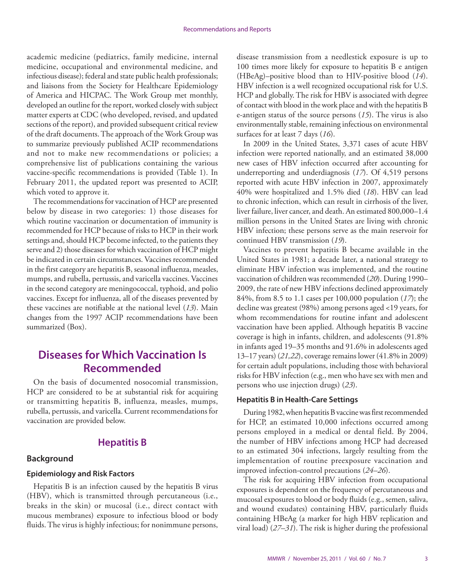<span id="page-4-0"></span>academic medicine (pediatrics, family medicine, internal medicine, occupational and environmental medicine, and infectious disease); federal and state public health professionals; and liaisons from the Society for Healthcare Epidemiology of America and HICPAC. The Work Group met monthly, developed an outline for the report, worked closely with subject matter experts at CDC (who developed, revised, and updated sections of the report), and provided subsequent critical review of the draft documents. The approach of the Work Group was to summarize previously published ACIP recommendations and not to make new recommendations or policies; a comprehensive list of publications containing the various vaccine-specific recommendations is provided (Table 1). In February 2011, the updated report was presented to ACIP, which voted to approve it.

The recommendations for vaccination of HCP are presented below by disease in two categories: 1) those diseases for which routine vaccination or documentation of immunity is recommended for HCP because of risks to HCP in their work settings and, should HCP become infected, to the patients they serve and 2) those diseases for which vaccination of HCP might be indicated in certain circumstances. Vaccines recommended in the first category are hepatitis B, seasonal influenza, measles, mumps, and rubella, pertussis, and varicella vaccines. Vaccines in the second category are meningococcal, typhoid, and polio vaccines. Except for influenza, all of the diseases prevented by these vaccines are notifiable at the national level (*13*). Main changes from the 1997 ACIP recommendations have been summarized (Box).

## **Diseases for Which Vaccination Is Recommended**

On the basis of documented nosocomial transmission, HCP are considered to be at substantial risk for acquiring or transmitting hepatitis B, influenza, measles, mumps, rubella, pertussis, and varicella. Current recommendations for vaccination are provided below.

## **Hepatitis B**

## **Background**

#### **Epidemiology and Risk Factors**

Hepatitis B is an infection caused by the hepatitis B virus (HBV), which is transmitted through percutaneous (i.e., breaks in the skin) or mucosal (i.e., direct contact with mucous membranes) exposure to infectious blood or body fluids. The virus is highly infectious; for nonimmune persons, disease transmission from a needlestick exposure is up to 100 times more likely for exposure to hepatitis B e antigen (HBeAg)–positive blood than to HIV-positive blood (*14*). HBV infection is a well recognized occupational risk for U.S. HCP and globally. The risk for HBV is associated with degree of contact with blood in the work place and with the hepatitis B e-antigen status of the source persons (*15*). The virus is also environmentally stable, remaining infectious on environmental surfaces for at least 7 days (*16*).

In 2009 in the United States, 3,371 cases of acute HBV infection were reported nationally, and an estimated 38,000 new cases of HBV infection occurred after accounting for underreporting and underdiagnosis (*17*). Of 4,519 persons reported with acute HBV infection in 2007, approximately 40% were hospitalized and 1.5% died (*18*). HBV can lead to chronic infection, which can result in cirrhosis of the liver, liver failure, liver cancer, and death. An estimated 800,000–1.4 million persons in the United States are living with chronic HBV infection; these persons serve as the main reservoir for continued HBV transmission (*19*).

Vaccines to prevent hepatitis B became available in the United States in 1981; a decade later, a national strategy to eliminate HBV infection was implemented, and the routine vaccination of children was recommended (*20*). During 1990– 2009, the rate of new HBV infections declined approximately 84%, from 8.5 to 1.1 cases per 100,000 population (*17*); the decline was greatest (98%) among persons aged <19 years, for whom recommendations for routine infant and adolescent vaccination have been applied. Although hepatitis B vaccine coverage is high in infants, children, and adolescents (91.8% in infants aged 19–35 months and 91.6% in adolescents aged 13–17 years) (*21,22*), coverage remains lower (41.8% in 2009) for certain adult populations, including those with behavioral risks for HBV infection (e.g., men who have sex with men and persons who use injection drugs) (*23*).

#### **Hepatitis B in Health-Care Settings**

During 1982, when hepatitis B vaccine was first recommended for HCP, an estimated 10,000 infections occurred among persons employed in a medical or dental field. By 2004, the number of HBV infections among HCP had decreased to an estimated 304 infections, largely resulting from the implementation of routine preexposure vaccination and improved infection-control precautions (*24–26*).

The risk for acquiring HBV infection from occupational exposures is dependent on the frequency of percutaneous and mucosal exposures to blood or body fluids (e.g., semen, saliva, and wound exudates) containing HBV, particularly fluids containing HBeAg (a marker for high HBV replication and viral load) (*27–31*). The risk is higher during the professional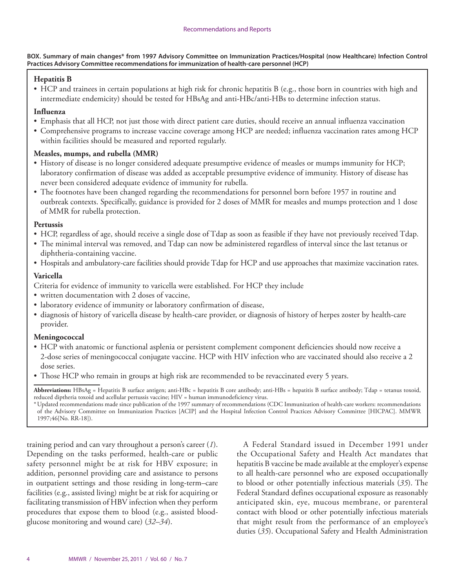#### **BOX. Summary of main changes\* from 1997 Advisory Committee on Immunization Practices/Hospital (now Healthcare) Infection Control Practices Advisory Committee recommendations for immunization of health-care personnel (HCP)**

## **Hepatitis B**

• HCP and trainees in certain populations at high risk for chronic hepatitis B (e.g., those born in countries with high and intermediate endemicity) should be tested for HBsAg and anti-HBc/anti-HBs to determine infection status.

## **Influenza**

- • Emphasis that all HCP, not just those with direct patient care duties, should receive an annual influenza vaccination
- • Comprehensive programs to increase vaccine coverage among HCP are needed; influenza vaccination rates among HCP within facilities should be measured and reported regularly.

## **Measles, mumps, and rubella (MMR)**

- • History of disease is no longer considered adequate presumptive evidence of measles or mumps immunity for HCP; laboratory confirmation of disease was added as acceptable presumptive evidence of immunity. History of disease has never been considered adequate evidence of immunity for rubella.
- The footnotes have been changed regarding the recommendations for personnel born before 1957 in routine and outbreak contexts. Specifically, guidance is provided for 2 doses of MMR for measles and mumps protection and 1 dose of MMR for rubella protection.

## **Pertussis**

- HCP, regardless of age, should receive a single dose of Tdap as soon as feasible if they have not previously received Tdap.
- • The minimal interval was removed, and Tdap can now be administered regardless of interval since the last tetanus or diphtheria-containing vaccine.
- • Hospitals and ambulatory-care facilities should provide Tdap for HCP and use approaches that maximize vaccination rates.

## **Varicella**

Criteria for evidence of immunity to varicella were established. For HCP they include

- written documentation with 2 doses of vaccine,
- laboratory evidence of immunity or laboratory confirmation of disease,
- • diagnosis of history of varicella disease by health-care provider, or diagnosis of history of herpes zoster by health-care provider.

## **Meningococcal**

- • HCP with anatomic or functional asplenia or persistent complement component deficiencies should now receive a 2-dose series of meningococcal conjugate vaccine. HCP with HIV infection who are vaccinated should also receive a 2 dose series.
- Those HCP who remain in groups at high risk are recommended to be revaccinated every 5 years.

**Abbreviations:** HBsAg = Hepatitis B surface antigen; anti-HBc = hepatitis B core antibody; anti-HBs = hepatitis B surface antibody; Tdap = tetanus toxoid, reduced diptheria toxoid and acellular pertussis vaccine; HIV = human immunodeficiency virus.

\*Updated recommendations made since publication of the 1997 summary of recommendations (CDC Immunization of health-care workers: recommendations of the Advisory Committee on Immunization Practices [ACIP] and the Hospital Infection Control Practices Advisory Committee [HICPAC]. MMWR 1997;46[No. RR-18]).

training period and can vary throughout a person's career (*1*). Depending on the tasks performed, health-care or public safety personnel might be at risk for HBV exposure; in addition, personnel providing care and assistance to persons in outpatient settings and those residing in long-term–care facilities (e.g., assisted living) might be at risk for acquiring or facilitating transmission of HBV infection when they perform procedures that expose them to blood (e.g., assisted bloodglucose monitoring and wound care) (*32–34*).

A Federal Standard issued in December 1991 under the Occupational Safety and Health Act mandates that hepatitis B vaccine be made available at the employer's expense to all health-care personnel who are exposed occupationally to blood or other potentially infectious materials (*35*). The Federal Standard defines occupational exposure as reasonably anticipated skin, eye, mucous membrane, or parenteral contact with blood or other potentially infectious materials that might result from the performance of an employee's duties (*35*). Occupational Safety and Health Administration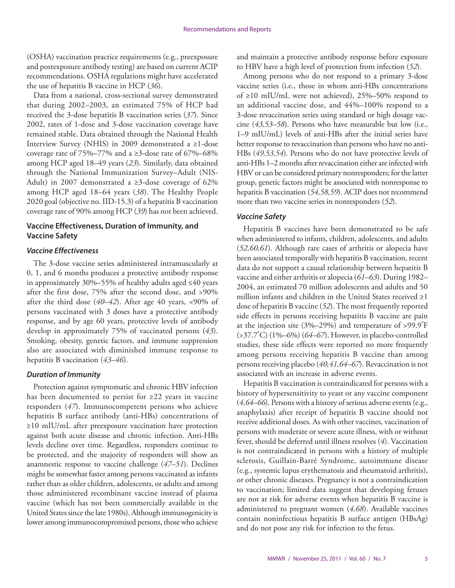(OSHA) vaccination practice requirements (e.g., preexposure and postexposure antibody testing) are based on current ACIP recommendations. OSHA regulations might have accelerated the use of hepatitis B vaccine in HCP (*36*).

Data from a national, cross-sectional survey demonstrated that during 2002–2003, an estimated 75% of HCP had received the 3-dose hepatitis B vaccination series (*37*). Since 2002, rates of 1-dose and 3-dose vaccination coverage have remained stable. Data obtained through the National Health Interview Survey (NHIS) in 2009 demonstrated a ≥1-dose coverage rate of 75%–77% and a ≥3-dose rate of  $67\%$ –68% among HCP aged 18–49 years (*23*). Similarly, data obtained through the National Immunization Survey–Adult (NIS-Adult) in 2007 demonstrated a ≥3-dose coverage of  $62\%$ among HCP aged 18–64 years (*38*). The Healthy People 2020 goal (objective no. IID-15.3) of a hepatitis B vaccination coverage rate of 90% among HCP (*39*) has not been achieved.

## **Vaccine Effectiveness, Duration of Immunity, and Vaccine Safety**

#### *Vaccine Effectiveness*

The 3-dose vaccine series administered intramuscularly at 0, 1, and 6 months produces a protective antibody response in approximately 30%–55% of healthy adults aged ≤40 years after the first dose, 75% after the second dose, and >90% after the third dose (*40–42*). After age 40 years, <90% of persons vaccinated with 3 doses have a protective antibody response, and by age 60 years, protective levels of antibody develop in approximately 75% of vaccinated persons (*43*). Smoking, obesity, genetic factors, and immune suppression also are associated with diminished immune response to hepatitis B vaccination (*43–46*).

#### *Duration of Immunity*

Protection against symptomatic and chronic HBV infection has been documented to persist for ≥22 years in vaccine responders (*47*). Immunocompetent persons who achieve hepatitis B surface antibody (anti-HBs) concentrations of ≥10 mIU/mL after preexposure vaccination have protection against both acute disease and chronic infection. Anti-HBs levels decline over time. Regardless, responders continue to be protected, and the majority of responders will show an anamnestic response to vaccine challenge (*47–51*). Declines might be somewhat faster among persons vaccinated as infants rather than as older children, adolescents, or adults and among those administered recombinant vaccine instead of plasma vaccine (which has not been commercially available in the United States since the late 1980s). Although immunogenicity is lower among immunocompromised persons, those who achieve

and maintain a protective antibody response before exposure to HBV have a high level of protection from infection (*52*).

Among persons who do not respond to a primary 3-dose vaccine series (i.e., those in whom anti-HBs concentrations of ≥10 mIU/mL were not achieved), 25%–50% respond to an additional vaccine dose, and 44%–100% respond to a 3-dose revaccination series using standard or high dosage vaccine (*43,53–58*). Persons who have measurable but low (i.e., 1–9 mIU/mL) levels of anti-HBs after the initial series have better response to revaccination than persons who have no anti-HBs (*49,53,54*). Persons who do not have protective levels of anti-HBs 1–2 months after revaccination either are infected with HBV or can be considered primary nonresponders; for the latter group, genetic factors might be associated with nonresponse to hepatitis B vaccination (*54,58,59*). ACIP does not recommend more than two vaccine series in nonresponders (*52*).

#### *Vaccine Safety*

Hepatitis B vaccines have been demonstrated to be safe when administered to infants, children, adolescents, and adults (*52,60,61*). Although rare cases of arthritis or alopecia have been associated temporally with hepatitis B vaccination, recent data do not support a causal relationship between hepatitis B vaccine and either arthritis or alopecia (*61–63*). During 1982– 2004, an estimated 70 million adolescents and adults and 50 million infants and children in the United States received ≥1 dose of hepatitis B vaccine (*52*). The most frequently reported side effects in persons receiving hepatitis B vaccine are pain at the injection site (3%–29%) and temperature of >99.9° F (>37.7° C) (1%–6%) (*64–67*). However, in placebo-controlled studies, these side effects were reported no more frequently among persons receiving hepatitis B vaccine than among persons receiving placebo (*40,41,64–67*). Revaccination is not associated with an increase in adverse events.

Hepatitis B vaccination is contraindicated for persons with a history of hypersensitivity to yeast or any vaccine component (*4,64–66*). Persons with a history of serious adverse events (e.g., anaphylaxis) after receipt of hepatitis B vaccine should not receive additional doses. As with other vaccines, vaccination of persons with moderate or severe acute illness, with or without fever, should be deferred until illness resolves (*4*). Vaccination is not contraindicated in persons with a history of multiple sclerosis, Guillain-Barré Syndrome, autoimmune disease (e.g., systemic lupus erythematosis and rheumatoid arthritis), or other chronic diseases. Pregnancy is not a contraindication to vaccination; limited data suggest that developing fetuses are not at risk for adverse events when hepatitis B vaccine is administered to pregnant women (*4,68*). Available vaccines contain noninfectious hepatitis B surface antigen (HBsAg) and do not pose any risk for infection to the fetus.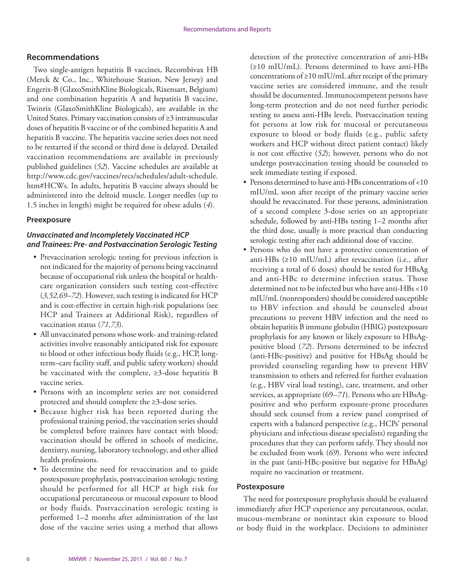### **Recommendations**

Two single-antigen hepatitis B vaccines, Recombivax HB (Merck & Co., Inc., Whitehouse Station, New Jersey) and Engerix-B (GlaxoSmithKline Biologicals, Rixensart, Belgium) and one combination hepatitis A and hepatitis B vaccine, Twinrix (GlaxoSmithKline Biologicals), are available in the United States. Primary vaccination consists of ≥3 intramuscular doses of hepatitis B vaccine or of the combined hepatitis A and hepatitis B vaccine. The hepatitis vaccine series does not need to be restarted if the second or third dose is delayed. Detailed vaccination recommendations are available in previously published guidelines (*52*). Vaccine schedules are available at [http://www.cdc.gov/vaccines/recs/schedules/adult-schedule.](http://www.cdc.gov/vaccines/recs/schedules/adult-schedule.htm#HCWs) [htm#HCWs.](http://www.cdc.gov/vaccines/recs/schedules/adult-schedule.htm#HCWs) In adults, hepatitis B vaccine always should be administered into the deltoid muscle. Longer needles (up to 1.5 inches in length) might be required for obese adults (*4*).

#### **Preexposure**

## *Unvaccinated and Incompletely Vaccinated HCP and Trainees: Pre- and Postvaccination Serologic Testing*

- Prevaccination serologic testing for previous infection is not indicated for the majority of persons being vaccinated because of occupational risk unless the hospital or healthcare organization considers such testing cost-effective (*3,52,69–72*). However, such testing is indicated for HCP and is cost-effective in certain high-risk populations (see HCP and Trainees at Additional Risk), regardless of vaccination status (*71,73*).
- All unvaccinated persons whose work- and training-related activities involve reasonably anticipated risk for exposure to blood or other infectious body fluids (e.g., HCP, longterm–care facility staff, and public safety workers) should be vaccinated with the complete, ≥3-dose hepatitis B vaccine series.
- • Persons with an incomplete series are not considered protected and should complete the ≥3-dose series.
- • Because higher risk has been reported during the professional training period, the vaccination series should be completed before trainees have contact with blood; vaccination should be offered in schools of medicine, dentistry, nursing, laboratory technology, and other allied health professions.
- • To determine the need for revaccination and to guide postexposure prophylaxis, postvaccination serologic testing should be performed for all HCP at high risk for occupational percutaneous or mucosal exposure to blood or body fluids. Postvaccination serologic testing is performed 1–2 months after administration of the last dose of the vaccine series using a method that allows

detection of the protective concentration of anti-HBs  $(\geq 10 \text{ mIU/mL})$ . Persons determined to have anti-HBs concentrations of  $\geq 10$  mIU/mL after receipt of the primary vaccine series are considered immune, and the result should be documented. Immunocompetent persons have long-term protection and do not need further periodic testing to assess anti-HBs levels. Postvaccination testing for persons at low risk for mucosal or percutaneous exposure to blood or body fluids (e.g., public safety workers and HCP without direct patient contact) likely is not cost effective (*52*); however, persons who do not undergo postvaccination testing should be counseled to seek immediate testing if exposed.

- Persons determined to have anti-HBs concentrations of <10 mIU/mL soon after receipt of the primary vaccine series should be revaccinated. For these persons, administration of a second complete 3-dose series on an appropriate schedule, followed by anti-HBs testing 1–2 months after the third dose, usually is more practical than conducting serologic testing after each additional dose of vaccine.
- Persons who do not have a protective concentration of anti-HBs (≥10 mIU/mL) after revaccination (i.e., after receiving a total of 6 doses) should be tested for HBsAg and anti-HBc to determine infection status. Those determined not to be infected but who have anti-HBs <10 mIU/mL (nonresponders) should be considered susceptible to HBV infection and should be counseled about precautions to prevent HBV infection and the need to obtain hepatitis B immune globulin (HBIG) postexposure prophylaxis for any known or likely exposure to HBsAgpositive blood (*72*). Persons determined to be infected (anti-HBc-positive) and positive for HBsAg should be provided counseling regarding how to prevent HBV transmission to others and referred for further evaluation (e.g., HBV viral load testing), care, treatment, and other services, as appropriate (69–*71*). Persons who are HBsAgpositive and who perform exposure-prone procedures should seek counsel from a review panel comprised of experts with a balanced perspective (e.g., HCPs' personal physicians and infectious disease specialists) regarding the procedures that they can perform safely. They should not be excluded from work (*69*). Persons who were infected in the past (anti-HBc-positive but negative for HBsAg) require no vaccination or treatment.

#### **Postexposure**

The need for postexposure prophylaxis should be evaluated immediately after HCP experience any percutaneous, ocular, mucous-membrane or nonintact skin exposure to blood or body fluid in the workplace. Decisions to administer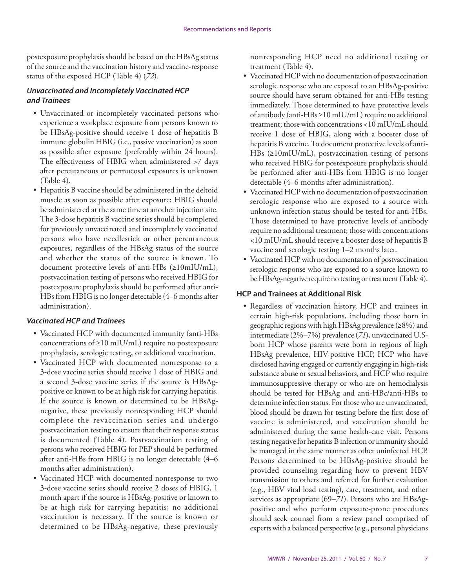postexposure prophylaxis should be based on the HBsAg status of the source and the vaccination history and vaccine-response status of the exposed HCP (Table 4) (*72*).

## *Unvaccinated and Incompletely Vaccinated HCP and Trainees*

- Unvaccinated or incompletely vaccinated persons who experience a workplace exposure from persons known to be HBsAg-positive should receive 1 dose of hepatitis B immune globulin HBIG (i.e., passive vaccination) as soon as possible after exposure (preferably within 24 hours). The effectiveness of HBIG when administered >7 days after percutaneous or permucosal exposures is unknown (Table 4).
- Hepatitis B vaccine should be administered in the deltoid muscle as soon as possible after exposure; HBIG should be administered at the same time at another injection site. The 3-dose hepatitis B vaccine series should be completed for previously unvaccinated and incompletely vaccinated persons who have needlestick or other percutaneous exposures, regardless of the HBsAg status of the source and whether the status of the source is known. To document protective levels of anti-HBs (≥10mIU/mL), postvaccination testing of persons who received HBIG for postexposure prophylaxis should be performed after anti-HBs from HBIG is no longer detectable (4–6 months after administration).

## *Vaccinated HCP and Trainees*

- • Vaccinated HCP with documented immunity (anti-HBs concentrations of ≥10 mIU/mL) require no postexposure prophylaxis, serologic testing, or additional vaccination.
- Vaccinated HCP with documented nonresponse to a 3-dose vaccine series should receive 1 dose of HBIG and a second 3-dose vaccine series if the source is HBsAgpositive or known to be at high risk for carrying hepatitis. If the source is known or determined to be HBsAgnegative, these previously nonresponding HCP should complete the revaccination series and undergo postvaccination testing to ensure that their response status is documented (Table 4). Postvaccination testing of persons who received HBIG for PEP should be performed after anti-HBs from HBIG is no longer detectable (4–6 months after administration).
- • Vaccinated HCP with documented nonresponse to two 3-dose vaccine series should receive 2 doses of HBIG, 1 month apart if the source is HBsAg-positive or known to be at high risk for carrying hepatitis; no additional vaccination is necessary. If the source is known or determined to be HBsAg-negative, these previously

nonresponding HCP need no additional testing or treatment (Table 4).

- Vaccinated HCP with no documentation of postvaccination serologic response who are exposed to an HBsAg-positive source should have serum obtained for anti-HBs testing immediately. Those determined to have protective levels of antibody (anti-HBs ≥10 mIU/mL) require no additional treatment; those with concentrations <10 mIU/mL should receive 1 dose of HBIG, along with a booster dose of hepatitis B vaccine. To document protective levels of anti-HBs (≥10mIU/mL), postvaccination testing of persons who received HBIG for postexposure prophylaxis should be performed after anti-HBs from HBIG is no longer detectable (4–6 months after administration).
- Vaccinated HCP with no documentation of postvaccination serologic response who are exposed to a source with unknown infection status should be tested for anti-HBs. Those determined to have protective levels of antibody require no additional treatment; those with concentrations <10 mIU/mL should receive a booster dose of hepatitis B vaccine and serologic testing 1–2 months later.
- Vaccinated HCP with no documentation of postvaccination serologic response who are exposed to a source known to be HBsAg-negative require no testing or treatment (Table 4).

## **HCP and Trainees at Additional Risk**

• Regardless of vaccination history, HCP and trainees in certain high-risk populations, including those born in geographic regions with high HBsAg prevalence (≥8%) and intermediate (2%–7%) prevalence (*71*), unvaccinated U.Sborn HCP whose parents were born in regions of high HBsAg prevalence, HIV-positive HCP, HCP who have disclosed having engaged or currently engaging in high-risk substance abuse or sexual behaviors, and HCP who require immunosuppressive therapy or who are on hemodialysis should be tested for HBsAg and anti-HBc/anti-HBs to determine infection status. For those who are unvaccinated, blood should be drawn for testing before the first dose of vaccine is administered, and vaccination should be administered during the same health-care visit. Persons testing negative for hepatitis B infection or immunity should be managed in the same manner as other uninfected HCP. Persons determined to be HBsAg-positive should be provided counseling regarding how to prevent HBV transmission to others and referred for further evaluation (e.g., HBV viral load testing), care, treatment, and other services as appropriate (69–*71*). Persons who are HBsAgpositive and who perform exposure-prone procedures should seek counsel from a review panel comprised of experts with a balanced perspective (e.g., personal physicians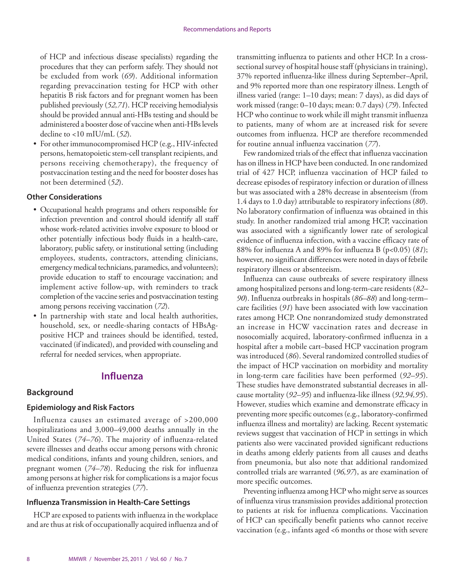of HCP and infectious disease specialists) regarding the procedures that they can perform safely. They should not be excluded from work (*69*). Additional information regarding prevaccination testing for HCP with other hepatitis B risk factors and for pregnant women has been published previously (*52,71*). HCP receiving hemodialysis should be provided annual anti-HBs testing and should be administered a booster dose of vaccine when anti-HBs levels decline to <10 mIU/mL (*52*).

• For other immunocompromised HCP (e.g., HIV-infected persons, hematopoietic stem-cell transplant recipients, and persons receiving chemotherapy), the frequency of postvaccination testing and the need for booster doses has not been determined (*52*).

#### **Other Considerations**

- Occupational health programs and others responsible for infection prevention and control should identify all staff whose work-related activities involve exposure to blood or other potentially infectious body fluids in a health-care, laboratory, public safety, or institutional setting (including employees, students, contractors, attending clinicians, emergency medical technicians, paramedics, and volunteers); provide education to staff to encourage vaccination; and implement active follow-up, with reminders to track completion of the vaccine series and postvaccination testing among persons receiving vaccination (*72*).
- • In partnership with state and local health authorities, household, sex, or needle-sharing contacts of HBsAgpositive HCP and trainees should be identified, tested, vaccinated (if indicated), and provided with counseling and referral for needed services, when appropriate.

## **Influenza**

#### **Background**

#### **Epidemiology and Risk Factors**

Influenza causes an estimated average of >200,000 hospitalizations and 3,000–49,000 deaths annually in the United States (*74–76*). The majority of influenza-related severe illnesses and deaths occur among persons with chronic medical conditions, infants and young children, seniors, and pregnant women (*74–78*). Reducing the risk for influenza among persons at higher risk for complications is a major focus of influenza prevention strategies (*77*).

#### **Influenza Transmission in Health-Care Settings**

HCP are exposed to patients with influenza in the workplace and are thus at risk of occupationally acquired influenza and of transmitting influenza to patients and other HCP. In a crosssectional survey of hospital house staff (physicians in training), 37% reported influenza-like illness during September–April, and 9% reported more than one respiratory illness. Length of illness varied (range: 1–10 days; mean: 7 days), as did days of work missed (range: 0–10 days; mean: 0.7 days) (*79*). Infected HCP who continue to work while ill might transmit influenza to patients, many of whom are at increased risk for severe outcomes from influenza. HCP are therefore recommended for routine annual influenza vaccination (*77*).

Few randomized trials of the effect that influenza vaccination has on illness in HCP have been conducted. In one randomized trial of 427 HCP, influenza vaccination of HCP failed to decrease episodes of respiratory infection or duration of illness but was associated with a 28% decrease in absenteeism (from 1.4 days to 1.0 day) attributable to respiratory infections (*80*). No laboratory confirmation of influenza was obtained in this study. In another randomized trial among HCP, vaccination was associated with a significantly lower rate of serological evidence of influenza infection, with a vaccine efficacy rate of 88% for influenza A and 89% for influenza B (p<0.05) (*81*); however, no significant differences were noted in days of febrile respiratory illness or absenteeism.

Influenza can cause outbreaks of severe respiratory illness among hospitalized persons and long-term-care residents (*82– 90*). Influenza outbreaks in hospitals (*86–88*) and long-term– care facilities (*91*) have been associated with low vaccination rates among HCP. One nonrandomized study demonstrated an increase in HCW vaccination rates and decrease in nosocomially acquired, laboratory-confirmed influenza in a hospital after a mobile cart–based HCP vaccination program was introduced (*86*). Several randomized controlled studies of the impact of HCP vaccination on morbidity and mortality in long-term care facilities have been performed (*92–95*). These studies have demonstrated substantial decreases in allcause mortality (*92–95*) and influenza-like illness (*92,94,95*). However, studies which examine and demonstrate efficacy in preventing more specific outcomes (e.g., laboratory-confirmed influenza illness and mortality) are lacking. Recent systematic reviews suggest that vaccination of HCP in settings in which patients also were vaccinated provided significant reductions in deaths among elderly patients from all causes and deaths from pneumonia, but also note that additional randomized controlled trials are warranted (*96,97*), as are examination of more specific outcomes.

Preventing influenza among HCP who might serve as sources of influenza virus transmission provides additional protection to patients at risk for influenza complications. Vaccination of HCP can specifically benefit patients who cannot receive vaccination (e.g., infants aged <6 months or those with severe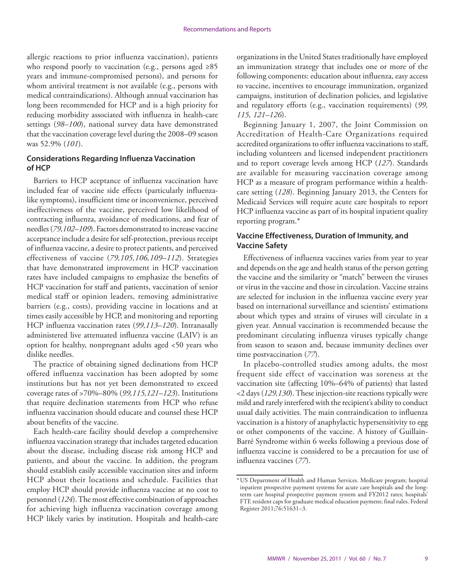allergic reactions to prior influenza vaccination), patients who respond poorly to vaccination (e.g., persons aged ≥85 years and immune-compromised persons), and persons for whom antiviral treatment is not available (e.g., persons with medical contraindications). Although annual vaccination has long been recommended for HCP and is a high priority for reducing morbidity associated with influenza in health-care settings (*98–100*), national survey data have demonstrated that the vaccination coverage level during the 2008–09 season was 52.9% (*101*).

## **Considerations Regarding Influenza Vaccination of HCP**

Barriers to HCP aceptance of influenza vaccination have included fear of vaccine side effects (particularly influenzalike symptoms), insufficient time or inconvenience, perceived ineffectiveness of the vaccine, perceived low likelihood of contracting influenza, avoidance of medications, and fear of needles (*79,102–109*). Factors demonstrated to increase vaccine acceptance include a desire for self-protection, previous receipt of influenza vaccine, a desire to protect patients, and perceived effectiveness of vaccine (*79,105,106,109–112*). Strategies that have demonstrated improvement in HCP vaccination rates have included campaigns to emphasize the benefits of HCP vaccination for staff and patients, vaccination of senior medical staff or opinion leaders, removing administrative barriers (e.g., costs), providing vaccine in locations and at times easily accessible by HCP, and monitoring and reporting HCP influenza vaccination rates (*99,113–120*). Intranasally administered live attenuated influenza vaccine (LAIV) is an option for healthy, nonpregnant adults aged <50 years who dislike needles.

The practice of obtaining signed declinations from HCP offered influenza vaccination has been adopted by some institutions but has not yet been demonstrated to exceed coverage rates of >70%–80% (*99,115,121–123*). Institutions that require declination statements from HCP who refuse influenza vaccination should educate and counsel these HCP about benefits of the vaccine.

Each health-care facility should develop a comprehensive influenza vaccination strategy that includes targeted education about the disease, including disease risk among HCP and patients, and about the vaccine. In addition, the program should establish easily accessible vaccination sites and inform HCP about their locations and schedule. Facilities that employ HCP should provide influenza vaccine at no cost to personnel (*124*). The most effective combination of approaches for achieving high influenza vaccination coverage among HCP likely varies by institution. Hospitals and health-care organizations in the United States traditionally have employed an immunization strategy that includes one or more of the following components: education about influenza, easy access to vaccine, incentives to encourage immunization, organized campaigns, institution of declination policies, and legislative and regulatory efforts (e.g., vaccination requirements) (*99, 115, 121–126*).

Beginning January 1, 2007, the Joint Commission on Accreditation of Health-Care Organizations required accredited organizations to offer influenza vaccinations to staff, including volunteers and licensed independent practitioners and to report coverage levels among HCP (*127*). Standards are available for measuring vaccination coverage among HCP as a measure of program performance within a healthcare setting (*128*). Beginning January 2013, the Centers for Medicaid Services will require acute care hospitals to report HCP influenza vaccine as part of its hospital inpatient quality reporting program.\*

## **Vaccine Effectiveness, Duration of Immunity, and Vaccine Safety**

Effectiveness of influenza vaccines varies from year to year and depends on the age and health status of the person getting the vaccine and the similarity or "match" between the viruses or virus in the vaccine and those in circulation. Vaccine strains are selected for inclusion in the influenza vaccine every year based on international surveillance and scientists' estimations about which types and strains of viruses will circulate in a given year. Annual vaccination is recommended because the predominant circulating influenza viruses typically change from season to season and, because immunity declines over time postvaccination (*77*).

In placebo-controlled studies among adults, the most frequent side effect of vaccination was soreness at the vaccination site (affecting 10%–64% of patients) that lasted <2 days (*129,130*). These injection-site reactions typically were mild and rarely interfered with the recipient's ability to conduct usual daily activities. The main contraindication to influenza vaccination is a history of anaphylactic hypersensitivity to egg or other components of the vaccine. A history of Guillain-Barré Syndrome within 6 weeks following a previous dose of influenza vaccine is considered to be a precaution for use of influenza vaccines (*77*).

<sup>\*</sup>US Department of Health and Human Services. Medicare program; hospital inpatient prospective payment systems for acute care hospitals and the longterm care hospital prospective payment system and FY2012 rates; hospitals' FTE resident caps for graduate medical education payment; final rules. Federal Register 2011;76:51631–3.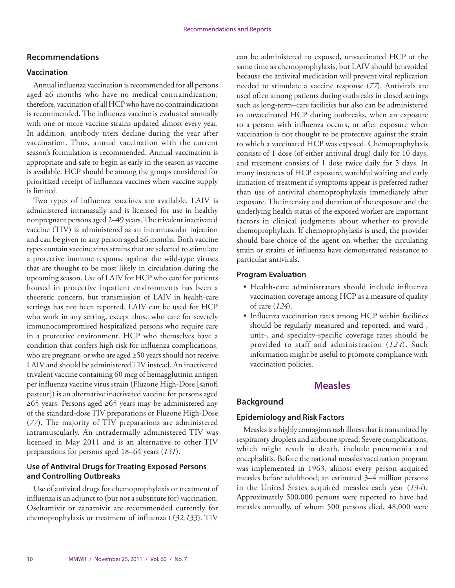## **Recommendations**

#### **Vaccination**

Annual influenza vaccination is recommended for all persons aged ≥6 months who have no medical contraindication; therefore, vaccination of all HCP who have no contraindications is recommended. The influenza vaccine is evaluated annually with one or more vaccine strains updated almost every year. In addition, antibody titers decline during the year after vaccination. Thus, annual vaccination with the current season's formulation is recommended. Annual vaccination is appropriate and safe to begin as early in the season as vaccine is available. HCP should be among the groups considered for prioritized receipt of influenza vaccines when vaccine supply is limited.

Two types of influenza vaccines are available. LAIV is administered intranasally and is licensed for use in healthy nonpregnant persons aged 2–49 years. The trivalent inactivated vaccine (TIV) is administered as an intramuscular injection and can be given to any person aged ≥6 months. Both vaccine types contain vaccine virus strains that are selected to stimulate a protective immune response against the wild-type viruses that are thought to be most likely in circulation during the upcoming season. Use of LAIV for HCP who care for patients housed in protective inpatient environments has been a theoretic concern, but transmission of LAIV in health-care settings has not been reported. LAIV can be used for HCP who work in any setting, except those who care for severely immunocompromised hospitalized persons who require care in a protective environment. HCP who themselves have a condition that confers high risk for influenza complications, who are pregnant, or who are aged ≥50 years should not receive LAIV and should be administered TIV instead. An inactivated trivalent vaccine containing 60 mcg of hemagglutinin antigen per influenza vaccine virus strain (Fluzone High-Dose [sanofi pasteur]) is an alternative inactivated vaccine for persons aged ≥65 years. Persons aged ≥65 years may be administered any of the standard-dose TIV preparations or Fluzone High-Dose (*77*). The majority of TIV preparations are administered intramuscularly. An intradermally administered TIV was licensed in May 2011 and is an alternative to other TIV preparations for persons aged 18–64 years (*131*).

### **Use of Antiviral Drugs for Treating Exposed Persons and Controlling Outbreaks**

Use of antiviral drugs for chemoprophylaxis or treatment of influenza is an adjunct to (but not a substitute for) vaccination. Oseltamivir or zanamivir are recommended currently for chemoprophylaxis or treatment of influenza (*132,133*). TIV

can be administered to exposed, unvaccinated HCP at the same time as chemoprophylaxis, but LAIV should be avoided because the antiviral medication will prevent viral replication needed to stimulate a vaccine response (*77*). Antivirals are used often among patients during outbreaks in closed settings such as long-term–care facilities but also can be administered to unvaccinated HCP during outbreaks, when an exposure to a person with influenza occurs, or after exposure when vaccination is not thought to be protective against the strain to which a vaccinated HCP was exposed. Chemoprophylaxis consists of 1 dose (of either antiviral drug) daily for 10 days, and treatment consists of 1 dose twice daily for 5 days. In many instances of HCP exposure, watchful waiting and early initiation of treatment if symptoms appear is preferred rather than use of antiviral chemoprophylaxis immediately after exposure. The intensity and duration of the exposure and the underlying health status of the exposed worker are important factors in clinical judgments about whether to provide chemoprophylaxis. If chemoprophylaxis is used, the provider should base choice of the agent on whether the circulating strain or strains of influenza have demonstrated resistance to particular antivirals.

#### **Program Evaluation**

- Health-care administrators should include influenza vaccination coverage among HCP as a measure of quality of care (*124*).
- Influenza vaccination rates among HCP within facilities should be regularly measured and reported, and ward-, unit-, and specialty-specific coverage rates should be provided to staff and administration (*124*). Such information might be useful to promote compliance with vaccination policies.

## **Measles**

#### **Background**

### **Epidemiology and Risk Factors**

Measles is a highly contagious rash illness that is transmitted by respiratory droplets and airborne spread. Severe complications, which might result in death, include pneumonia and encephalitis. Before the national measles vaccination program was implemented in 1963, almost every person acquired measles before adulthood; an estimated 3–4 million persons in the United States acquired measles each year (*134*). Approximately 500,000 persons were reported to have had measles annually, of whom 500 persons died, 48,000 were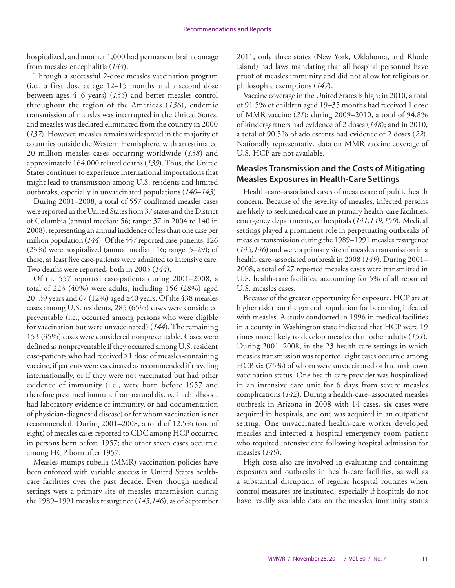hospitalized, and another 1,000 had permanent brain damage from measles encephalitis (*134*).

Through a successful 2-dose measles vaccination program (i.e., a first dose at age 12–15 months and a second dose between ages 4–6 years) (*135*) and better measles control throughout the region of the Americas (*136*), endemic transmission of measles was interrupted in the United States, and measles was declared eliminated from the country in 2000 (*137*). However, measles remains widespread in the majority of countries outside the Western Hemisphere, with an estimated 20 million measles cases occurring worldwide (*138*) and approximately 164,000 related deaths (*139*). Thus, the United States continues to experience international importations that might lead to transmission among U.S. residents and limited outbreaks, especially in unvaccinated populations (*140–143*).

During 2001–2008, a total of 557 confirmed measles cases were reported in the United States from 37 states and the District of Columbia (annual median: 56; range: 37 in 2004 to 140 in 2008), representing an annual incidence of less than one case per million population (*144*). Of the 557 reported case-patients, 126 (23%) were hospitalized (annual median: 16; range: 5–29); of these, at least five case-patients were admitted to intensive care. Two deaths were reported, both in 2003 (*144*).

Of the 557 reported case-patients during 2001–2008, a total of 223 (40%) were adults, including 156 (28%) aged 20–39 years and 67 (12%) aged  $\geq$ 40 years. Of the 438 measles cases among U.S. residents, 285 (65%) cases were considered preventable (i.e., occurred among persons who were eligible for vaccination but were unvaccinated) (*144*). The remaining 153 (35%) cases were considered nonpreventable. Cases were defined as nonpreventable if they occurred among U.S. resident case-patients who had received ≥1 dose of measles-containing vaccine, if patients were vaccinated as recommended if traveling internationally, or if they were not vaccinated but had other evidence of immunity (i.e., were born before 1957 and therefore presumed immune from natural disease in childhood, had laboratory evidence of immunity, or had documentation of physician-diagnosed disease) or for whom vaccination is not recommended. During 2001–2008, a total of 12.5% (one of eight) of measles cases reported to CDC among HCP occurred in persons born before 1957; the other seven cases occurred among HCP born after 1957.

Measles-mumps-rubella (MMR) vaccination policies have been enforced with variable success in United States healthcare facilities over the past decade. Even though medical settings were a primary site of measles transmission during the 1989–1991 measles resurgence (*145,146*), as of September

2011, only three states (New York, Oklahoma, and Rhode Island) had laws mandating that all hospital personnel have proof of measles immunity and did not allow for religious or philosophic exemptions (*147*).

Vaccine coverage in the United States is high; in 2010, a total of 91.5% of children aged 19–35 months had received 1 dose of MMR vaccine (*21*); during 2009–2010, a total of 94.8% of kindergartners had evidence of 2 doses (*148*); and in 2010, a total of 90.5% of adolescents had evidence of 2 doses (*22*). Nationally representative data on MMR vaccine coverage of U.S. HCP are not available.

## **Measles Transmission and the Costs of Mitigating Measles Exposures in Health-Care Settings**

Health-care–associated cases of measles are of public health concern. Because of the severity of measles, infected persons are likely to seek medical care in primary health-care facilities, emergency departments, or hospitals (*141,149,150*). Medical settings played a prominent role in perpetuating outbreaks of measles transmission during the 1989–1991 measles resurgence (*145,146*) and were a primary site of measles transmission in a health-care–associated outbreak in 2008 (*149*). During 2001– 2008, a total of 27 reported measles cases were transmitted in U.S. health-care facilities, accounting for 5% of all reported U.S. measles cases.

Because of the greater opportunity for exposure, HCP are at higher risk than the general population for becoming infected with measles. A study conducted in 1996 in medical facilities in a county in Washington state indicated that HCP were 19 times more likely to develop measles than other adults (*151*). During 2001–2008, in the 23 health-care settings in which measles transmission was reported, eight cases occurred among HCP, six (75%) of whom were unvaccinated or had unknown vaccination status. One health-care provider was hospitalized in an intensive care unit for 6 days from severe measles complications (*142*). During a health-care–associated measles outbreak in Arizona in 2008 with 14 cases, six cases were acquired in hospitals, and one was acquired in an outpatient setting. One unvaccinated health-care worker developed measles and infected a hospital emergency room patient who required intensive care following hospital admission for measles (*149*).

High costs also are involved in evaluating and containing exposures and outbreaks in health-care facilities, as well as a substantial disruption of regular hospital routines when control measures are instituted, especially if hospitals do not have readily available data on the measles immunity status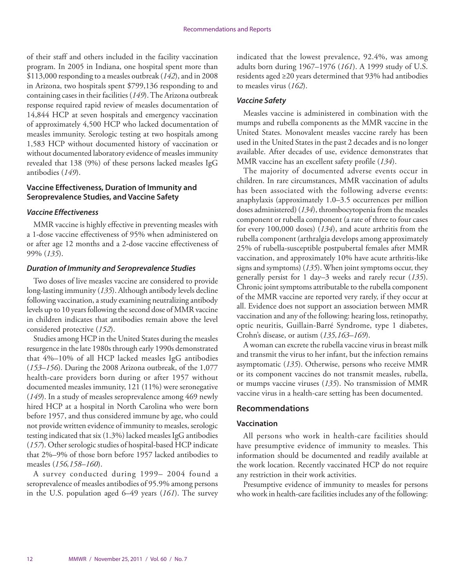of their staff and others included in the facility vaccination program. In 2005 in Indiana, one hospital spent more than \$113,000 responding to a measles outbreak (*142*), and in 2008 in Arizona, two hospitals spent \$799,136 responding to and containing cases in their facilities (*149*). The Arizona outbreak response required rapid review of measles documentation of 14,844 HCP at seven hospitals and emergency vaccination of approximately 4,500 HCP who lacked documentation of measles immunity. Serologic testing at two hospitals among 1,583 HCP without documented history of vaccination or without documented laboratory evidence of measles immunity revealed that 138 (9%) of these persons lacked measles IgG antibodies (*149*).

## **Vaccine Effectiveness, Duration of Immunity and Seroprevalence Studies, and Vaccine Safety**

### *Vaccine Effectiveness*

MMR vaccine is highly effective in preventing measles with a 1-dose vaccine effectiveness of 95% when administered on or after age 12 months and a 2-dose vaccine effectiveness of 99% (*135*).

#### *Duration of Immunity and Seroprevalence Studies*

Two doses of live measles vaccine are considered to provide long-lasting immunity (*135*). Although antibody levels decline following vaccination, a study examining neutralizing antibody levels up to 10 years following the second dose of MMR vaccine in children indicates that antibodies remain above the level considered protective (*152*).

Studies among HCP in the United States during the measles resurgence in the late 1980s through early 1990s demonstrated that 4%–10% of all HCP lacked measles IgG antibodies (*153–156*). During the 2008 Arizona outbreak, of the 1,077 health-care providers born during or after 1957 without documented measles immunity, 121 (11%) were seronegative (*149*). In a study of measles seroprevalence among 469 newly hired HCP at a hospital in North Carolina who were born before 1957, and thus considered immune by age, who could not provide written evidence of immunity to measles, serologic testing indicated that six (1.3%) lacked measles IgG antibodies (*157*). Other serologic studies of hospital-based HCP indicate that 2%–9% of those born before 1957 lacked antibodies to measles (*156,158–160*).

A survey conducted during 1999– 2004 found a seroprevalence of measles antibodies of 95.9% among persons in the U.S. population aged 6–49 years (*161*). The survey indicated that the lowest prevalence, 92.4%, was among adults born during 1967–1976 (*161*). A 1999 study of U.S. residents aged ≥20 years determined that 93% had antibodies to measles virus (*162*).

#### *Vaccine Safety*

Measles vaccine is administered in combination with the mumps and rubella components as the MMR vaccine in the United States. Monovalent measles vaccine rarely has been used in the United States in the past 2 decades and is no longer available. After decades of use, evidence demonstrates that MMR vaccine has an excellent safety profile (*134*).

The majority of documented adverse events occur in children. In rare circumstances, MMR vaccination of adults has been associated with the following adverse events: anaphylaxis (approximately 1.0–3.5 occurrences per million doses administered) (*134*), thrombocytopenia from the measles component or rubella component (a rate of three to four cases for every 100,000 doses) (*134*), and acute arthritis from the rubella component (arthralgia develops among approximately 25% of rubella-susceptible postpubertal females after MMR vaccination, and approximately 10% have acute arthritis-like signs and symptoms) (*135*). When joint symptoms occur, they generally persist for 1 day–3 weeks and rarely recur (*135*). Chronic joint symptoms attributable to the rubella component of the MMR vaccine are reported very rarely, if they occur at all. Evidence does not support an association between MMR vaccination and any of the following: hearing loss, retinopathy, optic neuritis, Guillain-Barré Syndrome, type 1 diabetes, Crohn's disease, or autism (*135,163–169*).

A woman can excrete the rubella vaccine virus in breast milk and transmit the virus to her infant, but the infection remains asymptomatic (*135*). Otherwise, persons who receive MMR or its component vaccines do not transmit measles, rubella, or mumps vaccine viruses (*135*). No transmission of MMR vaccine virus in a health-care setting has been documented.

### **Recommendations**

#### **Vaccination**

All persons who work in health-care facilities should have presumptive evidence of immunity to measles. This information should be documented and readily available at the work location. Recently vaccinated HCP do not require any restriction in their work activities.

Presumptive evidence of immunity to measles for persons who work in health-care facilities includes any of the following: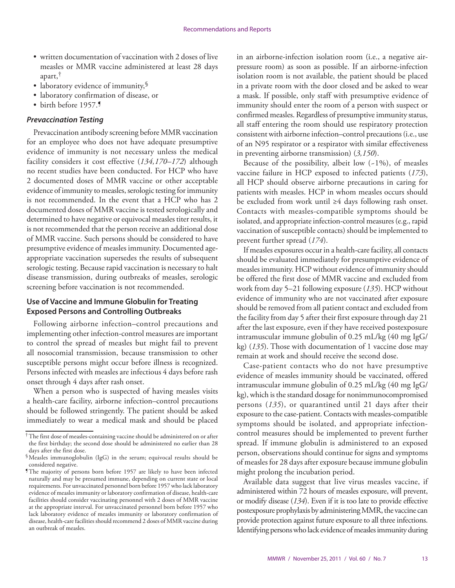- written documentation of vaccination with 2 doses of live measles or MMR vaccine administered at least 28 days apart,†
- laboratory evidence of immunity, $\sqrt[6]{}$
- • laboratory confirmation of disease, or
- birth before 1957.<sup>9</sup>

### *Prevaccination Testing*

Prevaccination antibody screening before MMR vaccination for an employee who does not have adequate presumptive evidence of immunity is not necessary unless the medical facility considers it cost effective (*134,170–172*) although no recent studies have been conducted. For HCP who have 2 documented doses of MMR vaccine or other acceptable evidence of immunity to measles, serologic testing for immunity is not recommended. In the event that a HCP who has 2 documented doses of MMR vaccine is tested serologically and determined to have negative or equivocal measles titer results, it is not recommended that the person receive an additional dose of MMR vaccine. Such persons should be considered to have presumptive evidence of measles immunity. Documented ageappropriate vaccination supersedes the results of subsequent serologic testing. Because rapid vaccination is necessary to halt disease transmission, during outbreaks of measles, serologic screening before vaccination is not recommended.

## **Use of Vaccine and Immune Globulin for Treating Exposed Persons and Controlling Outbreaks**

Following airborne infection–control precautions and implementing other infection-control measures are important to control the spread of measles but might fail to prevent all nosocomial transmission, because transmission to other susceptible persons might occur before illness is recognized. Persons infected with measles are infectious 4 days before rash onset through 4 days after rash onset.

When a person who is suspected of having measles visits a health-care facility, airborne infection–control precautions should be followed stringently. The patient should be asked immediately to wear a medical mask and should be placed

in an airborne-infection isolation room (i.e., a negative airpressure room) as soon as possible. If an airborne-infection isolation room is not available, the patient should be placed in a private room with the door closed and be asked to wear a mask. If possible, only staff with presumptive evidence of immunity should enter the room of a person with suspect or confirmed measles. Regardless of presumptive immunity status, all staff entering the room should use respiratory protection consistent with airborne infection–control precautions (i.e., use of an N95 respirator or a respirator with similar effectiveness in preventing airborne transmission) (*3,150*).

Because of the possibility, albeit low  $(-1%)$ , of measles vaccine failure in HCP exposed to infected patients (*173*), all HCP should observe airborne precautions in caring for patients with measles. HCP in whom measles occurs should be excluded from work until ≥4 days following rash onset. Contacts with measles-compatible symptoms should be isolated, and appropriate infection-control measures (e.g., rapid vaccination of susceptible contacts) should be implemented to prevent further spread (*174*).

If measles exposures occur in a health-care facility, all contacts should be evaluated immediately for presumptive evidence of measles immunity. HCP without evidence of immunity should be offered the first dose of MMR vaccine and excluded from work from day 5–21 following exposure (*135*). HCP without evidence of immunity who are not vaccinated after exposure should be removed from all patient contact and excluded from the facility from day 5 after their first exposure through day 21 after the last exposure, even if they have received postexposure intramuscular immune globulin of 0.25 mL/kg (40 mg IgG/ kg) (*135*). Those with documentation of 1 vaccine dose may remain at work and should receive the second dose.

Case-patient contacts who do not have presumptive evidence of measles immunity should be vaccinated, offered intramuscular immune globulin of 0.25 mL/kg (40 mg IgG/ kg), which is the standard dosage for nonimmunocompromised persons (*135*), or quarantined until 21 days after their exposure to the case-patient. Contacts with measles-compatible symptoms should be isolated, and appropriate infectioncontrol measures should be implemented to prevent further spread. If immune globulin is administered to an exposed person, observations should continue for signs and symptoms of measles for 28 days after exposure because immune globulin might prolong the incubation period.

Available data suggest that live virus measles vaccine, if administered within 72 hours of measles exposure, will prevent, or modify disease (*134*). Even if it is too late to provide effective postexposure prophylaxis by administering MMR, the vaccine can provide protection against future exposure to all three infections. Identifying persons who lack evidence of measles immunity during

<sup>†</sup>The first dose of measles-containing vaccine should be administered on or after the first birthday; the second dose should be administered no earlier than 28 days after the first dose.

<sup>§</sup>Measles immunoglobulin (IgG) in the serum; equivocal results should be considered negative.

<sup>¶</sup>The majority of persons born before 1957 are likely to have been infected naturally and may be presumed immune, depending on current state or local requirements. For unvaccinated personnel born before 1957 who lack laboratory evidence of measles immunity or laboratory confirmation of disease, health-care facilities should consider vaccinating personnel with 2 doses of MMR vaccine at the appropriate interval. For unvaccinated personnel born before 1957 who lack laboratory evidence of measles immunity or laboratory confirmation of disease, health-care facilities should recommend 2 doses of MMR vaccine during an outbreak of measles.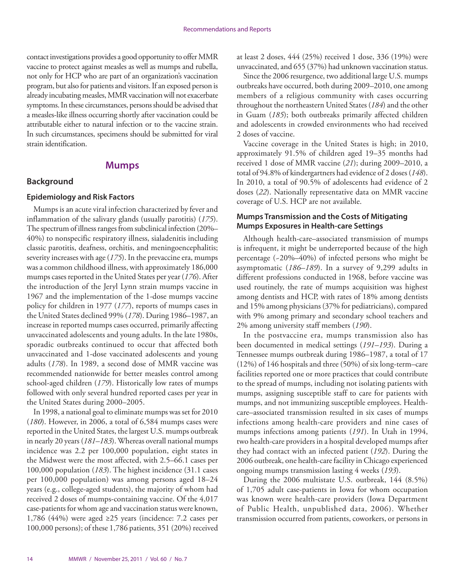contact investigations provides a good opportunity to offer MMR vaccine to protect against measles as well as mumps and rubella, not only for HCP who are part of an organization's vaccination program, but also for patients and visitors. If an exposed person is already incubating measles, MMR vaccination will not exacerbate symptoms. In these circumstances, persons should be advised that a measles-like illness occurring shortly after vaccination could be attributable either to natural infection or to the vaccine strain. In such circumstances, specimens should be submitted for viral strain identification.

## **Mumps**

#### **Background**

## **Epidemiology and Risk Factors**

Mumps is an acute viral infection characterized by fever and inflammation of the salivary glands (usually parotitis) (*175*). The spectrum of illness ranges from subclinical infection (20%– 40%) to nonspecific respiratory illness, sialadenitis including classic parotitis, deafness, orchitis, and meningoencephalitis; severity increases with age (*175*). In the prevaccine era, mumps was a common childhood illness, with approximately 186,000 mumps cases reported in the United States per year (*176*). After the introduction of the Jeryl Lynn strain mumps vaccine in 1967 and the implementation of the 1-dose mumps vaccine policy for children in 1977 (*177*), reports of mumps cases in the United States declined 99% (*178*). During 1986–1987, an increase in reported mumps cases occurred, primarily affecting unvaccinated adolescents and young adults. In the late 1980s, sporadic outbreaks continued to occur that affected both unvaccinated and 1-dose vaccinated adolescents and young adults (*178*). In 1989, a second dose of MMR vaccine was recommended nationwide for better measles control among school-aged children (*179*). Historically low rates of mumps followed with only several hundred reported cases per year in the United States during 2000–2005.

In 1998, a national goal to eliminate mumps was set for 2010 (*180*). However, in 2006, a total of 6,584 mumps cases were reported in the United States, the largest U.S. mumps outbreak in nearly 20 years (*181–183*). Whereas overall national mumps incidence was 2.2 per 100,000 population, eight states in the Midwest were the most affected, with 2.5–66.1 cases per 100,000 population (*183*). The highest incidence (31.1 cases per 100,000 population) was among persons aged 18–24 years (e.g., college-aged students), the majority of whom had received 2 doses of mumps-containing vaccine. Of the 4,017 case-patients for whom age and vaccination status were known, 1,786 (44%) were aged ≥25 years (incidence: 7.2 cases per 100,000 persons); of these 1,786 patients, 351 (20%) received at least 2 doses, 444 (25%) received 1 dose, 336 (19%) were unvaccinated, and 655 (37%) had unknown vaccination status.

Since the 2006 resurgence, two additional large U.S. mumps outbreaks have occurred, both during 2009–2010, one among members of a religious community with cases occurring throughout the northeastern United States (*184*) and the other in Guam (*185*); both outbreaks primarily affected children and adolescents in crowded environments who had received 2 doses of vaccine.

Vaccine coverage in the United States is high; in 2010, approximately 91.5% of children aged 19–35 months had received 1 dose of MMR vaccine (*21*); during 2009–2010, a total of 94.8% of kindergartners had evidence of 2 doses (*148*). In 2010, a total of 90.5% of adolescents had evidence of 2 doses (*22*). Nationally representative data on MMR vaccine coverage of U.S. HCP are not available.

## **Mumps Transmission and the Costs of Mitigating Mumps Exposures in Health-care Settings**

Although health-care–associated transmission of mumps is infrequent, it might be underreported because of the high percentage (~20%–40%) of infected persons who might be asymptomatic (*186–189*). In a survey of 9,299 adults in different professions conducted in 1968, before vaccine was used routinely, the rate of mumps acquisition was highest among dentists and HCP, with rates of 18% among dentists and 15% among physicians (37% for pediatricians), compared with 9% among primary and secondary school teachers and 2% among university staff members (*190*).

In the postvaccine era, mumps transmission also has been documented in medical settings (*191–193*). During a Tennessee mumps outbreak during 1986–1987, a total of 17 (12%) of 146 hospitals and three (50%) of six long-term–care facilities reported one or more practices that could contribute to the spread of mumps, including not isolating patients with mumps, assigning susceptible staff to care for patients with mumps, and not immunizing susceptible employees. Healthcare–associated transmission resulted in six cases of mumps infections among health-care providers and nine cases of mumps infections among patients (*191*). In Utah in 1994, two health-care providers in a hospital developed mumps after they had contact with an infected patient (*192*). During the 2006 outbreak, one health-care facility in Chicago experienced ongoing mumps transmission lasting 4 weeks (*193*).

During the 2006 multistate U.S. outbreak, 144 (8.5%) of 1,705 adult case-patients in Iowa for whom occupation was known were health-care providers (Iowa Department of Public Health, unpublished data, 2006). Whether transmission occurred from patients, coworkers, or persons in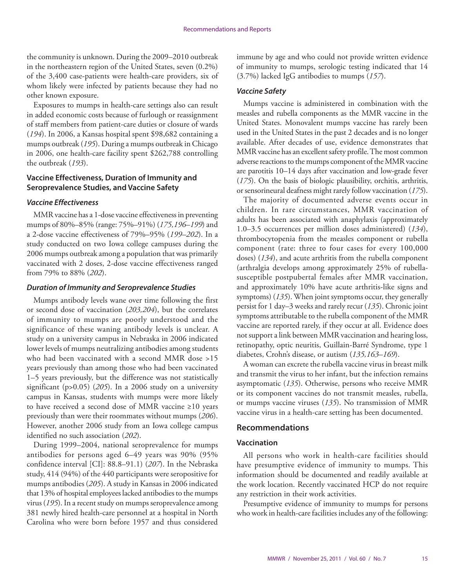the community is unknown. During the 2009–2010 outbreak in the northeastern region of the United States, seven (0.2%) of the 3,400 case-patients were health-care providers, six of whom likely were infected by patients because they had no other known exposure.

Exposures to mumps in health-care settings also can result in added economic costs because of furlough or reassignment of staff members from patient-care duties or closure of wards (*194*). In 2006, a Kansas hospital spent \$98,682 containing a mumps outbreak (*195*). During a mumps outbreak in Chicago in 2006, one health-care facility spent \$262,788 controlling the outbreak (*193*).

## **Vaccine Effectiveness, Duration of Immunity and Seroprevalence Studies, and Vaccine Safety**

#### *Vaccine Effectiveness*

MMR vaccine has a 1-dose vaccine effectiveness in preventing mumps of 80%–85% (range: 75%–91%) (*175,196–199*) and a 2-dose vaccine effectiveness of 79%–95% (*199–202*). In a study conducted on two Iowa college campuses during the 2006 mumps outbreak among a population that was primarily vaccinated with 2 doses, 2-dose vaccine effectiveness ranged from 79% to 88% (*202*).

#### *Duration of Immunity and Seroprevalence Studies*

Mumps antibody levels wane over time following the first or second dose of vaccination (*203,204*), but the correlates of immunity to mumps are poorly understood and the significance of these waning antibody levels is unclear. A study on a university campus in Nebraska in 2006 indicated lower levels of mumps neutralizing antibodies among students who had been vaccinated with a second MMR dose >15 years previously than among those who had been vaccinated 1–5 years previously, but the difference was not statistically significant (p>0.05) (*205*). In a 2006 study on a university campus in Kansas, students with mumps were more likely to have received a second dose of MMR vaccine ≥10 years previously than were their roommates without mumps (*206*). However, another 2006 study from an Iowa college campus identified no such association (*202*).

During 1999–2004, national seroprevalence for mumps antibodies for persons aged 6–49 years was 90% (95% confidence interval [CI]: 88.8–91.1) (*207*). In the Nebraska study, 414 (94%) of the 440 participants were seropositive for mumps antibodies (*205*). A study in Kansas in 2006 indicated that 13% of hospital employees lacked antibodies to the mumps virus (*195*). In a recent study on mumps seroprevalence among 381 newly hired health-care personnel at a hospital in North Carolina who were born before 1957 and thus considered

immune by age and who could not provide written evidence of immunity to mumps, serologic testing indicated that 14 (3.7%) lacked IgG antibodies to mumps (*157*).

#### *Vaccine Safety*

Mumps vaccine is administered in combination with the measles and rubella components as the MMR vaccine in the United States. Monovalent mumps vaccine has rarely been used in the United States in the past 2 decades and is no longer available. After decades of use, evidence demonstrates that MMR vaccine has an excellent safety profile. The most common adverse reactions to the mumps component of the MMR vaccine are parotitis 10–14 days after vaccination and low-grade fever (*175*). On the basis of biologic plausibility, orchitis, arthritis, or sensorineural deafness might rarely follow vaccination (*175*).

The majority of documented adverse events occur in children. In rare circumstances, MMR vaccination of adults has been associated with anaphylaxis (approximately 1.0–3.5 occurrences per million doses administered) (*134*), thrombocytopenia from the measles component or rubella component (rate: three to four cases for every 100,000 doses) (*134*), and acute arthritis from the rubella component (arthralgia develops among approximately 25% of rubellasusceptible postpubertal females after MMR vaccination, and approximately 10% have acute arthritis-like signs and symptoms) (*135*). When joint symptoms occur, they generally persist for 1 day–3 weeks and rarely recur (*135*). Chronic joint symptoms attributable to the rubella component of the MMR vaccine are reported rarely, if they occur at all. Evidence does not support a link between MMR vaccination and hearing loss, retinopathy, optic neuritis, Guillain-Barré Syndrome, type 1 diabetes, Crohn's disease, or autism (*135,163–169*).

A woman can excrete the rubella vaccine virus in breast milk and transmit the virus to her infant, but the infection remains asymptomatic (*135*). Otherwise, persons who receive MMR or its component vaccines do not transmit measles, rubella, or mumps vaccine viruses (*135*). No transmission of MMR vaccine virus in a health-care setting has been documented.

#### **Recommendations**

#### **Vaccination**

All persons who work in health-care facilities should have presumptive evidence of immunity to mumps. This information should be documented and readily available at the work location. Recently vaccinated HCP do not require any restriction in their work activities.

Presumptive evidence of immunity to mumps for persons who work in health-care facilities includes any of the following: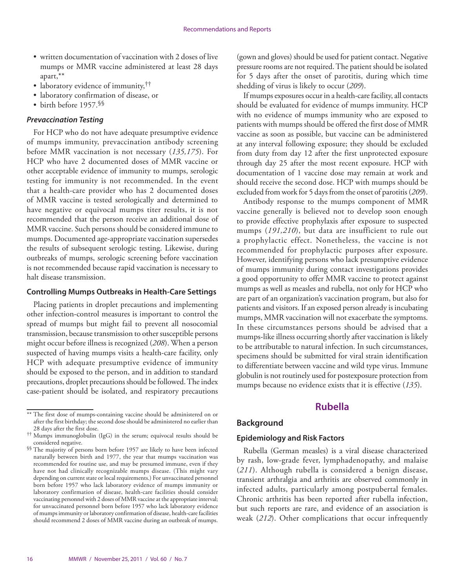- written documentation of vaccination with 2 doses of live mumps or MMR vaccine administered at least 28 days apart,\*\*
- laboratory evidence of immunity,  $\dagger$
- • laboratory confirmation of disease, or
- birth before 1957.§§

## *Prevaccination Testing*

For HCP who do not have adequate presumptive evidence of mumps immunity, prevaccination antibody screening before MMR vaccination is not necessary (*135,175*). For HCP who have 2 documented doses of MMR vaccine or other acceptable evidence of immunity to mumps, serologic testing for immunity is not recommended. In the event that a health-care provider who has 2 documented doses of MMR vaccine is tested serologically and determined to have negative or equivocal mumps titer results, it is not recommended that the person receive an additional dose of MMR vaccine. Such persons should be considered immune to mumps. Documented age-appropriate vaccination supersedes the results of subsequent serologic testing. Likewise, during outbreaks of mumps, serologic screening before vaccination is not recommended because rapid vaccination is necessary to halt disease transmission.

#### **Controlling Mumps Outbreaks in Health-Care Settings**

Placing patients in droplet precautions and implementing other infection-control measures is important to control the spread of mumps but might fail to prevent all nosocomial transmission, because transmission to other susceptible persons might occur before illness is recognized (*208*). When a person suspected of having mumps visits a health-care facility, only HCP with adequate presumptive evidence of immunity should be exposed to the person, and in addition to standard precautions, droplet precautions should be followed. The index case-patient should be isolated, and respiratory precautions

(gown and gloves) should be used for patient contact. Negative pressure rooms are not required. The patient should be isolated for 5 days after the onset of parotitis, during which time shedding of virus is likely to occur (*209*).

If mumps exposures occur in a health-care facility, all contacts should be evaluated for evidence of mumps immunity. HCP with no evidence of mumps immunity who are exposed to patients with mumps should be offered the first dose of MMR vaccine as soon as possible, but vaccine can be administered at any interval following exposure; they should be excluded from duty from day 12 after the first unprotected exposure through day 25 after the most recent exposure. HCP with documentation of 1 vaccine dose may remain at work and should receive the second dose. HCP with mumps should be excluded from work for 5 days from the onset of parotitis (*209*).

Antibody response to the mumps component of MMR vaccine generally is believed not to develop soon enough to provide effective prophylaxis after exposure to suspected mumps (*191,210*), but data are insufficient to rule out a prophylactic effect. Nonetheless, the vaccine is not recommended for prophylactic purposes after exposure. However, identifying persons who lack presumptive evidence of mumps immunity during contact investigations provides a good opportunity to offer MMR vaccine to protect against mumps as well as measles and rubella, not only for HCP who are part of an organization's vaccination program, but also for patients and visitors. If an exposed person already is incubating mumps, MMR vaccination will not exacerbate the symptoms. In these circumstances persons should be advised that a mumps-like illness occurring shortly after vaccination is likely to be attributable to natural infection. In such circumstances, specimens should be submitted for viral strain identification to differentiate between vaccine and wild type virus. Immune globulin is not routinely used for postexposure protection from mumps because no evidence exists that it is effective (*135*).

## **Rubella**

#### **Background**

#### **Epidemiology and Risk Factors**

Rubella (German measles) is a viral disease characterized by rash, low-grade fever, lymphadenopathy, and malaise (*211*). Although rubella is considered a benign disease, transient arthralgia and arthritis are observed commonly in infected adults, particularly among postpubertal females. Chronic arthritis has been reported after rubella infection, but such reports are rare, and evidence of an association is weak (*212*). Other complications that occur infrequently

<sup>\*\*</sup> The first dose of mumps-containing vaccine should be administered on or after the first birthday; the second dose should be administered no earlier than 28 days after the first dose.

<sup>††</sup> Mumps immunoglobulin (IgG) in the serum; equivocal results should be considered negative.

<sup>§§</sup> The majority of persons born before 1957 are likely to have been infected naturally between birth and 1977, the year that mumps vaccination was recommended for routine use, and may be presumed immune, even if they have not had clinically recognizable mumps disease. (This might vary depending on current state or local requirements.) For unvaccinated personnel born before 1957 who lack laboratory evidence of mumps immunity or laboratory confirmation of disease, health-care facilities should consider vaccinating personnel with 2 doses of MMR vaccine at the appropriate interval; for unvaccinated personnel born before 1957 who lack laboratory evidence of mumps immunity or laboratory confirmation of disease, health-care facilities should recommend 2 doses of MMR vaccine during an outbreak of mumps.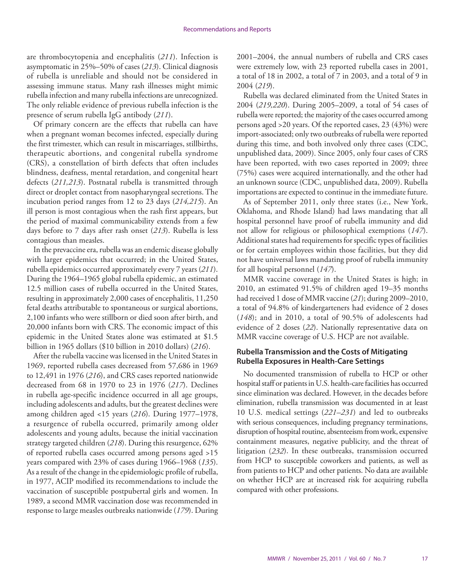are thrombocytopenia and encephalitis (*211*). Infection is asymptomatic in 25%–50% of cases (*213*). Clinical diagnosis of rubella is unreliable and should not be considered in assessing immune status. Many rash illnesses might mimic rubella infection and many rubella infections are unrecognized. The only reliable evidence of previous rubella infection is the presence of serum rubella IgG antibody (*211*).

Of primary concern are the effects that rubella can have when a pregnant woman becomes infected, especially during the first trimester, which can result in miscarriages, stillbirths, therapeutic abortions, and congenital rubella syndrome (CRS), a constellation of birth defects that often includes blindness, deafness, mental retardation, and congenital heart defects (*211,213*). Postnatal rubella is transmitted through direct or droplet contact from nasopharyngeal secretions. The incubation period ranges from 12 to 23 days (*214,215*). An ill person is most contagious when the rash first appears, but the period of maximal communicability extends from a few days before to 7 days after rash onset (*213*). Rubella is less contagious than measles.

In the prevaccine era, rubella was an endemic disease globally with larger epidemics that occurred; in the United States, rubella epidemics occurred approximately every 7 years (*211*). During the 1964–1965 global rubella epidemic, an estimated 12.5 million cases of rubella occurred in the United States, resulting in approximately 2,000 cases of encephalitis, 11,250 fetal deaths attributable to spontaneous or surgical abortions, 2,100 infants who were stillborn or died soon after birth, and 20,000 infants born with CRS. The economic impact of this epidemic in the United States alone was estimated at \$1.5 billion in 1965 dollars (\$10 billion in 2010 dollars) (*216*).

After the rubella vaccine was licensed in the United States in 1969, reported rubella cases decreased from 57,686 in 1969 to 12,491 in 1976 (*216*), and CRS cases reported nationwide decreased from 68 in 1970 to 23 in 1976 (*217*). Declines in rubella age-specific incidence occurred in all age groups, including adolescents and adults, but the greatest declines were among children aged <15 years (*216*). During 1977–1978, a resurgence of rubella occurred, primarily among older adolescents and young adults, because the initial vaccination strategy targeted children (*218*). During this resurgence, 62% of reported rubella cases occurred among persons aged >15 years compared with 23% of cases during 1966–1968 (*135*). As a result of the change in the epidemiologic profile of rubella, in 1977, ACIP modified its recommendations to include the vaccination of susceptible postpubertal girls and women. In 1989, a second MMR vaccination dose was recommended in response to large measles outbreaks nationwide (*179*). During 2001–2004, the annual numbers of rubella and CRS cases were extremely low, with 23 reported rubella cases in 2001, a total of 18 in 2002, a total of 7 in 2003, and a total of 9 in 2004 (*219*).

Rubella was declared eliminated from the United States in 2004 (*219,220*). During 2005–2009, a total of 54 cases of rubella were reported; the majority of the cases occurred among persons aged >20 years. Of the reported cases, 23 (43%) were import-associated; only two outbreaks of rubella were reported during this time, and both involved only three cases (CDC, unpublished data, 2009). Since 2005, only four cases of CRS have been reported, with two cases reported in 2009; three (75%) cases were acquired internationally, and the other had an unknown source (CDC, unpublished data, 2009). Rubella importations are expected to continue in the immediate future.

As of September 2011, only three states (i.e., New York, Oklahoma, and Rhode Island) had laws mandating that all hospital personnel have proof of rubella immunity and did not allow for religious or philosophical exemptions (*147*). Additional states had requirements for specific types of facilities or for certain employees within those facilities, but they did not have universal laws mandating proof of rubella immunity for all hospital personnel (*147*).

MMR vaccine coverage in the United States is high; in 2010, an estimated 91.5% of children aged 19–35 months had received 1 dose of MMR vaccine (*21*); during 2009–2010, a total of 94.8% of kindergarteners had evidence of 2 doses (*148*); and in 2010, a total of 90.5% of adolescents had evidence of 2 doses (*22*). Nationally representative data on MMR vaccine coverage of U.S. HCP are not available.

## **Rubella Transmission and the Costs of Mitigating Rubella Exposures in Health-Care Settings**

No documented transmission of rubella to HCP or other hospital staff or patients in U.S. health-care facilities has occurred since elimination was declared. However, in the decades before elimination, rubella transmission was documented in at least 10 U.S. medical settings (*221–231*) and led to outbreaks with serious consequences, including pregnancy terminations, disruption of hospital routine, absenteeism from work, expensive containment measures, negative publicity, and the threat of litigation (*232*). In these outbreaks, transmission occurred from HCP to susceptible coworkers and patients, as well as from patients to HCP and other patients. No data are available on whether HCP are at increased risk for acquiring rubella compared with other professions.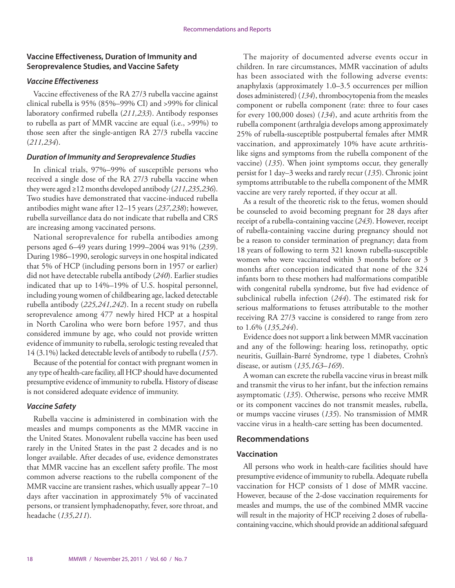## **Vaccine Effectiveness, Duration of Immunity and Seroprevalence Studies, and Vaccine Safety**

## *Vaccine Effectiveness*

Vaccine effectiveness of the RA 27/3 rubella vaccine against clinical rubella is 95% (85%–99% CI) and >99% for clinical laboratory confirmed rubella (*211,233*). Antibody responses to rubella as part of MMR vaccine are equal (i.e., >99%) to those seen after the single-antigen RA 27/3 rubella vaccine (*211,234*).

## *Duration of Immunity and Seroprevalence Studies*

In clinical trials, 97%–99% of susceptible persons who received a single dose of the RA 27/3 rubella vaccine when they were aged ≥12 months developed antibody (*211,235,236*). Two studies have demonstrated that vaccine-induced rubella antibodies might wane after 12–15 years (*237,238*); however, rubella surveillance data do not indicate that rubella and CRS are increasing among vaccinated persons.

National seroprevalence for rubella antibodies among persons aged 6–49 years during 1999–2004 was 91% (*239*). During 1986–1990, serologic surveys in one hospital indicated that 5% of HCP (including persons born in 1957 or earlier) did not have detectable rubella antibody (*240*). Earlier studies indicated that up to 14%–19% of U.S. hospital personnel, including young women of childbearing age, lacked detectable rubella antibody (*225,241,242*). In a recent study on rubella seroprevalence among 477 newly hired HCP at a hospital in North Carolina who were born before 1957, and thus considered immune by age, who could not provide written evidence of immunity to rubella, serologic testing revealed that 14 (3.1%) lacked detectable levels of antibody to rubella (*157*).

Because of the potential for contact with pregnant women in any type of health-care facility, all HCP should have documented presumptive evidence of immunity to rubella. History of disease is not considered adequate evidence of immunity.

## *Vaccine Safety*

Rubella vaccine is administered in combination with the measles and mumps components as the MMR vaccine in the United States. Monovalent rubella vaccine has been used rarely in the United States in the past 2 decades and is no longer available. After decades of use, evidence demonstrates that MMR vaccine has an excellent safety profile. The most common adverse reactions to the rubella component of the MMR vaccine are transient rashes, which usually appear 7–10 days after vaccination in approximately 5% of vaccinated persons, or transient lymphadenopathy, fever, sore throat, and headache (*135,211*).

The majority of documented adverse events occur in children. In rare circumstances, MMR vaccination of adults has been associated with the following adverse events: anaphylaxis (approximately 1.0–3.5 occurrences per million doses administered) (*134*), thrombocytopenia from the measles component or rubella component (rate: three to four cases for every 100,000 doses) (*134*), and acute arthritis from the rubella component (arthralgia develops among approximately 25% of rubella-susceptible postpubertal females after MMR vaccination, and approximately 10% have acute arthritislike signs and symptoms from the rubella component of the vaccine) (*135*). When joint symptoms occur, they generally persist for 1 day–3 weeks and rarely recur (*135*). Chronic joint symptoms attributable to the rubella component of the MMR vaccine are very rarely reported, if they occur at all.

As a result of the theoretic risk to the fetus, women should be counseled to avoid becoming pregnant for 28 days after receipt of a rubella-containing vaccine (*243*). However, receipt of rubella-containing vaccine during pregnancy should not be a reason to consider termination of pregnancy; data from 18 years of following to term 321 known rubella-susceptible women who were vaccinated within 3 months before or 3 months after conception indicated that none of the 324 infants born to these mothers had malformations compatible with congenital rubella syndrome, but five had evidence of subclinical rubella infection (*244*). The estimated risk for serious malformations to fetuses attributable to the mother receiving RA 27/3 vaccine is considered to range from zero to 1.6% (*135,244*).

Evidence does not support a link between MMR vaccination and any of the following: hearing loss, retinopathy, optic neuritis, Guillain-Barré Syndrome, type 1 diabetes, Crohn's disease, or autism (*135,163–169*).

A woman can excrete the rubella vaccine virus in breast milk and transmit the virus to her infant, but the infection remains asymptomatic (*135*). Otherwise, persons who receive MMR or its component vaccines do not transmit measles, rubella, or mumps vaccine viruses (*135*). No transmission of MMR vaccine virus in a health-care setting has been documented.

## **Recommendations**

## **Vaccination**

All persons who work in health-care facilities should have presumptive evidence of immunity to rubella. Adequate rubella vaccination for HCP consists of 1 dose of MMR vaccine. However, because of the 2-dose vaccination requirements for measles and mumps, the use of the combined MMR vaccine will result in the majority of HCP receiving 2 doses of rubellacontaining vaccine, which should provide an additional safeguard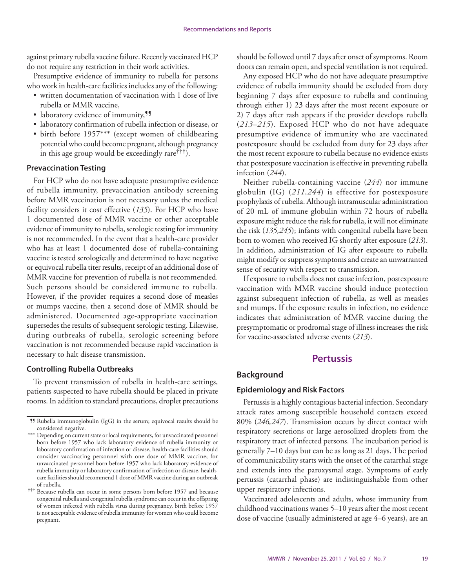against primary rubella vaccine failure. Recently vaccinated HCP do not require any restriction in their work activities.

Presumptive evidence of immunity to rubella for persons who work in health-care facilities includes any of the following:

- written documentation of vaccination with 1 dose of live rubella or MMR vaccine,
- laboratory evidence of immunity,<sup>99</sup>
- • laboratory confirmation of rubella infection or disease, or
- birth before 1957\*\*\* (except women of childbearing potential who could become pregnant, although pregnancy in this age group would be exceedingly rare†††).

#### **Prevaccination Testing**

For HCP who do not have adequate presumptive evidence of rubella immunity, prevaccination antibody screening before MMR vaccination is not necessary unless the medical facility considers it cost effective (*135*). For HCP who have 1 documented dose of MMR vaccine or other acceptable evidence of immunity to rubella, serologic testing for immunity is not recommended. In the event that a health-care provider who has at least 1 documented dose of rubella-containing vaccine is tested serologically and determined to have negative or equivocal rubella titer results, receipt of an additional dose of MMR vaccine for prevention of rubella is not recommended. Such persons should be considered immune to rubella. However, if the provider requires a second dose of measles or mumps vaccine, then a second dose of MMR should be administered. Documented age-appropriate vaccination supersedes the results of subsequent serologic testing. Likewise, during outbreaks of rubella, serologic screening before vaccination is not recommended because rapid vaccination is necessary to halt disease transmission.

#### **Controlling Rubella Outbreaks**

To prevent transmission of rubella in health-care settings, patients suspected to have rubella should be placed in private rooms. In addition to standard precautions, droplet precautions should be followed until 7 days after onset of symptoms. Room doors can remain open, and special ventilation is not required.

Any exposed HCP who do not have adequate presumptive evidence of rubella immunity should be excluded from duty beginning 7 days after exposure to rubella and continuing through either 1) 23 days after the most recent exposure or 2) 7 days after rash appears if the provider develops rubella (*213–215*). Exposed HCP who do not have adequate presumptive evidence of immunity who are vaccinated postexposure should be excluded from duty for 23 days after the most recent exposure to rubella because no evidence exists that postexposure vaccination is effective in preventing rubella infection (*244*).

Neither rubella-containing vaccine (*244*) nor immune globulin (IG) (*211,244*) is effective for postexposure prophylaxis of rubella. Although intramuscular administration of 20 mL of immune globulin within 72 hours of rubella exposure might reduce the risk for rubella, it will not eliminate the risk (*135,245*); infants with congenital rubella have been born to women who received IG shortly after exposure (*213*). In addition, administration of IG after exposure to rubella might modify or suppress symptoms and create an unwarranted sense of security with respect to transmission.

If exposure to rubella does not cause infection, postexposure vaccination with MMR vaccine should induce protection against subsequent infection of rubella, as well as measles and mumps. If the exposure results in infection, no evidence indicates that administration of MMR vaccine during the presymptomatic or prodromal stage of illness increases the risk for vaccine-associated adverse events (*213*).

## **Pertussis**

#### **Background**

#### **Epidemiology and Risk Factors**

Pertussis is a highly contagious bacterial infection. Secondary attack rates among susceptible household contacts exceed 80% (*246,247*). Transmission occurs by direct contact with respiratory secretions or large aerosolized droplets from the respiratory tract of infected persons. The incubation period is generally 7–10 days but can be as long as 21 days. The period of communicability starts with the onset of the catarrhal stage and extends into the paroxysmal stage. Symptoms of early pertussis (catarrhal phase) are indistinguishable from other upper respiratory infections.

Vaccinated adolescents and adults, whose immunity from childhood vaccinations wanes 5–10 years after the most recent dose of vaccine (usually administered at age 4–6 years), are an

<sup>¶¶</sup> Rubella immunoglobulin (IgG) in the serum; equivocal results should be considered negative.

<sup>\*\*\*</sup> Depending on current state or local requirements, for unvaccinated personnel born before 1957 who lack laboratory evidence of rubella immunity or laboratory confirmation of infection or disease, health-care facilities should consider vaccinating personnel with one dose of MMR vaccine; for unvaccinated personnel born before 1957 who lack laboratory evidence of rubella immunity or laboratory confirmation of infection or disease, healthcare facilities should recommend 1 dose of MMR vaccine during an outbreak of rubella.

<sup>†††</sup> Because rubella can occur in some persons born before 1957 and because congenital rubella and congenital rubella syndrome can occur in the offspring of women infected with rubella virus during pregnancy, birth before 1957 is not acceptable evidence of rubella immunity for women who could become pregnant.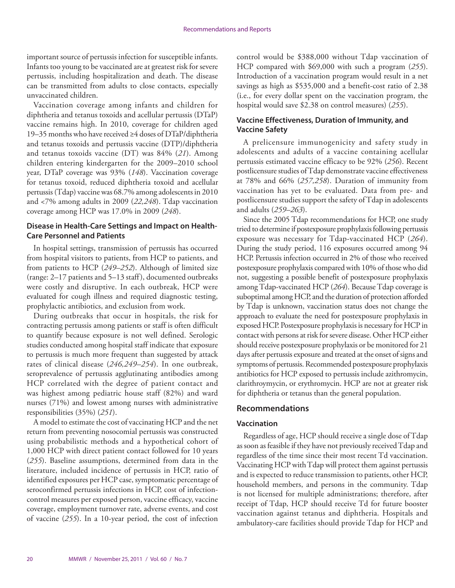important source of pertussis infection for susceptible infants. Infants too young to be vaccinated are at greatest risk for severe pertussis, including hospitalization and death. The disease can be transmitted from adults to close contacts, especially unvaccinated children.

Vaccination coverage among infants and children for diphtheria and tetanus toxoids and acellular pertussis (DTaP) vaccine remains high. In 2010, coverage for children aged 19–35 months who have received ≥4 doses of DTaP/diphtheria and tetanus toxoids and pertussis vaccine (DTP)/diphtheria and tetanus toxoids vaccine (DT) was 84% (*21*). Among children entering kindergarten for the 2009–2010 school year, DTaP coverage was 93% (*148*). Vaccination coverage for tetanus toxoid, reduced diphtheria toxoid and acellular pertussis (Tdap) vaccine was 68.7% among adolescents in 2010 and <7% among adults in 2009 (*22,248*). Tdap vaccination coverage among HCP was 17.0% in 2009 (*248*).

## **Disease in Health-Care Settings and Impact on Health-Care Personnel and Patients**

In hospital settings, transmission of pertussis has occurred from hospital visitors to patients, from HCP to patients, and from patients to HCP (*249–252*). Although of limited size (range: 2–17 patients and 5–13 staff), documented outbreaks were costly and disruptive. In each outbreak, HCP were evaluated for cough illness and required diagnostic testing, prophylactic antibiotics, and exclusion from work.

During outbreaks that occur in hospitals, the risk for contracting pertussis among patients or staff is often difficult to quantify because exposure is not well defined. Serologic studies conducted among hospital staff indicate that exposure to pertussis is much more frequent than suggested by attack rates of clinical disease (*246,249–254*). In one outbreak, seroprevalence of pertussis agglutinating antibodies among HCP correlated with the degree of patient contact and was highest among pediatric house staff (82%) and ward nurses (71%) and lowest among nurses with administrative responsibilities (35%) (*251*).

A model to estimate the cost of vaccinating HCP and the net return from preventing nosocomial pertussis was constructed using probabilistic methods and a hypothetical cohort of 1,000 HCP with direct patient contact followed for 10 years (*255*). Baseline assumptions, determined from data in the literature, included incidence of pertussis in HCP, ratio of identified exposures per HCP case, symptomatic percentage of seroconfirmed pertussis infections in HCP, cost of infectioncontrol measures per exposed person, vaccine efficacy, vaccine coverage, employment turnover rate, adverse events, and cost of vaccine (*255*). In a 10-year period, the cost of infection

control would be \$388,000 without Tdap vaccination of HCP compared with \$69,000 with such a program (*255*). Introduction of a vaccination program would result in a net savings as high as \$535,000 and a benefit-cost ratio of 2.38 (i.e., for every dollar spent on the vaccination program, the hospital would save \$2.38 on control measures) (*255*).

## **Vaccine Effectiveness, Duration of Immunity, and Vaccine Safety**

A prelicensure immunogenicity and safety study in adolescents and adults of a vaccine containing acellular pertussis estimated vaccine efficacy to be 92% (*256*). Recent postlicensure studies of Tdap demonstrate vaccine effectiveness at 78% and 66% (*257,258*). Duration of immunity from vaccination has yet to be evaluated. Data from pre- and postlicensure studies support the safety of Tdap in adolescents and adults (*259–263*).

Since the 2005 Tdap recommendations for HCP, one study tried to determine if postexposure prophylaxis following pertussis exposure was necessary for Tdap-vaccinated HCP (*264*). During the study period, 116 exposures occurred among 94 HCP. Pertussis infection occurred in 2% of those who received postexposure prophylaxis compared with 10% of those who did not, suggesting a possible benefit of postexposure prophylaxis among Tdap-vaccinated HCP (*264*). Because Tdap coverage is suboptimal among HCP, and the duration of protection afforded by Tdap is unknown, vaccination status does not change the approach to evaluate the need for postexposure prophylaxis in exposed HCP. Postexposure prophylaxis is necessary for HCP in contact with persons at risk for severe disease. Other HCP either should receive postexposure prophylaxis or be monitored for 21 days after pertussis exposure and treated at the onset of signs and symptoms of pertussis. Recommended postexposure prophylaxis antibiotics for HCP exposed to pertussis include azithromycin, clarithroymycin, or erythromycin. HCP are not at greater risk for diphtheria or tetanus than the general population.

## **Recommendations**

## **Vaccination**

Regardless of age, HCP should receive a single dose of Tdap as soon as feasible if they have not previously received Tdap and regardless of the time since their most recent Td vaccination. Vaccinating HCP with Tdap will protect them against pertussis and is expected to reduce transmission to patients, other HCP, household members, and persons in the community. Tdap is not licensed for multiple administrations; therefore, after receipt of Tdap, HCP should receive Td for future booster vaccination against tetanus and diphtheria. Hospitals and ambulatory-care facilities should provide Tdap for HCP and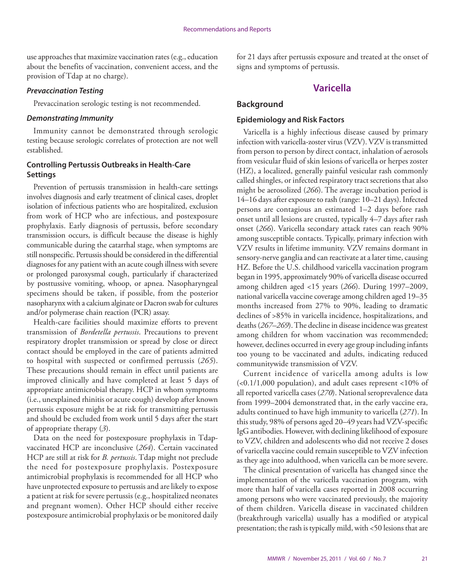use approaches that maximize vaccination rates (e.g., education about the benefits of vaccination, convenient access, and the provision of Tdap at no charge).

#### *Prevaccination Testing*

Prevaccination serologic testing is not recommended.

## *Demonstrating Immunity*

Immunity cannot be demonstrated through serologic testing because serologic correlates of protection are not well established.

### **Controlling Pertussis Outbreaks in Health-Care Settings**

Prevention of pertussis transmission in health-care settings involves diagnosis and early treatment of clinical cases, droplet isolation of infectious patients who are hospitalized, exclusion from work of HCP who are infectious, and postexposure prophylaxis. Early diagnosis of pertussis, before secondary transmission occurs, is difficult because the disease is highly communicable during the catarrhal stage, when symptoms are still nonspecific. Pertussis should be considered in the differential diagnoses for any patient with an acute cough illness with severe or prolonged paroxysmal cough, particularly if characterized by posttussive vomiting, whoop, or apnea. Nasopharyngeal specimens should be taken, if possible, from the posterior nasopharynx with a calcium alginate or Dacron swab for cultures and/or polymerase chain reaction (PCR) assay.

Health-care facilities should maximize efforts to prevent transmission of *Bordetella pertussis*. Precautions to prevent respiratory droplet transmission or spread by close or direct contact should be employed in the care of patients admitted to hospital with suspected or confirmed pertussis (*265*). These precautions should remain in effect until patients are improved clinically and have completed at least 5 days of appropriate antimicrobial therapy. HCP in whom symptoms (i.e., unexplained rhinitis or acute cough) develop after known pertussis exposure might be at risk for transmitting pertussis and should be excluded from work until 5 days after the start of appropriate therapy (*3*).

Data on the need for postexposure prophylaxis in Tdapvaccinated HCP are inconclusive (*264*). Certain vaccinated HCP are still at risk for *B. pertussis*. Tdap might not preclude the need for postexposure prophylaxis. Postexposure antimicrobial prophylaxis is recommended for all HCP who have unprotected exposure to pertussis and are likely to expose a patient at risk for severe pertussis (e.g., hospitalized neonates and pregnant women). Other HCP should either receive postexposure antimicrobial prophylaxis or be monitored daily

for 21 days after pertussis exposure and treated at the onset of signs and symptoms of pertussis.

## **Varicella**

#### **Background**

#### **Epidemiology and Risk Factors**

Varicella is a highly infectious disease caused by primary infection with varicella-zoster virus (VZV). VZV is transmitted from person to person by direct contact, inhalation of aerosols from vesicular fluid of skin lesions of varicella or herpes zoster (HZ), a localized, generally painful vesicular rash commonly called shingles, or infected respiratory tract secretions that also might be aerosolized (*266*). The average incubation period is 14–16 days after exposure to rash (range: 10–21 days). Infected persons are contagious an estimated 1–2 days before rash onset until all lesions are crusted, typically 4–7 days after rash onset (*266*). Varicella secondary attack rates can reach 90% among susceptible contacts. Typically, primary infection with VZV results in lifetime immunity. VZV remains dormant in sensory-nerve ganglia and can reactivate at a later time, causing HZ. Before the U.S. childhood varicella vaccination program began in 1995, approximately 90% of varicella disease occurred among children aged <15 years (*266*). During 1997–2009, national varicella vaccine coverage among children aged 19–35 months increased from 27% to 90%, leading to dramatic declines of >85% in varicella incidence, hospitalizations, and deaths (*267–269*). The decline in disease incidence was greatest among children for whom vaccination was recommended; however, declines occurred in every age group including infants too young to be vaccinated and adults, indicating reduced communitywide transmission of VZV.

Current incidence of varicella among adults is low (<0.1/1,000 population), and adult cases represent <10% of all reported varicella cases (*270*). National seroprevalence data from 1999–2004 demonstrated that, in the early vaccine era, adults continued to have high immunity to varicella (*271*). In this study, 98% of persons aged 20–49 years had VZV-specific IgG antibodies. However, with declining likelihood of exposure to VZV, children and adolescents who did not receive 2 doses of varicella vaccine could remain susceptible to VZV infection as they age into adulthood, when varicella can be more severe.

The clinical presentation of varicella has changed since the implementation of the varicella vaccination program, with more than half of varicella cases reported in 2008 occurring among persons who were vaccinated previously, the majority of them children. Varicella disease in vaccinated children (breakthrough varicella) usually has a modified or atypical presentation; the rash is typically mild, with <50 lesions that are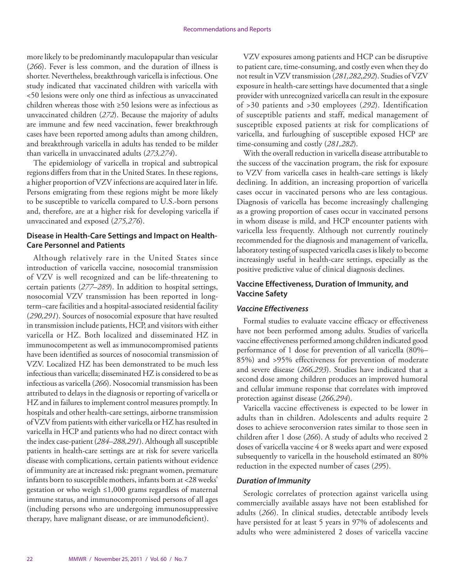more likely to be predominantly maculopapular than vesicular (*266*). Fever is less common, and the duration of illness is shorter. Nevertheless, breakthrough varicella is infectious. One study indicated that vaccinated children with varicella with <50 lesions were only one third as infectious as unvaccinated children whereas those with ≥50 lesions were as infectious as unvaccinated children (*272*). Because the majority of adults are immune and few need vaccination, fewer breakthrough cases have been reported among adults than among children, and breakthrough varicella in adults has tended to be milder than varicella in unvaccinated adults (*273,274*).

The epidemiology of varicella in tropical and subtropical regions differs from that in the United States. In these regions, a higher proportion of VZV infections are acquired later in life. Persons emigrating from these regions might be more likely to be susceptible to varicella compared to U.S.-born persons and, therefore, are at a higher risk for developing varicella if unvaccinated and exposed (*275,276*).

## **Disease in Health-Care Settings and Impact on Health-Care Personnel and Patients**

Although relatively rare in the United States since introduction of varicella vaccine, nosocomial transmission of VZV is well recognized and can be life-threatening to certain patients (*277–289*). In addition to hospital settings, nosocomial VZV transmission has been reported in longterm–care facilities and a hospital-associated residential facility (*290,291*). Sources of nosocomial exposure that have resulted in transmission include patients, HCP, and visitors with either varicella or HZ. Both localized and disseminated HZ in immunocompetent as well as immunocompromised patients have been identified as sources of nosocomial transmission of VZV. Localized HZ has been demonstrated to be much less infectious than varicella; disseminated HZ is considered to be as infectious as varicella (*266*). Nosocomial transmission has been attributed to delays in the diagnosis or reporting of varicella or HZ and in failures to implement control measures promptly. In hospitals and other health-care settings, airborne transmission of VZV from patients with either varicella or HZ has resulted in varicella in HCP and patients who had no direct contact with the index case-patient (*284–288,291*). Although all susceptible patients in health-care settings are at risk for severe varicella disease with complications, certain patients without evidence of immunity are at increased risk: pregnant women, premature infants born to susceptible mothers, infants born at <28 weeks' gestation or who weigh ≤1,000 grams regardless of maternal immune status, and immunocompromised persons of all ages (including persons who are undergoing immunosuppressive therapy, have malignant disease, or are immunodeficient).

VZV exposures among patients and HCP can be disruptive to patient care, time-consuming, and costly even when they do not result in VZV transmission (*281,282,292*). Studies of VZV exposure in health-care settings have documented that a single provider with unrecognized varicella can result in the exposure of >30 patients and >30 employees (*292*). Identification of susceptible patients and staff, medical management of susceptible exposed patients at risk for complications of varicella, and furloughing of susceptible exposed HCP are time-consuming and costly (*281,282*).

With the overall reduction in varicella disease attributable to the success of the vaccination program, the risk for exposure to VZV from varicella cases in health-care settings is likely declining. In addition, an increasing proportion of varicella cases occur in vaccinated persons who are less contagious. Diagnosis of varicella has become increasingly challenging as a growing proportion of cases occur in vaccinated persons in whom disease is mild, and HCP encounter patients with varicella less frequently. Although not currently routinely recommended for the diagnosis and management of varicella, laboratory testing of suspected varicella cases is likely to become increasingly useful in health-care settings, especially as the positive predictive value of clinical diagnosis declines.

## **Vaccine Effectiveness, Duration of Immunity, and Vaccine Safety**

#### *Vaccine Effectiveness*

Formal studies to evaluate vaccine efficacy or effectiveness have not been performed among adults. Studies of varicella vaccine effectiveness performed among children indicated good performance of 1 dose for prevention of all varicella (80%– 85%) and >95% effectiveness for prevention of moderate and severe disease (*266,293*). Studies have indicated that a second dose among children produces an improved humoral and cellular immune response that correlates with improved protection against disease (*266,294*).

Varicella vaccine effectiveness is expected to be lower in adults than in children. Adolescents and adults require 2 doses to achieve seroconversion rates similar to those seen in children after 1 dose (*266*). A study of adults who received 2 doses of varicella vaccine 4 or 8 weeks apart and were exposed subsequently to varicella in the household estimated an 80% reduction in the expected number of cases (*29*5).

#### *Duration of Immunity*

Serologic correlates of protection against varicella using commercially available assays have not been established for adults (*266*). In clinical studies, detectable antibody levels have persisted for at least 5 years in 97% of adolescents and adults who were administered 2 doses of varicella vaccine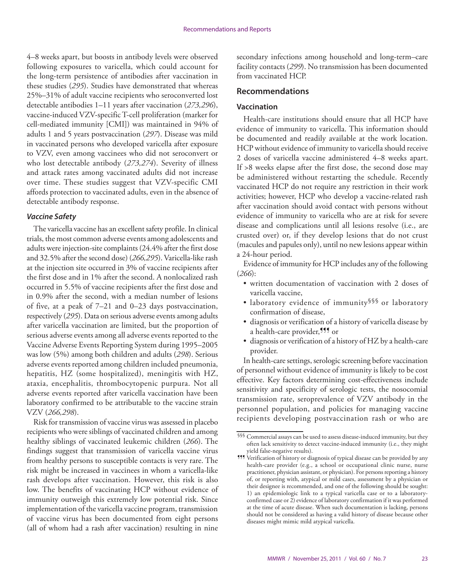4–8 weeks apart, but boosts in antibody levels were observed following exposures to varicella, which could account for the long-term persistence of antibodies after vaccination in these studies (*295*). Studies have demonstrated that whereas 25%–31% of adult vaccine recipients who seroconverted lost detectable antibodies 1–11 years after vaccination (*273,296*), vaccine-induced VZV-specific T-cell proliferation (marker for cell-mediated immunity [CMI]) was maintained in 94% of adults 1 and 5 years postvaccination (*297*). Disease was mild in vaccinated persons who developed varicella after exposure to VZV, even among vaccinees who did not seroconvert or who lost detectable antibody (*273,274*). Severity of illness and attack rates among vaccinated adults did not increase over time. These studies suggest that VZV-specific CMI affords protection to vaccinated adults, even in the absence of detectable antibody response.

#### *Vaccine Safety*

The varicella vaccine has an excellent safety profile. In clinical trials, the most common adverse events among adolescents and adults were injection-site complaints (24.4% after the first dose and 32.5% after the second dose) (*266,295*). Varicella-like rash at the injection site occurred in 3% of vaccine recipients after the first dose and in 1% after the second. A nonlocalized rash occurred in 5.5% of vaccine recipients after the first dose and in 0.9% after the second, with a median number of lesions of five, at a peak of 7–21 and 0–23 days postvaccination, respectively (*295*). Data on serious adverse events among adults after varicella vaccination are limited, but the proportion of serious adverse events among all adverse events reported to the Vaccine Adverse Events Reporting System during 1995–2005 was low (5%) among both children and adults (*298*). Serious adverse events reported among children included pneumonia, hepatitis, HZ (some hospitalized), meningitis with HZ, ataxia, encephalitis, thrombocytopenic purpura. Not all adverse events reported after varicella vaccination have been laboratory confirmed to be attributable to the vaccine strain VZV (*266,298*).

Risk for transmission of vaccine virus was assessed in placebo recipients who were siblings of vaccinated children and among healthy siblings of vaccinated leukemic children (*266*). The findings suggest that transmission of varicella vaccine virus from healthy persons to susceptible contacts is very rare. The risk might be increased in vaccinees in whom a varicella-like rash develops after vaccination. However, this risk is also low. The benefits of vaccinating HCP without evidence of immunity outweigh this extremely low potential risk. Since implementation of the varicella vaccine program, transmission of vaccine virus has been documented from eight persons (all of whom had a rash after vaccination) resulting in nine

secondary infections among household and long-term–care facility contacts (*299*). No transmission has been documented from vaccinated HCP.

#### **Recommendations**

#### **Vaccination**

Health-care institutions should ensure that all HCP have evidence of immunity to varicella. This information should be documented and readily available at the work location. HCP without evidence of immunity to varicella should receive 2 doses of varicella vaccine administered 4–8 weeks apart. If >8 weeks elapse after the first dose, the second dose may be administered without restarting the schedule. Recently vaccinated HCP do not require any restriction in their work activities; however, HCP who develop a vaccine-related rash after vaccination should avoid contact with persons without evidence of immunity to varicella who are at risk for severe disease and complications until all lesions resolve (i.e., are crusted over) or, if they develop lesions that do not crust (macules and papules only), until no new lesions appear within a 24-hour period.

Evidence of immunity for HCP includes any of the following (*266*):

- written documentation of vaccination with 2 doses of varicella vaccine,
- laboratory evidence of immunity<sup>§§§</sup> or laboratory confirmation of disease,
- diagnosis or verification of a history of varicella disease by a health-care provider,<sup>111</sup> or
- • diagnosis or verification of a history of HZ by a health-care provider.

In health-care settings, serologic screening before vaccination of personnel without evidence of immunity is likely to be cost effective. Key factors determining cost-effectiveness include sensitivity and specificity of serologic tests, the nosocomial transmission rate, seroprevalence of VZV antibody in the personnel population, and policies for managing vaccine recipients developing postvaccination rash or who are

<sup>§§§</sup> Commercial assays can be used to assess disease-induced immunity, but they often lack sensitivity to detect vaccine-induced immunity (i.e., they might yield false-negative results).

<sup>¶¶¶</sup> Verification of history or diagnosis of typical disease can be provided by any health-care provider (e.g., a school or occupational clinic nurse, nurse practitioner, physician assistant, or physician). For persons reporting a history of, or reporting with, atypical or mild cases, assessment by a physician or their designee is recommended, and one of the following should be sought: 1) an epidemiologic link to a typical varicella case or to a laboratoryconfirmed case or 2) evidence of laboratory confirmation if it was performed at the time of acute disease. When such documentation is lacking, persons should not be considered as having a valid history of disease because other diseases might mimic mild atypical varicella.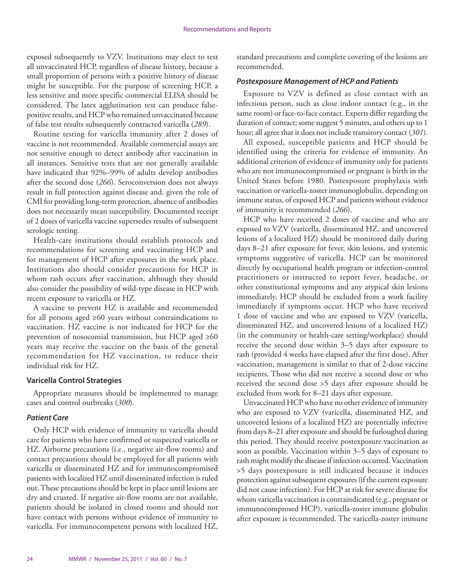exposed subsequently to VZV. Institutions may elect to test all unvaccinated HCP, regardless of disease history, because a small proportion of persons with a positive history of disease might be susceptible. For the purpose of screening HCP, a less sensitive and more specific commercial ELISA should be considered. The latex agglutination test can produce falsepositive results, and HCP who remained unvaccinated because of false test results subsequently contracted varicella (*289*).

Routine testing for varicella immunity after 2 doses of vaccine is not recommended. Available commercial assays are not sensitive enough to detect antibody after vaccination in all instances. Sensitive tests that are not generally available have indicated that 92%–99% of adults develop antibodies after the second dose (*266*). Seroconversion does not always result in full protection against disease and, given the role of CMI for providing long-term protection, absence of antibodies does not necessarily mean susceptibility. Documented receipt of 2 doses of varicella vaccine supersedes results of subsequent serologic testing.

Health-care institutions should establish protocols and recommendations for screening and vaccinating HCP and for management of HCP after exposures in the work place. Institutions also should consider precautions for HCP in whom rash occurs after vaccination, although they should also consider the possibility of wild-type disease in HCP with recent exposure to varicella or HZ.

A vaccine to prevent HZ is available and recommended for all persons aged ≥60 years without contraindications to vaccination. HZ vaccine is not indicated for HCP for the prevention of nosocomial transmission, but HCP aged ≥60 years may receive the vaccine on the basis of the general recommendation for HZ vaccination, to reduce their individual risk for HZ.

#### **Varicella Control Strategies**

Appropriate measures should be implemented to manage cases and control outbreaks (*300*).

#### *Patient Care*

Only HCP with evidence of immunity to varicella should care for patients who have confirmed or suspected varicella or HZ. Airborne precautions (i.e., negative air-flow rooms) and contact precautions should be employed for all patients with varicella or disseminated HZ and for immunocompromised patients with localized HZ until disseminated infection is ruled out. These precautions should be kept in place until lesions are dry and crusted. If negative air-flow rooms are not available, patients should be isolated in closed rooms and should not have contact with persons without evidence of immunity to varicella. For immunocompetent persons with localized HZ,

standard precautions and complete covering of the lesions are recommended.

## *Postexposure Management of HCP and Patients*

Exposure to VZV is defined as close contact with an infectious person, such as close indoor contact (e.g., in the same room) or face-to-face contact. Experts differ regarding the duration of contact; some suggest 5 minutes, and others up to 1 hour; all agree that it does not include transitory contact (*301*).

All exposed, susceptible patients and HCP should be identified using the criteria for evidence of immunity. An additional criterion of evidence of immunity only for patients who are not immunocompromised or pregnant is birth in the United States before 1980. Postexposure prophylaxis with vaccination or varicella-zoster immunoglobulin, depending on immune status, of exposed HCP and patients without evidence of immunity is recommended (*266*).

HCP who have received 2 doses of vaccine and who are exposed to VZV (varicella, disseminated HZ, and uncovered lesions of a localized HZ) should be monitored daily during days 8–21 after exposure for fever, skin lesions, and systemic symptoms suggestive of varicella. HCP can be monitored directly by occupational health program or infection-control practitioners or instructed to report fever, headache, or other constitutional symptoms and any atypical skin lesions immediately. HCP should be excluded from a work facility immediately if symptoms occur. HCP who have received 1 dose of vaccine and who are exposed to VZV (varicella, disseminated HZ, and uncovered lesions of a localized HZ) (in the community or health-care setting/workplace) should receive the second dose within 3–5 days after exposure to rash (provided 4 weeks have elapsed after the first dose). After vaccination, management is similar to that of 2-dose vaccine recipients. Those who did not receive a second dose or who received the second dose >5 days after exposure should be excluded from work for 8–21 days after exposure.

Unvaccinated HCP who have no other evidence of immunity who are exposed to VZV (varicella, disseminated HZ, and uncovered lesions of a localized HZ) are potentially infective from days 8–21 after exposure and should be furloughed during this period. They should receive postexposure vaccination as soon as possible. Vaccination within 3–5 days of exposure to rash might modify the disease if infection occurred. Vaccination >5 days postexposure is still indicated because it induces protection against subsequent exposures (if the current exposure did not cause infection). For HCP at risk for severe disease for whom varicella vaccination is contraindicated (e.g., pregnant or immunocomprosed HCP), varicella-zoster immune globulin after exposure is recommended. The varicella-zoster immune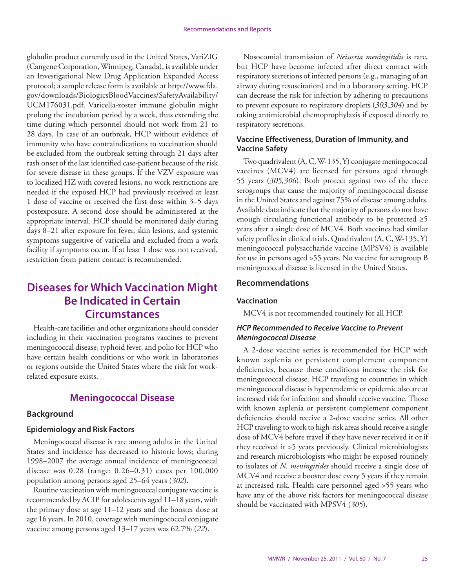<span id="page-26-0"></span>globulin product currently used in the United States, VariZIG (Cangene Corporation, Winnipeg, Canada), is available under an Investigational New Drug Application Expanded Access protocol; a sample release form is available at [http://www.fda.](http://www.fda.gov/downloads/BiologicsBloodVaccines/SafetyAvailability/UCM176031.pdf) [gov/downloads/BiologicsBloodVaccines/SafetyAvailability/](http://www.fda.gov/downloads/BiologicsBloodVaccines/SafetyAvailability/UCM176031.pdf) [UCM176031.pdf](http://www.fda.gov/downloads/BiologicsBloodVaccines/SafetyAvailability/UCM176031.pdf). Varicella-zoster immune globulin might prolong the incubation period by a week, thus extending the time during which personnel should not work from 21 to 28 days. In case of an outbreak, HCP without evidence of immunity who have contraindications to vaccination should be excluded from the outbreak setting through 21 days after rash onset of the last identified case-patient because of the risk for severe disease in these groups. If the VZV exposure was to localized HZ with covered lesions, no work restrictions are needed if the exposed HCP had previously received at least 1 dose of vaccine or received the first dose within 3–5 days postexposure. A second dose should be administered at the appropriate interval. HCP should be monitored daily during days 8–21 after exposure for fever, skin lesions, and systemic symptoms suggestive of varicella and excluded from a work facility if symptoms occur. If at least 1 dose was not received, restriction from patient contact is recommended.

## **Diseases for Which Vaccination Might Be Indicated in Certain Circumstances**

Health-care facilities and other organizations should consider including in their vaccination programs vaccines to prevent meningococcal disease, typhoid fever, and polio for HCP who have certain health conditions or who work in laboratories or regions outside the United States where the risk for workrelated exposure exists.

## **Meningococcal Disease**

## **Background**

#### **Epidemiology and Risk Factors**

Meningococcal disease is rare among adults in the United States and incidence has decreased to historic lows; during 1998–2007 the average annual incidence of meningococcal disease was 0.28 (range: 0.26–0.31) cases per 100,000 population among persons aged 25–64 years (*302*).

Routine vaccination with meningococcal conjugate vaccine is recommended by ACIP for adolescents aged 11–18 years, with the primary dose at age 11–12 years and the booster dose at age 16 years. In 2010, coverage with meningococcal conjugate vaccine among persons aged 13–17 years was 62.7% (*22*).

Nosocomial transmission of *Neisseria meningitidis* is rare, but HCP have become infected after direct contact with respiratory secretions of infected persons (e.g., managing of an airway during resuscitation) and in a laboratory setting. HCP can decrease the risk for infection by adhering to precautions to prevent exposure to respiratory droplets (*303,304*) and by taking antimicrobial chemoprophylaxis if exposed directly to respiratory secretions.

## **Vaccine Effectiveness, Duration of Immunity, and Vaccine Safety**

Two quadrivalent (A, C, W-135, Y) conjugate meningococcal vaccines (MCV4) are licensed for persons aged through 55 years (*305,306*). Both protect against two of the three serogroups that cause the majority of meningococcal disease in the United States and against 75% of disease among adults. Available data indicate that the majority of persons do not have enough circulating functional antibody to be protected  $\geq 5$ years after a single dose of MCV4. Both vaccines had similar safety profiles in clinical trials. Quadrivalent (A, C, W-135, Y) meningococcal polysaccharide vaccine (MPSV4) is available for use in persons aged >55 years. No vaccine for serogroup B meningococcal disease is licensed in the United States.

### **Recommendations**

### **Vaccination**

MCV4 is not recommended routinely for all HCP.

## *HCP Recommended to Receive Vaccine to Prevent Meningococcal Disease*

A 2-dose vaccine series is recommended for HCP with known asplenia or persistent complement component deficiencies, because these conditions increase the risk for meningococcal disease. HCP traveling to countries in which meningococcal disease is hyperendemic or epidemic also are at increased risk for infection and should receive vaccine. Those with known asplenia or persistent complement component deficiencies should receive a 2-dose vaccine series. All other HCP traveling to work to high-risk areas should receive a single dose of MCV4 before travel if they have never received it or if they received it >5 years previously. Clinical microbiologists and research microbiologists who might be exposed routinely to isolates of *N. meningitides* should receive a single dose of MCV4 and receive a booster dose every 5 years if they remain at increased risk. Health-care personnel aged >55 years who have any of the above risk factors for meningococcal disease should be vaccinated with MPSV4 (*305*).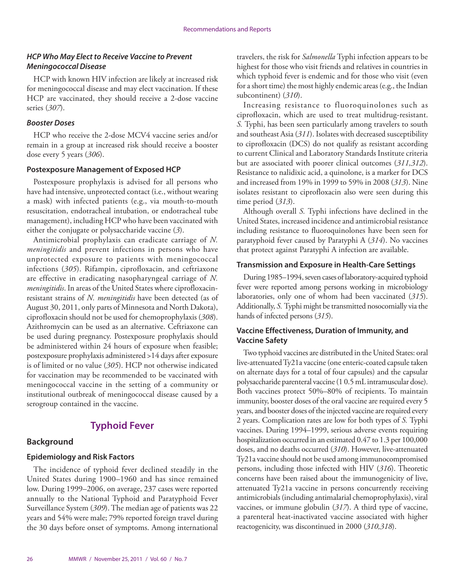## *HCP Who May Elect to Receive Vaccine to Prevent Meningococcal Disease*

HCP with known HIV infection are likely at increased risk for meningococcal disease and may elect vaccination. If these HCP are vaccinated, they should receive a 2-dose vaccine series (*307*).

## *Booster Doses*

HCP who receive the 2-dose MCV4 vaccine series and/or remain in a group at increased risk should receive a booster dose every 5 years (*306*).

## **Postexposure Management of Exposed HCP**

Postexposure prophylaxis is advised for all persons who have had intensive, unprotected contact (i.e., without wearing a mask) with infected patients (e.g., via mouth-to-mouth resuscitation, endotracheal intubation, or endotracheal tube management), including HCP who have been vaccinated with either the conjugate or polysaccharide vaccine (*3*).

Antimicrobial prophylaxis can eradicate carriage of *N. meningitidis* and prevent infections in persons who have unprotected exposure to patients with meningococcal infections (*305*). Rifampin, ciprofloxacin, and ceftriaxone are effective in eradicating nasopharyngeal carriage of *N. meningitidis*. In areas of the United States where ciprofloxacinresistant strains of *N. meningitidis* have been detected (as of August 30, 2011, only parts of Minnesota and North Dakota), ciprofloxacin should not be used for chemoprophylaxis (*308*). Azithromycin can be used as an alternative. Ceftriaxone can be used during pregnancy. Postexposure prophylaxis should be administered within 24 hours of exposure when feasible; postexposure prophylaxis administered >14 days after exposure is of limited or no value (*305*). HCP not otherwise indicated for vaccination may be recommended to be vaccinated with meningococcal vaccine in the setting of a community or institutional outbreak of meningococcal disease caused by a serogroup contained in the vaccine.

## **Typhoid Fever**

## **Background**

## **Epidemiology and Risk Factors**

The incidence of typhoid fever declined steadily in the United States during 1900–1960 and has since remained low. During 1999–2006, on average, 237 cases were reported annually to the National Typhoid and Paratyphoid Fever Surveillance System (*309*). The median age of patients was 22 years and 54% were male; 79% reported foreign travel during the 30 days before onset of symptoms. Among international

travelers, the risk for *Salmonella* Typhi infection appears to be highest for those who visit friends and relatives in countries in which typhoid fever is endemic and for those who visit (even for a short time) the most highly endemic areas (e.g., the Indian subcontinent) (*310*).

Increasing resistance to fluoroquinolones such as ciprofloxacin, which are used to treat multidrug-resistant. *S.* Typhi, has been seen particularly among travelers to south and southeast Asia (*311*). Isolates with decreased susceptibility to ciprofloxacin (DCS) do not qualify as resistant according to current Clinical and Laboratory Standards Institute criteria but are associated with poorer clinical outcomes (*311,312*). Resistance to nalidixic acid, a quinolone, is a marker for DCS and increased from 19% in 1999 to 59% in 2008 (*313*). Nine isolates resistant to ciprofloxacin also were seen during this time period (*313*).

Although overall *S.* Typhi infections have declined in the United States, increased incidence and antimicrobial resistance including resistance to fluoroquinolones have been seen for paratyphoid fever caused by Paratyphi A (*314*). No vaccines that protect against Paratyphi A infection are available.

## **Transmission and Exposure in Health-Care Settings**

During 1985–1994, seven cases of laboratory-acquired typhoid fever were reported among persons working in microbiology laboratories, only one of whom had been vaccinated (*315*). Additionally, *S.* Typhi might be transmitted nosocomially via the hands of infected persons (*315*).

## **Vaccine Effectiveness, Duration of Immunity, and Vaccine Safety**

Two typhoid vaccines are distributed in the United States: oral live-attenuated Ty21a vaccine (one enteric-coated capsule taken on alternate days for a total of four capsules) and the capsular polysaccharide parenteral vaccine (1 0.5 mL intramuscular dose). Both vaccines protect 50%–80% of recipients. To maintain immunity, booster doses of the oral vaccine are required every 5 years, and booster doses of the injected vaccine are required every 2 years. Complication rates are low for both types of *S.* Typhi vaccines. During 1994–1999, serious adverse events requiring hospitalization occurred in an estimated 0.47 to 1.3 per 100,000 doses, and no deaths occurred (*310*). However, live-attenuated Ty21a vaccine should not be used among immunocompromised persons, including those infected with HIV (*316*). Theoretic concerns have been raised about the immunogenicity of live, attenuated Ty21a vaccine in persons concurrently receiving antimicrobials (including antimalarial chemoprophylaxis), viral vaccines, or immune globulin (*317*). A third type of vaccine, a parenteral heat-inactivated vaccine associated with higher reactogenicity, was discontinued in 2000 (*310,318*).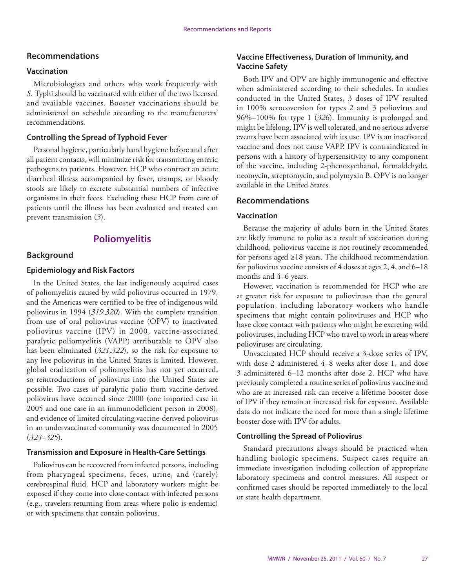## **Recommendations**

### **Vaccination**

Microbiologists and others who work frequently with *S.* Typhi should be vaccinated with either of the two licensed and available vaccines. Booster vaccinations should be administered on schedule according to the manufacturers' recommendations.

#### **Controlling the Spread of Typhoid Fever**

Personal hygiene, particularly hand hygiene before and after all patient contacts, will minimize risk for transmitting enteric pathogens to patients. However, HCP who contract an acute diarrheal illness accompanied by fever, cramps, or bloody stools are likely to excrete substantial numbers of infective organisms in their feces. Excluding these HCP from care of patients until the illness has been evaluated and treated can prevent transmission (*3*).

## **Poliomyelitis**

## **Background**

#### **Epidemiology and Risk Factors**

In the United States, the last indigenously acquired cases of poliomyelitis caused by wild poliovirus occurred in 1979, and the Americas were certified to be free of indigenous wild poliovirus in 1994 (*319,320*). With the complete transition from use of oral poliovirus vaccine (OPV) to inactivated poliovirus vaccine (IPV) in 2000, vaccine-associated paralytic poliomyelitis (VAPP) attributable to OPV also has been eliminated (*321,322*), so the risk for exposure to any live poliovirus in the United States is limited. However, global eradication of poliomyelitis has not yet occurred, so reintroductions of poliovirus into the United States are possible. Two cases of paralytic polio from vaccine-derived poliovirus have occurred since 2000 (one imported case in 2005 and one case in an immunodeficient person in 2008), and evidence of limited circulating vaccine-derived poliovirus in an undervaccinated community was documented in 2005 (*323–325*).

#### **Transmission and Exposure in Health-Care Settings**

Poliovirus can be recovered from infected persons, including from pharyngeal specimens, feces, urine, and (rarely) cerebrospinal fluid. HCP and laboratory workers might be exposed if they come into close contact with infected persons (e.g., travelers returning from areas where polio is endemic) or with specimens that contain poliovirus.

## **Vaccine Effectiveness, Duration of Immunity, and Vaccine Safety**

Both IPV and OPV are highly immunogenic and effective when administered according to their schedules. In studies conducted in the United States, 3 doses of IPV resulted in 100% serocoversion for types 2 and 3 poliovirus and 96%–100% for type 1 (*326*). Immunity is prolonged and might be lifelong. IPV is well tolerated, and no serious adverse events have been associated with its use. IPV is an inactivated vaccine and does not cause VAPP. IPV is contraindicated in persons with a history of hypersensitivity to any component of the vaccine, including 2-phenoxyethanol, formaldehyde, neomycin, streptomycin, and polymyxin B. OPV is no longer available in the United States.

### **Recommendations**

#### **Vaccination**

Because the majority of adults born in the United States are likely immune to polio as a result of vaccination during childhood, poliovirus vaccine is not routinely recommended for persons aged ≥18 years. The childhood recommendation for poliovirus vaccine consists of 4 doses at ages 2, 4, and 6–18 months and 4–6 years.

However, vaccination is recommended for HCP who are at greater risk for exposure to polioviruses than the general population, including laboratory workers who handle specimens that might contain polioviruses and HCP who have close contact with patients who might be excreting wild polioviruses, including HCP who travel to work in areas where polioviruses are circulating.

Unvaccinated HCP should receive a 3-dose series of IPV, with dose 2 administered 4–8 weeks after dose 1, and dose 3 administered 6–12 months after dose 2. HCP who have previously completed a routine series of poliovirus vaccine and who are at increased risk can receive a lifetime booster dose of IPV if they remain at increased risk for exposure. Available data do not indicate the need for more than a single lifetime booster dose with IPV for adults.

#### **Controlling the Spread of Poliovirus**

Standard precautions always should be practiced when handling biologic specimens. Suspect cases require an immediate investigation including collection of appropriate laboratory specimens and control measures. All suspect or confirmed cases should be reported immediately to the local or state health department.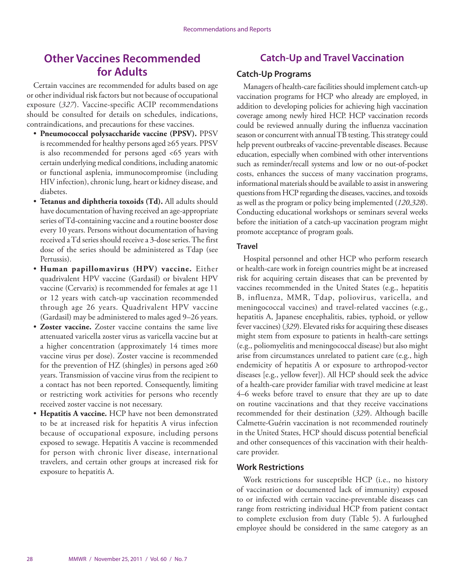## <span id="page-29-0"></span>**Other Vaccines Recommended for Adults**

Certain vaccines are recommended for adults based on age or other individual risk factors but not because of occupational exposure (*327*). Vaccine-specific ACIP recommendations should be consulted for details on schedules, indications, contraindications, and precautions for these vaccines.

- • **Pneumococcal polysaccharide vaccine (PPSV).** PPSV is recommended for healthy persons aged ≥65 years. PPSV is also recommended for persons aged <65 years with certain underlying medical conditions, including anatomic or functional asplenia, immunocompromise (including HIV infection), chronic lung, heart or kidney disease, and diabetes.
- • **Tetanus and diphtheria toxoids (Td).** All adults should have documentation of having received an age-appropriate series of Td-containing vaccine and a routine booster dose every 10 years. Persons without documentation of having received a Td series should receive a 3-dose series. The first dose of the series should be administered as Tdap (see Pertussis).
- • **Human papillomavirus (HPV) vaccine.** Either quadrivalent HPV vaccine (Gardasil) or bivalent HPV vaccine (Cervarix) is recommended for females at age 11 or 12 years with catch-up vaccination recommended through age 26 years. Quadrivalent HPV vaccine (Gardasil) may be administered to males aged 9–26 years.
- • **Zoster vaccine.** Zoster vaccine contains the same live attenuated varicella zoster virus as varicella vaccine but at a higher concentration (approximately 14 times more vaccine virus per dose). Zoster vaccine is recommended for the prevention of HZ (shingles) in persons aged  $≥60$ years. Transmission of vaccine virus from the recipient to a contact has not been reported. Consequently, limiting or restricting work activities for persons who recently received zoster vaccine is not necessary.
- • **Hepatitis A vaccine.** HCP have not been demonstrated to be at increased risk for hepatitis A virus infection because of occupational exposure, including persons exposed to sewage. Hepatitis A vaccine is recommended for person with chronic liver disease, international travelers, and certain other groups at increased risk for exposure to hepatitis A.

## **Catch-Up and Travel Vaccination**

## **Catch-Up Programs**

Managers of health-care facilities should implement catch-up vaccination programs for HCP who already are employed, in addition to developing policies for achieving high vaccination coverage among newly hired HCP. HCP vaccination records could be reviewed annually during the influenza vaccination season or concurrent with annual TB testing. This strategy could help prevent outbreaks of vaccine-preventable diseases. Because education, especially when combined with other interventions such as reminder/recall systems and low or no out-of-pocket costs, enhances the success of many vaccination programs, informational materials should be available to assist in answering questions from HCP regarding the diseases, vaccines, and toxoids as well as the program or policy being implemented (*120,328*). Conducting educational workshops or seminars several weeks before the initiation of a catch-up vaccination program might promote acceptance of program goals.

#### **Travel**

Hospital personnel and other HCP who perform research or health-care work in foreign countries might be at increased risk for acquiring certain diseases that can be prevented by vaccines recommended in the United States (e.g., hepatitis B, influenza, MMR, Tdap, poliovirus, varicella, and meningococcal vaccines) and travel-related vaccines (e.g., hepatitis A, Japanese encephalitis, rabies, typhoid, or yellow fever vaccines) (*329*). Elevated risks for acquiring these diseases might stem from exposure to patients in health-care settings (e.g., poliomyelitis and meningococcal disease) but also might arise from circumstances unrelated to patient care (e.g., high endemicity of hepatitis A or exposure to arthropod-vector diseases [e.g., yellow fever]). All HCP should seek the advice of a health-care provider familiar with travel medicine at least 4–6 weeks before travel to ensure that they are up to date on routine vaccinations and that they receive vaccinations recommended for their destination (*329*). Although bacille Calmette-Guérin vaccination is not recommended routinely in the United States, HCP should discuss potential beneficial and other consequences of this vaccination with their healthcare provider.

## **Work Restrictions**

Work restrictions for susceptible HCP (i.e., no history of vaccination or documented lack of immunity) exposed to or infected with certain vaccine-preventable diseases can range from restricting individual HCP from patient contact to complete exclusion from duty (Table 5). A furloughed employee should be considered in the same category as an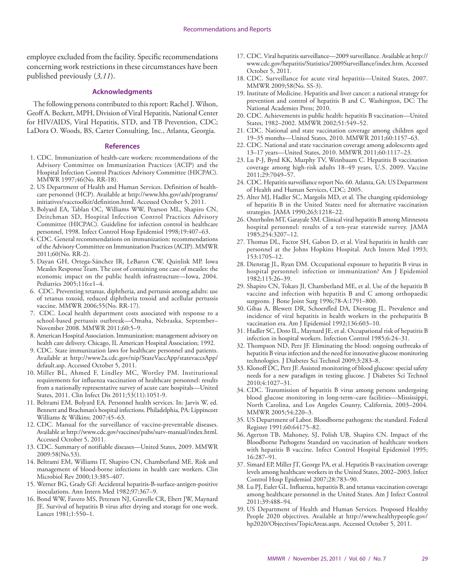<span id="page-30-0"></span>employee excluded from the facility. Specific recommendations concerning work restrictions in these circumstances have been published previously (*3,11*).

#### **Acknowledgments**

The following persons contributed to this report: Rachel J. Wilson, Geoff A. Beckett, MPH, Division of Viral Hepatitis, National Center for HIV/AIDS, Viral Hepatitis, STD, and TB Prevention, CDC; LaDora O. Woods, BS, Carter Consulting, Inc., Atlanta, Georgia.

#### **References**

- 1. CDC. Immunization of health-care workers: recommendations of the Advisory Committee on Immunization Practices (ACIP) and the Hospital Infection Control Practices Advisory Committee (HICPAC). MMWR 1997;46(No. RR-18).
- 2. US Department of Health and Human Services. Definition of healthcare personnel (HCP). Available at [http://www.hhs.gov/ash/programs/](http://www.hhs.gov/ash/programs/initiatives/vacctoolkit/definition.html) [initiatives/vacctoolkit/definition.html.](http://www.hhs.gov/ash/programs/initiatives/vacctoolkit/definition.html) Accessed October 5, 2011.
- 3. Bolyard EA, Tablan OC, Williams WW, Pearson ML, Shapiro CN, Deitchman SD, Hospital Infection Control Practices Advisory Committee (HICPAC). Guideline for infection control in healthcare personnel, 1998. Infect Control Hosp Epidemiol 1998;19:407–63.
- 4. CDC. General recommendations on immunization: recommendations of the Advisory Committee on Immunization Practices (ACIP). MMWR 2011;60(No. RR-2).
- 5. Dayan GH, Ortega-Sánchez IR, LeBaron CW, Quinlisk MP. Iowa Measles Response Team. The cost of containing one case of measles: the economic impact on the public health infrastructure—Iowa, 2004. Pediatrics 2005;116:e1–4.
- 6. CDC. Preventing tetanus, diphtheria, and pertussis among adults: use of tetanus toxoid, reduced diphtheria toxoid and acellular pertussis vaccine. MMWR 2006;55(No. RR-17).
- 7. CDC. Local health department costs associated with response to a school-based pertussis outbreak—Omaha, Nebraska, September– November 2008. MMWR 2011;60:5–9.
- 8. American Hospital Association. Immunization: management advisory on health care delivery. Chicago, IL American Hospital Association; 1992.
- 9. CDC. State immunization laws for healthcare personnel and patients. Available at [http://www2a.cdc.gov/nip/StateVaccApp/statevaccsApp/](http://www2a.cdc.gov/nip/StateVaccApp/statevaccsApp/default.asp) [default.asp.](http://www2a.cdc.gov/nip/StateVaccApp/statevaccsApp/default.asp) Accessed October 5, 2011.
- 10. Miller BL, Ahmed F, Lindley MC, Wortley PM. Institutional requirements for influenza vaccination of healthcare personnel: results from a nationally representative survey of acute care hospitals—United States, 2011. Clin Infect Dis 2011;53(11):1051-9.
- 11. Beltrami EM, Bolyard EA. Personnel health services. In: Jarvis W, ed. Bennett and Brachman's hospital infections. Philadelphia, PA: Lippincott Williams & Wilkins; 2007:45–63.
- 12. CDC. Manual for the surveillance of vaccine-preventable diseases. Available at<http://www.cdc.gov/vaccines/pubs/surv-manual/index.html>. Accessed October 5, 2011.
- 13. CDC. Summary of notifiable diseases—United States, 2009. MMWR 2009:58(No.53).
- 14. Beltrami EM, Williams IT, Shapiro CN, Chamberland ME. Risk and management of blood-borne infections in health care workers. Clin Microbiol Rev 2000;13:385–407.
- 15. Werner BG, Grady GF. Accidental hepatitis-B-surface-antigen-positive inoculations. Ann Intern Med 1982;97:367–9.
- 16. Bond WW, Favero MS, Petersen NJ, Gravelle CR, Ebert JW, Maynard JE. Survival of hepatitis B virus after drying and storage for one week. Lancet 1981;1:550–1.
- 17. CDC. Viral hepatitis surveillance—2009 surveillance. Available at [http://](http://www.cdc.gov/hepatitis/Statistics/2009Surveillance/index.htm) [www.cdc.gov/hepatitis/Statistics/2009Surveillance/index.htm](http://www.cdc.gov/hepatitis/Statistics/2009Surveillance/index.htm). Accessed October 5, 2011.
- 18. CDC. Surveillance for acute viral hepatitis—United States, 2007. MMWR 2009;58(No. SS-3).
- 19. Institute of Medicine. Hepatitis and liver cancer: a national strategy for prevention and control of hepatitis B and C. Washington, DC: The National Academies Press; 2010.
- 20. CDC. Achievements in public health: hepatitis B vaccination—United States, 1982–2002. MMWR 2002;51:549–52.
- 21. CDC. National and state vaccination coverage among children aged 19–35 months—United States, 2010. MMWR 2011;60:1157–63.
- 22. CDC. National and state vaccination coverage among adolescents aged 13–17 years—United States, 2010. MMWR 2011;60:1117–23.
- 23. Lu P-J, Byrd KK, Murphy TV, Weinbaum C. Hepatitis B vaccination coverage among high-risk adults 18–49 years, U.S. 2009. Vaccine 2011;29:7049–57.
- 24. CDC. Hepatitis surveillance report No. 60. Atlanta, GA: US Department of Health and Human Services, CDC; 2005.
- 25. Alter MJ, Hadler SC, Margolis MD, et al. The changing epidemiology of hepatitis B in the United States: need for alternative vaccination strategies. JAMA 1990;263:1218–22.
- 26. Osterholm MT, Garayale SM. Clinical viral hepatitis B among Minnesota hospital personnel: results of a ten-year statewide survey. JAMA 1985;254:3207–12.
- 27. Thomas DL, Factor SH, Gabon D, et al. Viral hepatitis in health care personnel at the Johns Hopkins Hospital. Arch Intern Med 1993; 153:1705–12.
- 28. Dienstag JL, Ryan DM. Occupational exposure to hepatitis B virus in hospital personnel: infection or immunization? Am J Epidemiol 1982;115:26–39.
- 29. Shapiro CN, Tokars JI, Chamberland ME, et al. Use of the hepatitis B vaccine and infection with hepatitis B and C among orthopaedic surgeons. J Bone Joint Surg 1996;78-A:1791–800.
- 30. Gibas A, Blewett DR, Schoenfled DA, Dienstag JL. Prevalence and incidence of viral hepatitis in health workers in the prehepatitis B vaccination era. Am J Epidemiol 1992;136:603–10.
- 31. Hadler SC, Doto IL, Maynard JE, et al. Occupational risk of hepatitis B infection in hospital workers. Infection Control 1985;6:24–31.
- 32. Thompson ND, Perz JF. Eliminating the blood: ongoing outbreaks of hepatitis B virus infection and the need for innovative glucose monitoring technologies. J Diabetes Sci Technol 2009;3:283–8.
- 33. Klonoff DC, Perz JF. Assisted monitoring of blood glucose: special safety needs for a new paradigm in testing glucose. J Diabetes Sci Technol 2010;4:1027–31.
- 34. CDC. Transmission of hepatitis B virus among persons undergoing blood glucose monitoring in long-term–care facilities—Mississippi, North Carolina, and Los Angeles County, California, 2003–2004. MMWR 2005;54:220–3.
- 35. US Department of Labor. Bloodborne pathogens: the standard. Federal Register 1991;60:64175–82.
- 36. Agerton TB, Mahoney, SJ, Polish UB, Shapiro CN. Impact of the Bloodborne Pathogens Standard on vaccination of healthcare workers with hepatitis B vaccine. Infect Control Hospital Epidemiol 1995; 16:287–91.
- 37. Simard EP, Miller JT, George PA, et al. Hepatitis B vaccination coverage levels among healthcare workers in the United States, 2002–2003. Infect Control Hosp Epidemiol 2007;28:783–90.
- 38. Lu PJ, Euler GL. Influenza, hepatitis B, and tetanus vaccination coverage among healthcare personnel in the United States. Am J Infect Control 2011;39:488–94.
- 39. US Department of Health and Human Services. Proposed Healthy People 2020 objectives. Available at [http://www.healthypeople.gov/](http://www.healthypeople.gov/hp2020/Objectives/TopicAreas.aspx) [hp2020/Objectives/TopicAreas.aspx](http://www.healthypeople.gov/hp2020/Objectives/TopicAreas.aspx). Accessed October 5, 2011.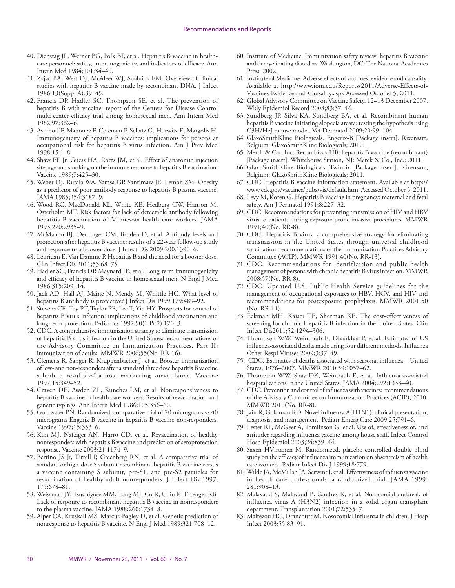- 40. Dienstag JL, Werner BG, Polk BF, et al. Hepatitis B vaccine in healthcare personnel: safety, immunogenicity, and indicators of efficacy. Ann Intern Med 1984;101:34–40.
- 41. Zajac BA, West DJ, McAleer WJ, Scolnick EM. Overview of clinical studies with hepatitis B vaccine made by recombinant DNA. J Infect 1986;13(Suppl A):39–45.
- 42. Francis DP, Hadler SC, Thompson SE, et al. The prevention of hepatitis B with vaccine: report of the Centers for Disease Control multi-center efficacy trial among homosexual men. Ann Intern Med 1982;97:362–6.
- 43. Averhoff F, Mahoney F, Coleman P, Schatz G, Hurwitz E, Margolis H. Immunogenicity of hepatitis B vaccines: implications for persons at occupational risk for hepatitis B virus infection. Am J Prev Med 1998;15:1–8.
- 44. Shaw FE Jr, Guess HA, Roets JM, et al. Effect of anatomic injection site, age and smoking on the immune response to hepatitis B vaccination. Vaccine 1989;7:425–30.
- 45. Weber DJ, Rutala WA, Samsa GP, Santimaw JE, Lemon SM. Obesity as a predictor of poor antibody response to hepatitis B plasma vaccine. JAMA 1985;254:3187–9.
- 46. Wood RC, MacDonald KL, White KE, Hedberg CW, Hanson M, Osterholm MT. Risk factors for lack of detectable antibody following hepatitis B vaccination of Minnesota health care workers. JAMA 1993;270:2935–9.
- 47. McMahon BJ, Dentinger CM, Bruden D, et al. Antibody levels and protection after hepatitis B vaccine: results of a 22-year follow-up study and response to a booster dose. J Infect Dis 2009;200:1390–6.
- 48. Leuridan E, Van Damme P. Hepatitis B and the need for a booster dose. Clin Infect Dis 2011;53:68–75.
- 49. Hadler SC, Francis DP, Maynard JE, et al. Long-term immunogenicity and efficacy of hepatitis B vaccine in homosexual men. N Engl J Med 1986;315:209–14.
- 50. Jack AD, Hall AJ, Maine N, Mendy M, Whittle HC. What level of hepatitis B antibody is protective? J Infect Dis 1999;179:489–92.
- 51. Stevens CE, Toy PT, Taylor PE, Lee T, Yip HY. Prospects for control of hepatitis B virus infection: implications of childhood vaccination and long-term protection. Pediatrics 1992;90(1 Pt 2):170–3.
- 52. CDC. A comprehensive immunization strategy to eliminate transmission of hepatitis B virus infection in the United States: recommendations of the Advisory Committee on Immunization Practices. Part II: immunization of adults. MMWR 2006;55(No. RR-16).
- 53. Clemens R, Sanger R, Kruppenbacher J, et al. Booster immunization of low- and non-responders after a standard three dose hepatitis B vaccine schedule–results of a post-marketing surveillance. Vaccine 1997;15:349–52.
- 54. Craven DE, Awdeh ZL, Kunches LM, et al. Nonresponsiveness to hepatitis B vaccine in health care workers. Results of revaccination and genetic typings. Ann Intern Med 1986;105:356–60.
- 55. Goldwater PN. Randomized, comparative trial of 20 micrograms vs 40 micrograms Engerix B vaccine in hepatitis B vaccine non-responders. Vaccine 1997;15:353–6.
- 56. Kim MJ, Nafziger AN, Harro CD, et al. Revaccination of healthy nonresponders with hepatitis B vaccine and prediction of seroprotection response. Vaccine 2003;21:1174–9.
- 57. Bertino JS Jr, Tirrell P, Greenberg RN, et al. A comparative trial of standard or high-dose S subunit recombinant hepatitis B vaccine versus a vaccine containing S subunit, pre-S1, and pre-S2 particles for revaccination of healthy adult nonresponders. J Infect Dis 1997; 175:678–81.
- 58. Weissman JY, Tsuchiyose MM, Tong MJ, Co R, Chin K, Ettenger RB. Lack of response to recombinant hepatitis B vaccine in nonresponders to the plasma vaccine. JAMA 1988;260:1734–8.
- 59. Alper CA, Kruskall MS, Marcus-Bagley D, et al. Genetic prediction of nonresponse to hepatitis B vaccine. N Engl J Med 1989;321:708–12.
- 60. Institute of Medicine. Immunization safety review: hepatitis B vaccine and demyelinating disorders. Washington, DC: The National Academies Press; 2002.
- 61. Institute of Medicine. Adverse effects of vaccines: evidence and causality. Available at [http://www.iom.edu/Reports/2011/Adverse-Effects-of-](http://www.iom.edu/Reports/2011/Adverse-Effects-of-Vaccines-Evidence-and-Causality.aspx)[Vaccines-Evidence-and-Causality.aspx](http://www.iom.edu/Reports/2011/Adverse-Effects-of-Vaccines-Evidence-and-Causality.aspx) Accessed October 5, 2011.
- 62. Global Advisory Committee on Vaccine Safety. 12–13 December 2007. Wkly Epidemiol Record 2008;83:37–44.
- 63. Sundberg JP, Silva KA, Sundberg BA, et al. Recombinant human hepatitis B vaccine initiating alopecia areata: testing the hypothesis using C3H/HeJ mouse model. Vet Dermatol 2009;20:99–104.
- 64. GlaxoSmithKline Biologicals. Engerix-B [Package insert]. Rixensart, Belgium: GlaxoSmithKline Biologicals; 2010.
- 65. Merck & Co., Inc. Recombivax HB: hepatitis B vaccine (recombinant) [Package insert]. Whitehouse Station, NJ: Merck & Co., Inc.; 2011.
- 66. GlaxoSmithKline Biologicals. Twinrix [Package insert]. Rixensart, Belgium: GlaxoSmithKline Biologicals; 2011.
- 67. CDC. Hepatitis B vaccine information statement. Available at [http://](http://www.cdc.gov/vaccines/pubs/vis/default.htm) [www.cdc.gov/vaccines/pubs/vis/default.htm](http://www.cdc.gov/vaccines/pubs/vis/default.htm). Accessed October 5, 2011.
- 68. Levy M, Koren G. Hepatitis B vaccine in pregnancy: maternal and fetal safety. Am J Perinatol 1991;8:227–32.
- 69. CDC. Recommendations for preventing transmission of HIV and HBV virus to patients during exposure-prone invasive procedures. MMWR 1991;40(No. RR-8).
- 70. CDC. Hepatitis B virus: a comprehensive strategy for eliminating transmission in the United States through universal childhood vaccination: recommendations of the Immunization Practices Advisory Committee (ACIP). MMWR 1991;40(No. RR-13).
- 71. CDC. Recommendations for identification and public health management of persons with chronic hepatitis B virus infection. MMWR 2008;57(No. RR-8).
- 72. CDC. Updated U.S. Public Health Service guidelines for the management of occupational exposures to HBV, HCV, and HIV and recommendations for postexposure prophylaxis. MMWR 2001;50 (No. RR-11).
- 73. Eckman MH, Kaiser TE, Sherman KE. The cost-effectiveness of screening for chronic Hepatitis B infection in the United States. Clin Infect Dis2011;52:1294–306.
- 74. Thompson WW, Weintraub E, Dhankhar P, et al. Estimates of US influenza-associated deaths made using four different methods. Influenza Other Respi Viruses 2009;3:37–49.
- 75. CDC. Estimates of deaths associated with seasonal influenza—United States, 1976–2007. MMWR 2010;59:1057–62.
- 76. Thompson WW, Shay DK, Weintraub E, et al. Influenza-associated hospitalizations in the United States. JAMA 2004;292:1333–40.
- 77. CDC. Prevention and control of influenza with vaccines: recommendations of the Advisory Committee on Immunization Practices (ACIP), 2010. MMWR 2010(No. RR-8).
- 78. Jain R, Goldman RD. Novel influenza A(H1N1): clinical presentation, diagnosis, and management. Pediatr Emerg Care 2009;25:791–6.
- 79. Lester RT, McGeer A, Tomlinson G, et al. Use of, effectiveness of, and attitudes regarding influenza vaccine among house staff. Infect Control Hosp Epidemiol 2003;24:839–44.
- 80. Saxen HVirtanen M. Randomized, placebo-controlled double blind study on the efficacy of influenza immunization on absenteeism of health care workers*.* Pediatr Infect Dis J 1999;18:779.
- 81. Wilde JA, McMillan JA, Serwint J, et al. Effectiveness of influenza vaccine in health care professionals: a randomized trial. JAMA 1999; 281:908–13.
- 82. Malavaud S, Malavaud B, Sandres K, et al. Nosocomial outbreak of influenza virus A (H3N2) infection in a solid organ transplant department. Transplantation 2001;72:535–7.
- 83. Maltezou HC, Drancourt M. Nosocomial influenza in children. J Hosp Infect 2003;55:83–91.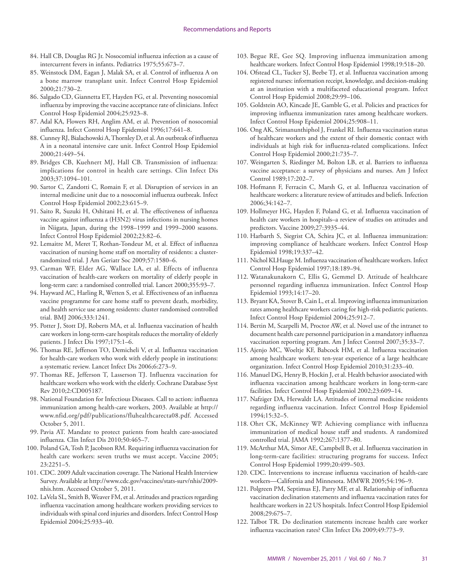- 84. Hall CB, Douglas RG Jr. Nosocomial influenza infection as a cause of intercurrent fevers in infants. Pediatrics 1975;55:673–7.
- 85. Weinstock DM, Eagan J, Malak SA, et al. Control of influenza A on a bone marrow transplant unit. Infect Control Hosp Epidemiol 2000;21:730–2.
- 86. Salgado CD, Giannetta ET, Hayden FG, et al. Preventing nosocomial influenza by improving the vaccine acceptance rate of clinicians. Infect Control Hosp Epidemiol 2004;25:923–8.
- 87. Adal KA, Flowers RH, Anglim AM, et al. Prevention of nosocomial influenza. Infect Control Hosp Epidemiol 1996;17:641–8.
- 88. Cunney RJ, Bialachowski A, Thornley D, et al. An outbreak of influenza A in a neonatal intensive care unit. Infect Control Hosp Epidemiol 2000;21:449–54.
- 89. Bridges CB, Kuehnert MJ, Hall CB. Transmission of influenza: implications for control in health care settings. Clin Infect Dis 2003;37:1094–101.
- 90. Sartor C, Zandotti C, Romain F, et al. Disruption of services in an internal medicine unit due to a nosocomial influenza outbreak. Infect Control Hosp Epidemiol 2002;23:615–9.
- 91. Saito R, Suzuki H, Oshitani H, et al. The effectiveness of influenza vaccine against influenza a (H3N2) virus infections in nursing homes in Niigata, Japan, during the 1998–1999 and 1999–2000 seasons. Infect Control Hosp Epidemiol 2002;23:82–6.
- 92. Lemaitre M, Meret T, Rothan-Tondeur M, et al. Effect of influenza vaccination of nursing home staff on mortality of residents: a clusterrandomized trial. J Am Geriatr Soc 2009;57:1580–6.
- 93. Carman WF, Elder AG, Wallace LA, et al. Effects of influenza vaccination of health-care workers on mortality of elderly people in long-term care: a randomised controlled trial. Lancet 2000;355:93–7.
- 94. Hayward AC, Harling R, Wetten S, et al. Effectiveness of an influenza vaccine programme for care home staff to prevent death, morbidity, and health service use among residents: cluster randomised controlled trial. BMJ 2006;333:1241.
- 95. Potter J, Stott DJ, Roberts MA, et al. Influenza vaccination of health care workers in long-term-care hospitals reduces the mortality of elderly patients. J Infect Dis 1997;175:1–6.
- 96. Thomas RE, Jefferson TO, Demicheli V, et al. Influenza vaccination for health-care workers who work with elderly people in institutions: a systematic review. Lancet Infect Dis 2006;6:273–9.
- 97. Thomas RE, Jefferson T, Lasserson TJ. Influenza vaccination for healthcare workers who work with the elderly. Cochrane Database Syst Rev 2010;2:CD005187.
- 98. National Foundation for Infectious Diseases. Call to action: influenza immunization among health-care workers, 2003. Available at [http://](http://www.nfid.org/pdf/publications/fluhealthcarecta08.pdf) [www.nfid.org/pdf/publications/fluhealthcarecta08.pdf](http://www.nfid.org/pdf/publications/fluhealthcarecta08.pdf). Accessed October 5, 2011.
- 99. Pavia AT. Mandate to protect patients from health care-associated influenza. Clin Infect Dis 2010;50:465–7.
- 100. Poland GA, Tosh P, Jacobson RM. Requiring influenza vaccination for health care workers: seven truths we must accept. Vaccine 2005; 23:2251–5.
- 101. CDC. 2009 Adult vaccination coverage. The National Health Interview Survey. Available at [http://www.cdc.gov/vaccines/stats-surv/nhis/2009](http://www.cdc.gov/vaccines/stats-surv/nhis/2009-nhis.htm) [nhis.htm](http://www.cdc.gov/vaccines/stats-surv/nhis/2009-nhis.htm). Accessed October 5, 2011.
- 102. LaVela SL, Smith B, Weaver FM, et al. Attitudes and practices regarding influenza vaccination among healthcare workers providing services to individuals with spinal cord injuries and disorders. Infect Control Hosp Epidemiol 2004;25:933–40.
- 103. Begue RE, Gee SQ. Improving influenza immunization among healthcare workers. Infect Control Hosp Epidemiol 1998;19:518–20.
- 104. Ofstead CL, Tucker SJ, Beebe TJ, et al. Influenza vaccination among registered nurses: information receipt, knowledge, and decision-making at an institution with a multifaceted educational program. Infect Control Hosp Epidemiol 2008;29:99–106.
- 105. Goldstein AO, Kincade JE, Gamble G, et al. Policies and practices for improving influenza immunization rates among healthcare workers. Infect Control Hosp Epidemiol 2004;25:908–11.
- 106. Ong AK, Srimanunthiphol J, Frankel RI. Influenza vaccination status of healthcare workers and the extent of their domestic contact with individuals at high risk for influenza-related complications. Infect Control Hosp Epidemiol 2000;21:735–7.
- 107. Weingarten S, Riedinger M, Bolton LB, et al. Barriers to influenza vaccine acceptance: a survey of physicians and nurses. Am J Infect Control 1989;17:202–7.
- 108. Hofmann F, Ferracin C, Marsh G, et al. Influenza vaccination of healthcare workers: a literature review of attitudes and beliefs. Infection 2006;34:142–7.
- 109. Hollmeyer HG, Hayden F, Poland G, et al. Influenza vaccination of health care workers in hospitals–a review of studies on attitudes and predictors. Vaccine 2009;27:3935–44.
- 110. Harbarth S, Siegrist CA, Schira JC, et al. Influenza immunization: improving compliance of healthcare workers. Infect Control Hosp Epidemiol 1998;19:337–42.
- 111. Nichol KLHauge M. Influenza vaccination of healthcare workers. Infect Control Hosp Epidemiol 1997;18:189–94.
- 112. Watanakunakorn C, Ellis G, Gemmel D. Attitude of healthcare personnel regarding influenza immunization. Infect Control Hosp Epidemiol 1993;14:17–20.
- 113. Bryant KA, Stover B, Cain L, et al. Improving influenza immunization rates among healthcare workers caring for high-risk pediatric patients. Infect Control Hosp Epidemiol 2004;25:912–7.
- 114. Bertin M, Scarpelli M, Proctor AW, et al. Novel use of the intranet to document health care personnel participation in a mandatory influenza vaccination reporting program. Am J Infect Control 2007;35:33–7.
- 115. Ajenjo MC, Woeltje KF, Babcock HM, et al. Influenza vaccination among healthcare workers: ten-year experience of a large healthcare organization. Infect Control Hosp Epidemiol 2010;31:233–40.
- 116. Manuel DG, Henry B, Hockin J, et al. Health behavior associated with influenza vaccination among healthcare workers in long-term-care facilities. Infect Control Hosp Epidemiol 2002;23:609–14.
- 117. Nafziger DA, Herwaldt LA. Attitudes of internal medicine residents regarding influenza vaccination. Infect Control Hosp Epidemiol 1994;15:32–5.
- 118. Ohrt CK, McKinney WP. Achieving compliance with influenza immunization of medical house staff and students. A randomized controlled trial. JAMA 1992;267:1377–80.
- 119. McArthur MA, Simor AE, Campbell B, et al. Influenza vaccination in long-term-care facilities: structuring programs for success. Infect Control Hosp Epidemiol 1999;20:499–503.
- 120. CDC. Interventions to increase influenza vaccination of health-care workers—California and Minnesota. MMWR 2005;54:196–9.
- 121. Polgreen PM, Septimus EJ, Parry MF, et al. Relationship of influenza vaccination declination statements and influenza vaccination rates for healthcare workers in 22 US hospitals. Infect Control Hosp Epidemiol 2008;29:675–7.
- 122. Talbot TR. Do declination statements increase health care worker influenza vaccination rates? Clin Infect Dis 2009;49:773–9.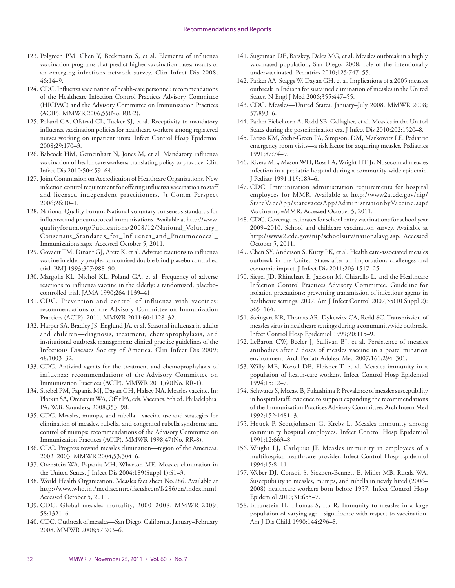- 123. Polgreen PM, Chen Y, Beekmann S, et al. Elements of influenza vaccination programs that predict higher vaccination rates: results of an emerging infections network survey. Clin Infect Dis 2008; 46:14–9.
- 124. CDC. Influenza vaccination of health-care personnel: recommendations of the Healthcare Infection Control Practices Advisory Committee (HICPAC) and the Advisory Committee on Immunization Practices (ACIP). MMWR 2006;55(No. RR-2).
- 125. Poland GA, Ofstead CL, Tucker SJ, et al. Receptivity to mandatory influenza vaccination policies for healthcare workers among registered nurses working on inpatient units. Infect Control Hosp Epidemiol 2008;29:170–3.
- 126. Babcock HM, Gemeinhart N, Jones M, et al. Mandatory influenza vaccination of health care workers: translating policy to practice. Clin Infect Dis 2010;50:459–64.
- 127. Joint Commission on Accreditation of Healthcare Organizations. New infection control requirement for offering influenza vaccination to staff and licensed independent practitioners. Jt Comm Perspect 2006;26:10–1.
- 128. National Quality Forum. National voluntary consensus standards for influenza and pneumococcal immunizations. Available at [http://www.](http://www.qualityforum.org/Publications/2008/12/National_Voluntary_Consensus_Standards_for_Influenza_and_Pneumococcal_Immunizations.aspx) [qualityforum.org/Publications/2008/12/National\\_Voluntary\\_](http://www.qualityforum.org/Publications/2008/12/National_Voluntary_Consensus_Standards_for_Influenza_and_Pneumococcal_Immunizations.aspx) [Consensus\\_Standards\\_for\\_Influenza\\_and\\_Pneumococcal\\_](http://www.qualityforum.org/Publications/2008/12/National_Voluntary_Consensus_Standards_for_Influenza_and_Pneumococcal_Immunizations.aspx) [Immunizations.aspx](http://www.qualityforum.org/Publications/2008/12/National_Voluntary_Consensus_Standards_for_Influenza_and_Pneumococcal_Immunizations.aspx). Accessed October 5, 2011.
- 129. Govaert TM, Dinant GJ, Aretz K, et al. Adverse reactions to influenza vaccine in elderly people: randomised double blind placebo controlled trial. BMJ 1993;307:988–90.
- 130. Margolis KL, Nichol KL, Poland GA, et al. Frequency of adverse reactions to influenza vaccine in the elderly: a randomized, placebocontrolled trial. JAMA 1990;264:1139–41.
- 131. CDC. Prevention and control of influenza with vaccines: recommendations of the Advisory Committee on Immunization Practices (ACIP), 2011. MMWR 2011;60:1128–32.
- 132. Harper SA, Bradley JS, Englund JA, et al. Seasonal influenza in adults and children—diagnosis, treatment, chemoprophylaxis, and institutional outbreak management: clinical practice guidelines of the Infectious Diseases Society of America. Clin Infect Dis 2009; 48:1003–32.
- 133. CDC. Antiviral agents for the treatment and chemoprophylaxis of influenza: recommendations of the Advisory Committee on Immunization Practices (ACIP). MMWR 2011;60(No. RR-1).
- 134. Strebel PM, Papania MJ, Dayan GH, Halsey NA. Measles vaccine. In: Plotkin SA, Orenstein WA, Offit PA, eds. Vaccines. 5th ed. Philadelphia, PA: W.B. Saunders; 2008:353–98.
- 135. CDC. Measles, mumps, and rubella—vaccine use and strategies for elimination of measles, rubella, and congenital rubella syndrome and control of mumps: recommendations of the Advisory Committee on Immunization Practices (ACIP). MMWR 1998;47(No. RR-8).
- 136. CDC. Progress toward measles elimination—region of the Americas, 2002–2003. MMWR 2004;53:304–6.
- 137. Orenstein WA, Papania MH, Wharton ME. Measles elimination in the United States. J Infect Dis 2004;189(Suppl 1):S1–3.
- 138. World Health Organization. Measles fact sheet No.286. Available at <http://www.who.int/mediacentre/factsheets/fs286/en/index.html>. Accessed October 5, 2011.
- 139. CDC. Global measles mortality, 2000–2008. MMWR 2009; 58:1321–6.
- 140. CDC. Outbreak of measles—San Diego, California, January–February 2008. MMWR 2008;57:203–6.
- 141. Sugerman DE, Barskey, Delea MG, et al. Measles outbreak in a highly vaccinated population, San Diego, 2008: role of the intentionally undervaccinated. Pediatrics 2010;125:747–55.
- 142. Parker AA, Staggs W, Dayan GH, et al. Implications of a 2005 measles outbreak in Indiana for sustained elimination of measles in the United States. N Engl J Med 2006;355:447–55.
- 143. CDC. Measles—United States, January–July 2008. MMWR 2008; 57:893–6.
- 144. Parker Fiebelkorn A, Redd SB, Gallagher, et al. Measles in the United States during the postelimination era. J Infect Dis 2010;202:1520–8.
- 145. Farizo KM, Stehr-Green PA, Simpson, DM, Markowitz LE. Pediatric emergency room visits—a risk factor for acquiring measles. Pediatrics 1991;87:74–9.
- 146. Rivera ME, Mason WH, Ross LA, Wright HT Jr. Nosocomial measles infection in a pediatric hospital during a community-wide epidemic. J Pediatr 1991;119:183–6.
- 147. CDC. Immunization administration requirements for hospital employees for MMR. Available at [http://www2a.cdc.gov/nip/](http://www2a.cdc.gov/nip/StateVaccApp/statevaccsApp/AdministrationbyVaccine.asp?Vaccinetmp=MMR) [StateVaccApp/statevaccsApp/AdministrationbyVaccine.asp?](http://www2a.cdc.gov/nip/StateVaccApp/statevaccsApp/AdministrationbyVaccine.asp?Vaccinetmp=MMR) [Vaccinetmp=MMR](http://www2a.cdc.gov/nip/StateVaccApp/statevaccsApp/AdministrationbyVaccine.asp?Vaccinetmp=MMR). Accessed October 5, 2011.
- 148. CDC. Coverage estimates for school entry vaccinations for school year 2009–2010. School and childcare vaccination survey. Available at <http://www2.cdc.gov/nip/schoolsurv/nationalavg.asp>. Accessed October 5, 2011.
- 149. Chen SY, Anderson S, Kutty PK, et al. Health care-associated measles outbreak in the United States after an importation: challenges and economic impact. J Infect Dis 2011;203:1517–25.
- 150. Siegel JD, Rhinehart E, Jackson M, Chiarello L, and the Healthcare Infection Control Practices Advisory Committee. Guideline for isolation precautions: preventing transmission of infectious agents in healthcare settings. 2007. Am J Infect Control 2007;35(10 Suppl 2): S65–164.
- 151. Steingart KR, Thomas AR, Dykewicz CA, Redd SC. Transmission of measles virus in healthcare settings during a communitywide outbreak. Infect Control Hosp Epidemiol 1999;20:115–9.
- 152. LeBaron CW, Beeler J, Sullivan BJ, et al. Persistence of measles antibodies after 2 doses of measles vaccine in a postelimination environment. Arch Pediatr Adolesc Med 2007;161:294–301.
- 153. Willy ME, Kozoil DE, Fleisher T, et al. Measles immunity in a population of health-care workers. Infect Control Hosp Epidemiol 1994;15:12–7.
- 154. Schwarcz S, Mccaw B, Fukushima P. Prevalence of measles susceptibility in hospital staff: evidence to support expanding the recommendations of the Immunization Practices Advisory Committee. Arch Intern Med 1992;152:1481–3.
- 155. Houck P, Scottjohnson G, Krebs L. Measles immunity among community hospital employees. Infect Control Hosp Epidemiol 1991;12:663–8.
- 156. Wright LJ, Carlquist JF. Measles immunity in employees of a multihospital health-care provider. Infect Control Hosp Epidemiol 1994;15:8–11.
- 157. Weber DJ, Consoil S, Sickbert-Bennett E, Miller MB, Rutala WA. Susceptibility to measles, mumps, and rubella in newly hired (2006– 2008) healthcare workers born before 1957. Infect Control Hosp Epidemiol 2010;31:655–7.
- 158. Braunstein H, Thomas S, Ito R. Immunity to measles in a large population of varying age—significance with respect to vaccination. Am J Dis Child 1990;144:296–8.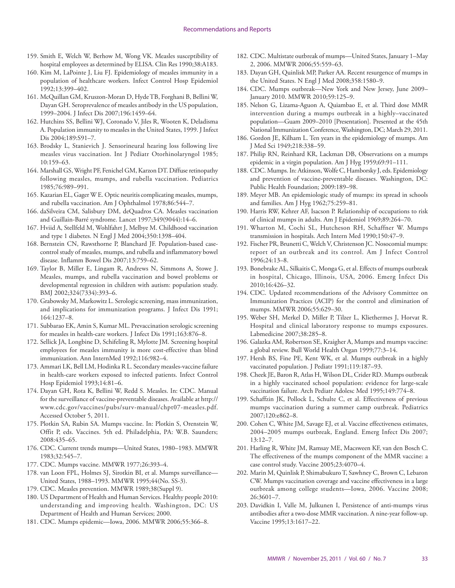- 159. Smith E, Welch W, Berhow M, Wong VK. Measles susceptibility of hospital employees as determined by ELISA. Clin Res 1990;38:A183.
- 160. Kim M, LaPointe J, Liu FJ. Epidemiology of measles immunity in a population of healthcare workers. Infect Control Hosp Epidemiol 1992;13:399–402.
- 161. McQuillan GM, Kruszon-Moran D, Hyde TB, Forghani B, Bellini W, Dayan GH. Seroprevalence of measles antibody in the US population, 1999–2004. J Infect Dis 2007;196:1459–64.
- 162. Hutchins SS, Bellini WJ, Coronado V, Jiles R, Wooten K, Deladisma A. Population immunity to measles in the United States, 1999. J Infect Dis 2004;189:S91–7.
- 163. Brodsky L, Stanievich J. Sensorineural hearing loss following live measles virus vaccination. Int J Pediatr Otorhinolaryngol 1985; 10:159–63.
- 164. Marshall GS, Wright PF, Fenichel GM, Karzon DT. Diffuse retinopathy following measles, mumps, and rubella vaccination. Pediatrics 1985;76:989–991.
- 165. Kazarian EL, Gager W E. Optic neuritis complicating measles, mumps, and rubella vaccination. Am J Ophthalmol 1978;86:544–7.
- 166. daSilveira CM, Salisbury DM, deQuadros CA. Measles vaccination and Guillain-Barré syndrome. Lancet 1997;349(9044):14–6.
- 167. Hviid A, Stellfeld M, Wohlfahrt J, Melbye M. Childhood vaccination and type 1 diabetes. N Engl J Med 2004;350:1398–404.
- 168. Bernstein CN, Rawsthorne P, Blanchard JF. Population-based casecontrol study of measles, mumps, and rubella and inflammatory bowel disease. Inflamm Bowel Dis 2007;13:759–62.
- 169. Taylor B, Miller E, Lingam R, Andrews N, Simmons A, Stowe J. Measles, mumps, and rubella vaccination and bowel problems or developmental regression in children with autism: population study. BMJ 2002;324(7334):393–6.
- 170. Grabowsky M, Markowitz L. Serologic screening, mass immunization, and implications for immunization programs. J Infect Dis 1991; 164:1237–8.
- 171. Subbarao EK, Amin S, Kumar ML. Prevaccination serologic screening for measles in health-care workers. J Infect Dis 1991;163:876–8.
- 172. Sellick JA, Longbine D, Schifeling R, Mylotte JM. Screening hospital employees for measles immunity is more cost-effective than blind immunization. Ann InternMed 1992;116:982–4.
- 173. Ammari LK, Bell LM, Hodinka R L. Secondary measles-vaccine failure in health-care workers exposed to infected patients. Infect Control Hosp Epidemiol 1993;14:81–6.
- 174. Dayan GH, Rota K, Bellini W, Redd S. Measles. In: CDC. Manual for the surveillance of vaccine-preventable diseases. Available at [http://](http://www.cdc.gov/vaccines/pubs/surv-manual/chpt07-measles.pdf) [www.cdc.gov/vaccines/pubs/surv-manual/chpt07-measles.pdf](http://www.cdc.gov/vaccines/pubs/surv-manual/chpt07-measles.pdf). Accessed October 5, 2011.
- 175. Plotkin SA, Rubin SA. Mumps vaccine. In: Plotkin S, Orenstein W, Offit P, eds. Vaccines. 5th ed. Philadelphia, PA: W.B. Saunders; 2008:435–65.
- 176. CDC. Current trends mumps—United States, 1980–1983. MMWR 1983;32:545–7.
- 177. CDC. Mumps vaccine. MMWR 1977;26:393–4.
- 178. van Loon FPL, Holmes SJ, Sirotkin BI, et al. Mumps surveillance— United States, 1988–1993. MMWR 1995;44(No. SS-3).
- 179. CDC. Measles prevention. MMWR 1989;38(Suppl 9).
- 180. US Department of Health and Human Services. Healthy people 2010: understanding and improving health. Washington, DC: US Department of Health and Human Services; 2000.
- 181. CDC. Mumps epidemic—Iowa, 2006. MMWR 2006;55:366–8.
- 182. CDC. Multistate outbreak of mumps—United States, January 1–May 2, 2006. MMWR 2006;55:559–63.
- 183. Dayan GH, Quinlisk MP, Parker AA. Recent resurgence of mumps in the United States. N Engl J Med 2008;358:1580–9.
- 184. CDC. Mumps outbreak—New York and New Jersey, June 2009– January 2010. MMWR 2010;59:125–9.
- 185. Nelson G, Lizama-Aguon A, Quiambao E, et al. Third dose MMR intervention during a mumps outbreak in a highly–vaccinated population—Guam 2009–2010 [Presentation]. Presented at the 45th National Immunization Conference, Washington, DC; March 29, 2011.
- 186. Gordon JE, Kilham L. Ten years in the epidemiology of mumps. Am J Med Sci 1949;218:338–59.
- 187. Philip RN, Reinhard KR, Lackman DB, Observations on a mumps epidemic in a virgin population. Am J Hyg 1959;69:91–111.
- 188. CDC. Mumps. In: Atkinson, Wolfe C, Hamborsky J, eds. Epidemiology and prevention of vaccine-preventable diseases. Washington, DC: Public Health Foundation; 2009:189–98.
- 189. Meyer MB. An epidemiologic study of mumps: its spread in schools and families. Am J Hyg 1962;75:259–81.
- 190. Harris RW, Kehrer AF, Isacson P. Relationship of occupations to risk of clinical mumps in adults. Am J Epidemiol 1969;89:264–70.
- 191. Wharton M, Cochi SL, Hutcheson RH, Schaffner W. Mumps transmission in hospitals. Arch Intern Med 1990;150:47–9.
- 192. Fischer PR, Brunetti C, Welch V, Christenson JC. Nosocomial mumps: report of an outbreak and its control. Am J Infect Control 1996;24:13–8.
- 193. Bonebrake AL, Silkaitis C, Monga G, et al. Effects of mumps outbreak in hospital, Chicago, Illinois, USA, 2006. Emerg Infect Dis 2010;16:426–32.
- 194. CDC. Updated recommendations of the Advisory Committee on Immunization Practices (ACIP) for the control and elimination of mumps. MMWR 2006;55:629–30.
- 195. Weber SH, Merkel D, Miller P, Tilzer L, Kliethermes J, Horvat R. Hospital and clinical laboratory response to mumps exposures. Labmedicine 2007;38:285–8.
- 196. Galazka AM, Robertson SE, Kraigher A, Mumps and mumps vaccine: a global review. Bull World Health Organ 1999;77:3–14.
- 197. Hersh BS, Fine PE, Kent WK, et al. Mumps outbreak in a highly vaccinated population. J Pediatr 1991;119:187–93.
- 198. Cheek JE, Baron R, Atlas H, Wilson DL, Crider RD. Mumps outbreak in a highly vaccinated school population: evidence for large-scale vaccination failure. Arch Pediatr Adolesc Med 1995;149:774–8.
- 199. Schaffzin JK, Pollock L, Schulte C, et al. Effectiveness of previous mumps vaccination during a summer camp outbreak. Pediatrics 2007;120:e862–8.
- 200. Cohen C, White JM, Savage EJ, et al. Vaccine effectiveness estimates, 2004–2005 mumps outbreak, England. Emerg Infect Dis 2007; 13:12–7.
- 201. Harling R, White JM, Ramsay ME, Macsween KF, van den Bosch C. The effectiveness of the mumps component of the MMR vaccine: a case control study. Vaccine 2005;23:4070–4.
- 202. Marin M, Quinlisk P, Shimabukuro T, Sawhney C, Brown C, Lebaron CW. Mumps vaccination coverage and vaccine effectiveness in a large outbreak among college students—Iowa, 2006. Vaccine 2008; 26:3601–7.
- 203. Davidkin I, Valle M, Julkunen I, Persistence of anti-mumps virus antibodies after a two-dose MMR vaccination. A nine-year follow-up. Vaccine 1995;13:1617–22.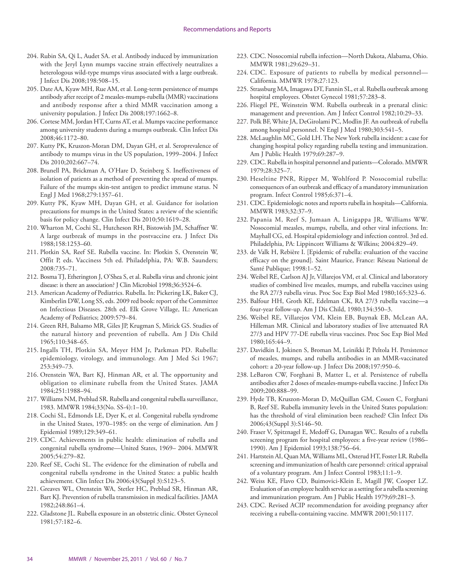- 204. Rubin SA, Qi L, Audet SA. et al. Antibody induced by immunization with the Jeryl Lynn mumps vaccine strain effectively neutralizes a heterologous wild-type mumps virus associated with a large outbreak. J Infect Dis 2008;198:508–15.
- 205. Date AA, Kyaw MH, Rue AM, et al. Long-term persistence of mumps antibody after receipt of 2 measles-mumps-rubella (MMR) vaccinations and antibody response after a third MMR vaccination among a university population. J Infect Dis 2008;197:1662–8.
- 206. Cortese MM, Jordan HT, Curns AT, et al. Mumps vaccine performance among university students during a mumps outbreak. Clin Infect Dis 2008;46:1172–80.
- 207. Kutty PK, Kruszon-Moran DM, Dayan GH, et al. Seroprevalence of antibody to mumps virus in the US population, 1999–2004. J Infect Dis 2010;202:667–74.
- 208. Brunell PA, Brickman A, O'Hare D, Steinberg S. Ineffectiveness of isolation of patients as a method of preventing the spread of mumps. Failure of the mumps skin-test antigen to predict immune status. N Engl J Med 1968;279:1357–61.
- 209. Kutty PK, Kyaw MH, Dayan GH, et al. Guidance for isolation precautions for mumps in the United States: a review of the scientific basis for policy change. Clin Infect Dis 2010;50:1619–28.
- 210. Wharton M, Cochi SL, Hutcheson RH, Bistowish JM, Schaffner W. A large outbreak of mumps in the postvaccine era. J Infect Dis 1988;158:1253–60.
- 211. Plotkin SA, Reef SE. Rubella vaccine. In: Plotkin S, Orenstein W, Offit P, eds. Vacciness 5th ed. Philadelphia, PA: W.B. Saunders; 2008:735–71.
- 212. Bosma TJ, Etherington J, O'Shea S, et al. Rubella virus and chronic joint disease: is there an association? J Clin Microbiol 1998;36:3524–6.
- 213. American Academy of Pediatrics. Rubella. In: Pickering LK, Baker CJ, Kimberlin DW, Long SS, eds. 2009 red book: report of the Committee on Infectious Diseases. 28th ed. Elk Grove Village, IL: American Academy of Pediatrics; 2009:579–84.
- 214. Green RH, Balsamo MR, Giles JP, Krugman S, Mirick GS. Studies of the natural history and prevention of rubella. Am J Dis Child 1965;110:348–65.
- 215. Ingalls TH, Plotkin SA, Meyer HM Jr, Parkman PD. Rubella: epidemiology, virology, and immunology. Am J Med Sci 1967; 253:349–73.
- 216. Orenstein WA, Bart KJ, Hinman AR, et al. The opportunity and obligation to eliminate rubella from the United States. JAMA 1984;251:1988–94.
- 217. Williams NM, Preblud SR. Rubella and congenital rubella surveillance, 1983. MMWR 1984;33(No. SS-4):1–10.
- 218. Cochi SL, Edmonds LE, Dyer K, et al. Congenital rubella syndrome in the United States, 1970–1985: on the verge of elimination. Am J Epidemiol 1989;129:349–61.
- 219. CDC. Achievements in public health: elimination of rubella and congenital rubella syndrome—United States, 1969– 2004. MMWR 2005;54:279–82.
- 220. Reef SE, Cochi SL. The evidence for the elimination of rubella and congenital rubella syndrome in the United States: a public health achievement. Clin Infect Dis 2006;43(Suppl 3):S123–5.
- 221. Greaves WL, Orenstein WA, Stetler HC, Preblud SR, Hinman AR, Bart KJ. Prevention of rubella transmission in medical facilities. JAMA 1982;248:861–4.
- 222. Gladstone JL. Rubella exposure in an obstetric clinic. Obstet Gynecol 1981;57:182–6.
- 223. CDC. Nosocomial rubella infection—North Dakota, Alabama, Ohio. MMWR 1981;29:629–31.
- 224. CDC. Exposure of patients to rubella by medical personnel— California. MMWR 1978;27:123.
- 225. Strassburg MA, Imagawa DT, Fannin SL, et al. Rubella outbreak among hospital employees. Obstet Gynecol 1981;57:283–8.
- 226. Fliegel PE, Weinstein WM. Rubella outbreak in a prenatal clinic: management and prevention. Am J Infect Control 1982;10:29–33.
- 227. Polk BF, White JA, DeGirolami PC, Modlin JF. An outbreak of rubella among hospital personnel. N Engl J Med 1980;303:541–5.
- 228. McLaughlin MC, Gold LH. The New York rubella incident: a case for changing hospital policy regarding rubella testing and immunization. Am J Public Health 1979;69:287–9.
- 229. CDC. Rubella in hospital personnel and patients—Colorado. MMWR 1979;28:325–7.
- 230. Heseltine PNR, Ripper M, Wohlford P. Nosocomial rubella: consequences of an outbreak and efficacy of a mandatory immunization program. Infect Control 1985;6:371–4.
- 231. CDC. Epidemiologic notes and reports rubella in hospitals—California. MMWR 1983;32:37–9.
- 232. Papania M, Reef S, Jumaan A, Linigappa JR, Williams WW. Nosocomial measles, mumps, rubella, and other viral infections. In: Mayhall CG, ed. Hospital epidemiology and infection control. 3rd ed. Philadelphia, PA: Lippincott Williams & Wilkins; 2004:829–49.
- 233. de Valk H, Rebière I. [Epidemic of rubella: evaluation of the vaccine efficacy on the ground]. Saint Maurice, France: Réseau National de Santé Publique; 1998:1–52.
- 234. Weibel RE, Carlson AJ Jr, Villarejos VM, et al. Clinical and laboratory studies of combined live measles, mumps, and rubella vaccines using the RA 27/3 rubella virus. Proc Soc Exp Biol Med 1980;165:323–6.
- 235. Balfour HH, Groth KE, Edelman CK, RA 27/3 rubella vaccine—a four-year follow-up. Am J Dis Child, 1980;134:350–3.
- 236. Weibel RE, Villarejos VM, Klein EB, Buynak EB, McLean AA, Hilleman MR. Clinical and laboratory studies of live attenuated RA 27/3 and HPV 77-DE rubella virus vaccines. Proc Soc Exp Biol Med 1980;165:44–9.
- 237. Davidkin I, Jokinen S, Broman M, Leinikki P, Peltola H. Persistence of measles, mumps, and rubella antibodies in an MMR-vaccinated cohort: a 20-year follow-up. J Infect Dis 2008;197:950–6.
- 238. LeBaron CW, Forghani B, Matter L, et al. Persistence of rubella antibodies after 2 doses of measles-mumps-rubella vaccine. J Infect Dis 2009;200:888–99.
- 239. Hyde TB, Kruszon-Moran D, McQuillan GM, Cossen C, Forghani B, Reef SE. Rubella immunity levels in the United States population: has the threshold of viral elimination been reached? Clin Infect Dis 2006;43(Suppl 3):S146–50.
- 240. Fraser V, Spitznagel E, Medoff G, Dunagan WC. Results of a rubella screening program for hospital employees: a five-year review (1986– 1990). Am J Epidemiol 1993;138:756–64.
- 241. Hartstein AI, Quan MA, Williams ML, Osterud HT, Foster LR. Rubella screening and immunization of health care personnel: critical appraisal of a voluntary program. Am J Infect Control 1983;11:1–9.
- 242. Weiss KE, Flavo CD, Buimovici-Klein E, Magill JW, Cooper LZ. Evaluation of an employee health service as a setting for a rubella screening and immunization program. Am J Public Health 1979;69:281–3.
- 243. CDC. Revised ACIP recommendation for avoiding pregnancy after receiving a rubella-containing vaccine. MMWR 2001;50:1117.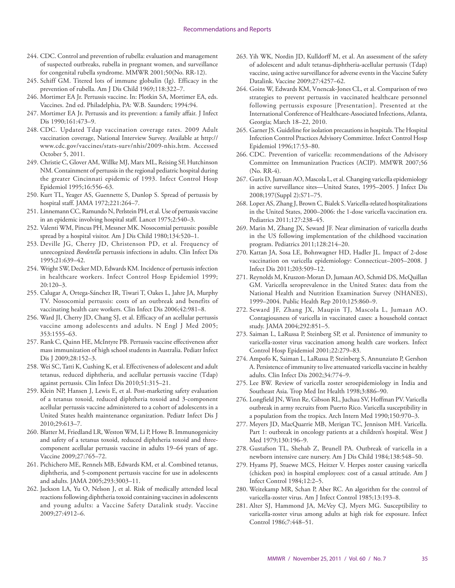- 244. CDC. Control and prevention of rubella: evaluation and management of suspected outbreaks, rubella in pregnant women, and surveillance for congenital rubella syndrome. MMWR 2001;50(No. RR-12).
- 245. Schiff GM. Titered lots of immune globulin (Ig). Efficacy in the prevention of rubella. Am J Dis Child 1969;118:322–7.
- 246. Mortimer EA Jr. Pertussis vaccine. In: Plotkin SA, Mortimer EA, eds. Vaccines. 2nd ed. Philadelphia, PA: W.B. Saunders; 1994:94.
- 247. Mortimer EA Jr. Pertussis and its prevention: a family affair. J Infect Dis 1990;161:473–9.
- 248. CDC. Updated Tdap vaccination coverage rates. 2009 Adult vaccination coverage, National Interview Survey. Available at [http://](http://www.cdc.gov/vaccines/stats-surv/nhis/2009-nhis.htm) [www.cdc.gov/vaccines/stats-surv/nhis/2009-nhis.htm.](http://www.cdc.gov/vaccines/stats-surv/nhis/2009-nhis.htm) Accessed October 5, 2011.
- 249. Christie C, Glover AM, Willke MJ, Marx ML, Reising SF, Hutchinson NM. Containment of pertussis in the regional pediatric hospital during the greater Cincinnati epidemic of 1993. Infect Control Hosp Epidemiol 1995;16:556–63.
- 250. Kurt TL, Yeager AS, Guennette S, Dunlop S. Spread of pertussis by hospital staff. JAMA 1972;221:264–7.
- 251. Linnemann CC, Ramundo N, Perlstein PH, et al. Use of pertussis vaccine in an epidemic involving hospital staff. Lancet 1975;2:540–3.
- 252. Valenti WM, Pincus PH, Messner MK. Nosocomial pertussis: possible spread by a hospital visitor. Am J Dis Child 1980;134:520–1.
- 253. Deville JG, Cherry JD, Christenson PD, et al. Frequency of unrecognized *Bordetella* pertussis infections in adults. Clin Infect Dis 1995;21:639–42.
- 254. Wright SW, Decker MD, Edwards KM. Incidence of pertussis infection in healthcare workers. Infect Control Hosp Epidemiol 1999;  $20.120 - 3$
- 255. Calugar A, Ortega-Sánchez IR, Tiwari T, Oakes L, Jahre JA, Murphy TV. Nosocomial pertussis: costs of an outbreak and benefits of vaccinating health care workers. Clin Infect Dis 2006;42:981–8.
- 256. Ward JI, Cherry JD, Chang SJ, et al. Efficacy of an acellular pertussis vaccine among adolescents and adults. N Engl J Med 2005; 353:1555–63.
- 257. Rank C, Quinn HE, McIntyre PB. Pertussis vaccine effectiveness after mass immunization of high school students in Australia. Pediatr Infect Dis J 2009;28:152-3.
- 258. Wei SC, Tatti K, Cushing K, et al. Effectiveness of adolescent and adult tetanus, reduced diphtheria, and acellular pertussis vaccine (Tdap) against pertussis. Clin Infect Dis 2010;51:315–21.
- 259. Klein NP, Hansen J, Lewis E, et al. Post-marketing safety evaluation of a tetanus toxoid, reduced diphtheria toxoid and 3-component acellular pertussis vaccine administered to a cohort of adolescents in a United States health maintenance organization. Pediatr Infect Dis J 2010;29:613–7.
- 260. Blatter M, Friedland LR, Weston WM, Li P, Howe B. Immunogenicity and safety of a tetanus toxoid, reduced diphtheria toxoid and threecomponent acellular pertussis vaccine in adults 19–64 years of age. Vaccine 2009;27:765–72.
- 261. Pichichero ME, Rennels MB, Edwards KM, et al. Combined tetanus, diphtheria, and 5-component pertussis vaccine for use in adolescents and adults. JAMA 2005;293:3003–11.
- 262. Jackson LA, Yu O, Nelson J, et al. Risk of medically attended local reactions following diphtheria toxoid containing vaccines in adolescents and young adults: a Vaccine Safety Datalink study. Vaccine 2009;27:4912–6.
- 263. Yih WK, Nordin JD, Kulldorff M, et al. An assessment of the safety of adolescent and adult tetanus-diphtheria-acellular pertussis (Tdap) vaccine, using active surveillance for adverse events in the Vaccine Safety Datalink. Vaccine 2009;27:4257–62.
- 264. Goins W, Edwards KM, Vnencak-Jones CL, et al. Comparison of two strategies to prevent pertussis in vaccinated healthcare personnel following pertussis exposure [Presentation]. Presented at the International Conference of Healthcare-Associated Infections, Atlanta, Georgia; March 18–22, 2010.
- 265. Garner JS. Guideline for isolation precautions in hospitals. The Hospital Infection Control Practices Advisory Committee. Infect Control Hosp Epidemiol 1996;17:53–80.
- 266. CDC. Prevention of varicella: recommendations of the Advisory Committee on Immunization Practices (ACIP). MMWR 2007;56 (No. RR-4).
- 267. Guris D, Jumaan AO, Mascola L, et al. Changing varicella epidemiology in active surveillance sites—United States, 1995–2005. J Infect Dis 2008;197(Suppl 2):S71–75.
- 268. Lopez AS, Zhang J, Brown C, Bialek S. Varicella-related hospitalizations in the United States, 2000–2006: the 1-dose varicella vaccination era. Pediatrics 2011;127:238–45.
- 269. Marin M, Zhang JX, Seward JF. Near elimination of varicella deaths in the US following implementation of the childhood vaccination program. Pediatrics 2011;128:214–20.
- 270. Kattan JA, Sosa LE, Bohnwagner HD, Hadler JL. Impact of 2-dose vaccination on varicella epidemiology: Connecticut–2005–2008. J Infect Dis 2011;203:509–12.
- 271. Reynolds M, Kruszon-Moran D, Jumaan AO, Schmid DS, McQuillan GM. Varicella seroprevalence in the United States: data from the National Health and Nutrition Examination Survey (NHANES), 1999–2004. Public Health Rep 2010;125:860–9.
- 272. Seward JF, Zhang JX, Maupin TJ, Mascola L, Jumaan AO. Contagiousness of varicella in vaccinated cases: a household contact study. JAMA 2004;292:851–5.
- 273. Saiman L, LaRussa P, Steinberg SP, et al. Persistence of immunity to varicella-zoster virus vaccination among health care workers. Infect Control Hosp Epidemiol 2001;22:279–83.
- 274. Ampofo K, Saiman L, LaRussa P, Steinberg S, Annunziato P, Gershon A. Persistence of immunity to live attenuated varicella vaccine in healthy adults. Clin Infect Dis 2002;34:774–9.
- 275. Lee BW. Review of varicella zoster seroepidemiology in India and Southeast Asia. Trop Med Int Health 1998;3:886–90.
- 276. Longfield JN, Winn Re, Gibson RL, Juchau SV, Hoffman PV. Varicella outbreak in army recruits from Puerto Rico. Varicella susceptibility in a population from the tropics. Arch Intern Med 1990;150:970–3.
- 277. Meyers JD, MacQuarrie MB, Merigan TC, Jennison MH. Varicella. Part 1: outbreak in oncology patients at a children's hospital. West J Med 1979;130:196–9.
- 278. Gustafson TL, Shehab Z, Brunell PA. Outbreak of varicella in a newborn intensive care nursery. Am J Dis Child 1984;138:548–50.
- 279. Hyams PJ, Stuewe MCS, Heitzer V. Herpes zoster causing varicella (chicken pox) in hospital employees: cost of a casual attitude. Am J Infect Control 1984;12:2–5.
- 280. Weitekamp MR, Schan P, Aber RC. An algorithm for the control of varicella-zoster virus. Am J Infect Control 1985;13:193–8.
- 281. Alter SJ, Hammond JA, McVey CJ, Myers MG. Susceptibility to varicella-zoster virus among adults at high risk for exposure. Infect Control 1986;7:448–51.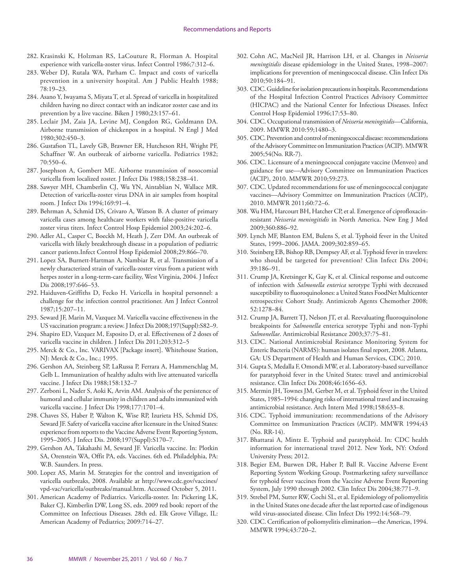- 282. Krasinski K, Holzman RS, LaCouture R, Florman A. Hospital experience with varicella-zoster virus. Infect Control 1986;7:312–6.
- 283. Weber DJ, Rutala WA, Parham C. Impact and costs of varicella prevention in a university hospital. Am J Public Health 1988; 78:19–23.
- 284. Asano Y, Iwayama S, Miyata T, et al. Spread of varicella in hospitalized children having no direct contact with an indicator zoster case and its prevention by a live vaccine. Biken J 1980;23:157–61.
- 285. Leclair JM, Zaia JA, Levine MJ, Congdon RG, Goldmann DA. Airborne transmission of chickenpox in a hospital. N Engl J Med 1980;302:450–3.
- 286. Gustafson TL, Lavely GB, Brawner ER, Hutcheson RH, Wright PF, Schaffner W. An outbreak of airborne varicella. Pediatrics 1982; 70:550–6.
- 287. Josephson A, Gombert ME. Airborne transmission of nosocomial varicella from localized zoster. J Infect Dis 1988;158:238–41.
- 288. Sawyer MH, Chamberlin CJ, Wu YN, Aintablian N, Wallace MR. Detection of varicella-zoster virus DNA in air samples from hospital room. J Infect Dis 1994;169:91–4.
- 289. Behrman A, Schmid DS, Crivaro A, Watson B. A cluster of primary varicella cases among healthcare workers with false-positive varicella zoster virus titers. Infect Control Hosp Epidemiol 2003;24:202–6.
- 290. Adler AL, Casper C, Boeckh M, Heath J, Zerr DM. An outbreak of varicella with likely breakthrough disease in a population of pediatric cancer patients.Infect Control Hosp Epidemiol 2008;29:866–70.
- 291. Lopez SA, Burnett-Hartman A, Nambiar R, et al. Transmission of a newly characterized strain of varicella-zoster virus from a patient with herpes zoster in a long-term-care facility, West Virginia, 2004. J Infect Dis 2008;197:646–53.
- 292. Haiduven-Griffiths D, Fecko H. Varicella in hospital personnel: a challenge for the infection control practitioner. Am J Infect Control 1987;15:207–11.
- 293. Seward JF, Marin M, Vazquez M. Varicella vaccine effectiveness in the US vaccination program: a review. J Infect Dis 2008;197(Suppl):S82–9.
- 294. Shapiro ED, Vazquez M, Esposito D, et al. Effectiveness of 2 doses of varicella vaccine in children. J Infect Dis 2011;203:312–5
- 295. Merck & Co., Inc. VARIVAX [Package insert]. Whitehouse Station, NJ: Merck & Co., Inc.; 1995.
- 296. Gershon AA, Steinberg SP, LaRussa P, Ferrara A, Hammerschlag M, Gelb L. Immunization of healthy adults with live attenuated varicella vaccine. J Infect Dis 1988;158:132–7
- 297. Zerboni L, Nader S, Aoki K, Arvin AM. Analysis of the persistence of humoral and cellular immunity in children and adults immunized with varicella vaccine. J Infect Dis 1998;177:1701–4.
- 298. Chaves SS, Haber P, Walton K, Wise RP, Izurieta HS, Schmid DS, Seward JF. Safety of varicella vaccine after licensure in the United States: experience from reports to the Vaccine Adverse Event Reporting System, 1995–2005. J Infect Dis. 2008;197(Suppl):S170–7.
- 299. Gershon AA, Takahashi M, Seward JF. Varicella vaccine. In: Plotkin SA, Orenstein WA, Offit PA, eds. Vaccines. 6th ed. Philadelphia, PA: W.B. Saunders. In press.
- 300. Lopez AS, Marin M. Strategies for the control and investigation of varicella outbreaks, 2008. Available at [http://www.cdc.gov/vaccines/](http://www.cdc.gov/vaccines/vpd-vac/varicella/outbreaks/manual.htm) [vpd-vac/varicella/outbreaks/manual.htm](http://www.cdc.gov/vaccines/vpd-vac/varicella/outbreaks/manual.htm). Accessed October 5, 2011.
- 301. American Academy of Pediatrics. Varicella-zoster. In: Pickering LK, Baker CJ, Kimberlin DW, Long SS, eds. 2009 red book: report of the Committee on Infectious Diseases. 28th ed. Elk Grove Village, IL: American Academy of Pediatrics; 2009:714–27.
- 302. Cohn AC, MacNeil JR, Harrison LH, et al. Changes in *Neisseria meningitidis* disease epidemiology in the United States, 1998–2007: implications for prevention of meningococcal disease. Clin Infect Dis 2010;50:184–91.
- 303. CDC. Guideline for isolation precautions in hospitals. Recommendations of the Hospital Infection Control Practices Advisory Committee (HICPAC) and the National Center for Infectious Diseases. Infect Control Hosp Epidemiol 1996;17:53–80.
- 304. CDC. Occupational transmission of *Neisseria meningitidis*—California, 2009. MMWR 2010:59;1480–3.
- 305. CDC. Prevention and control of meningococcal disease: recommendations of the Advisory Committee on Immunization Practices (ACIP). MMWR 2005;54(No. RR-7).
- 306. CDC. Licensure of a meningococcal conjugate vaccine (Menveo) and guidance for use—Advisory Committee on Immunization Practices (ACIP), 2010. MMWR 2010;59:273.
- 307. CDC. Updated recommendations for use of meningococcal conjugate vaccines—Advisory Committee on Immunization Practices (ACIP), 2010. MMWR 2011;60:72–6.
- 308. Wu HM, Harcourt BH, Hatcher CP, et al. Emergence of ciprofloxacinresistant *Neisseria meningitidis* in North America. New Eng J Med 2009;360:886–92.
- 309. Lynch MF, Blanton EM, Bulens S, et al. Typhoid fever in the United States, 1999–2006. JAMA. 2009;302:859–65.
- 310. Steinberg EB, Bishop RB, Dempsey AF, et al. Typhoid fever in travelers: who should be targeted for prevention? Clin Infect Dis 2004; 39:186–91.
- 311. Crump JA, Kretsinger K, Gay K, et al. Clinical response and outcome of infection with *Salmonella enterica* serotype Typhi with decreased susceptibility to fluoroquinolones: a United States FoodNet Multicenter retrospective Cohort Study. Antimicrob Agents Chemother 2008; 52:1278–84.
- 312. Crump JA, Barrett TJ, Nelson JT, et al. Reevaluating fluoroquinolone breakpoints for *Salmonella* enterica serotype Typhi and non-Typhi *Salmonellae*. Antimicrobial Resistance 2003;37:75–81.
- 313. CDC. National Antimicrobial Resistance Monitoring System for Enteric Bacteria (NARMS): human isolates final report, 2008. Atlanta, GA: US Department of Health and Human Services, CDC; 2010.
- 314. Gupta S, Medalla F, Omondi MW, et al. Laboratory-based surveillance for paratyphoid fever in the United States: travel and antimicrobial resistance. Clin Infect Dis 2008;46:1656–63.
- 315. Mermin JH, Townes JM, Gerber M, et al. Typhoid fever in the United States, 1985–1994: changing risks of international travel and increasing antimicrobial resistance. Arch Intern Med 1998;158:633–8.
- 316. CDC. Typhoid immunization: recommendations of the Advisory Committee on Immunization Practices (ACIP). MMWR 1994;43 (No. RR-14).
- 317. Bhattarai A, Mintz E. Typhoid and paratyphoid. In: CDC health information for international travel 2012. New York, NY: Oxford University Press; 2012.
- 318. Begier EM, Burwen DR, Haber P, Ball R. Vaccine Adverse Event Reporting System Working Group. Postmarketing safety surveillance for typhoid fever vaccines from the Vaccine Adverse Event Reporting System, July 1990 through 2002. Clin Infect Dis 2004;38:771–9.
- 319. Strebel PM, Sutter RW, Cochi SL, et al. Epidemiology of poliomyelitis in the United States one decade after the last reported case of indigenous wild virus-associated disease. Clin Infect Dis 1992:14:568–79.
- 320. CDC. Certification of poliomyelitis elimination—the Americas, 1994. MMWR 1994;43:720–2.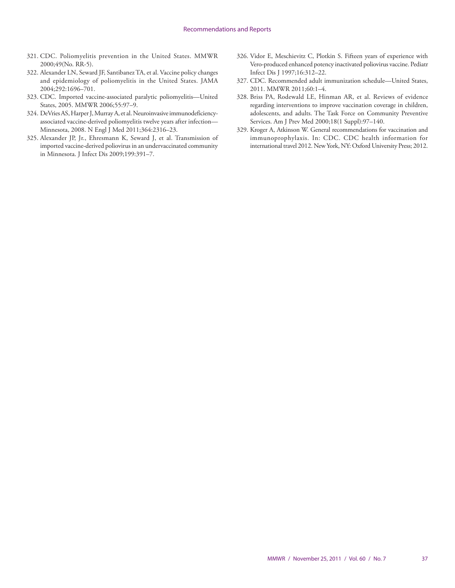- 321. CDC. Poliomyelitis prevention in the United States. MMWR 2000;49(No. RR-5).
- 322. Alexander LN, Seward JF, Santibanez TA, et al. Vaccine policy changes and epidemiology of poliomyelitis in the United States. JAMA 2004;292:1696–701.
- 323. CDC. Imported vaccine-associated paralytic poliomyelitis—United States, 2005. MMWR 2006;55:97–9.
- 324. DeVries AS, Harper J, Murray A, et al. Neuroinvasive immunodeficiencyassociated vaccine-derived poliomyelitis twelve years after infection— Minnesota, 2008. N Engl J Med 2011;364:2316–23.
- 325. Alexander JP, Jr., Ehresmann K, Seward J, et al. Transmission of imported vaccine-derived poliovirus in an undervaccinated community in Minnesota. J Infect Dis 2009;199:391–7.
- 326. Vidor E, Meschievitz C, Plotkin S. Fifteen years of experience with Vero-produced enhanced potency inactivated poliovirus vaccine. Pediatr Infect Dis J 1997;16:312–22.
- 327. CDC. Recommended adult immunization schedule—United States, 2011. MMWR 2011;60:1–4.
- 328. Briss PA, Rodewald LE, Hinman AR, et al. Reviews of evidence regarding interventions to improve vaccination coverage in children, adolescents, and adults. The Task Force on Community Preventive Services. Am J Prev Med 2000;18(1 Suppl):97–140.
- 329. Kroger A, Atkinson W. General recommendations for vaccination and immunoprophylaxis. In: CDC. CDC health information for international travel 2012. New York, NY: Oxford University Press; 2012.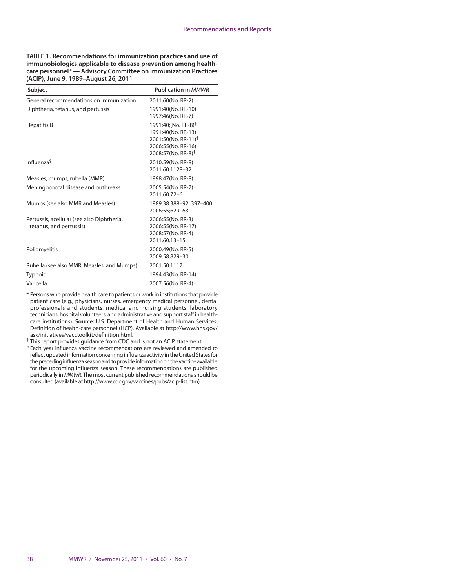**TABLE 1. Recommendations for immunization practices and use of immunobiologics applicable to disease prevention among healthcare personnel\* — Advisory Committee on Immunization Practices (ACIP), June 9, 1989–August 26, 2011** 

| Subject                                                               | <b>Publication in MMWR</b>                                                                                                                       |
|-----------------------------------------------------------------------|--------------------------------------------------------------------------------------------------------------------------------------------------|
| General recommendations on immunization                               | 2011;60(No. RR-2)                                                                                                                                |
| Diphtheria, tetanus, and pertussis                                    | 1991:40(No. RR-10)<br>1997;46(No. RR-7)                                                                                                          |
| Hepatitis B                                                           | 1991;40; (No. RR-8) <sup>+</sup><br>1991;40(No. RR-13)<br>$2001;50(No, RR-11)^{\dagger}$<br>2006;55(No. RR-16)<br>2008;57(No. RR-8) <sup>†</sup> |
| Influenza <sup>§</sup>                                                | 2010;59(No. RR-8)<br>2011;60:1128-32                                                                                                             |
| Measles, mumps, rubella (MMR)                                         | 1998;47(No. RR-8)                                                                                                                                |
| Meningococcal disease and outbreaks                                   | 2005;54(No. RR-7)<br>2011;60:72-6                                                                                                                |
| Mumps (see also MMR and Measles)                                      | 1989:38:388-92, 397-400<br>2006;55;629-630                                                                                                       |
| Pertussis, acellular (see also Diphtheria,<br>tetanus, and pertussis) | 2006:55(No. RR-3)<br>2006;55(No. RR-17)<br>2008:57(No. RR-4)<br>2011;60:13-15                                                                    |
| Poliomyelitis                                                         | 2000;49(No. RR-5)<br>2009;58:829-30                                                                                                              |
| Rubella (see also MMR, Measles, and Mumps)                            | 2001;50:1117                                                                                                                                     |
| Typhoid                                                               | 1994;43(No. RR-14)                                                                                                                               |
| Varicella                                                             | 2007;56(No. RR-4)                                                                                                                                |

\* Persons who provide health care to patients or work in institutions that provide patient care (e.g., physicians, nurses, emergency medical personnel, dental professionals and students, medical and nursing students, laboratory technicians, hospital volunteers, and administrative and support staff in healthcare institutions). **Source:** U.S. Department of Health and Human Services. Definition of health-care personnel (HCP). Available at [http://www.hhs.gov/](http://www.hhs.gov/ask/initiatives/vacctoolkit/definition.html) [ask/initiatives/vacctoolkit/definition.html.](http://www.hhs.gov/ask/initiatives/vacctoolkit/definition.html)

<sup>†</sup> This report provides quidance from CDC and is not an ACIP statement.

§ Each year influenza vaccine recommendations are reviewed and amended to reflect updated information concerning influenza activity in the United States for the preceding influenza season and to provide information on the vaccine available for the upcoming influenza season. These recommendations are published periodically in *MMWR*. The most current published recommendations should be consulted (available at [http://www.cdc.gov/vaccines/pubs/acip-list.htm\)](http://www.cdc.gov/vaccines/pubs/acip-list.htm).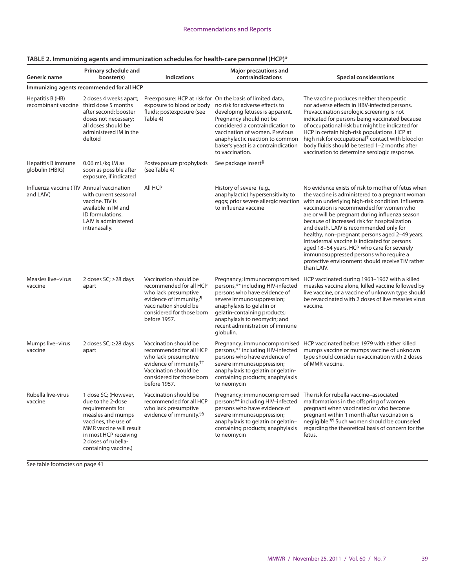|  |  | TABLE 2. Immunizing agents and immunization schedules for health-care personnel (HCP)* |  |  |
|--|--|----------------------------------------------------------------------------------------|--|--|
|  |  |                                                                                        |  |  |

| <b>Generic name</b>                                    | Primary schedule and<br>booster(s)                                                                                                                                                                            | Indications                                                                                                                                                                           | Major precautions and<br>contraindications                                                                                                                                                                                                                                                                                    | <b>Special considerations</b>                                                                                                                                                                                                                                                                                                                                                                                                                                                                                                                                                                                      |
|--------------------------------------------------------|---------------------------------------------------------------------------------------------------------------------------------------------------------------------------------------------------------------|---------------------------------------------------------------------------------------------------------------------------------------------------------------------------------------|-------------------------------------------------------------------------------------------------------------------------------------------------------------------------------------------------------------------------------------------------------------------------------------------------------------------------------|--------------------------------------------------------------------------------------------------------------------------------------------------------------------------------------------------------------------------------------------------------------------------------------------------------------------------------------------------------------------------------------------------------------------------------------------------------------------------------------------------------------------------------------------------------------------------------------------------------------------|
|                                                        | Immunizing agents recommended for all HCP                                                                                                                                                                     |                                                                                                                                                                                       |                                                                                                                                                                                                                                                                                                                               |                                                                                                                                                                                                                                                                                                                                                                                                                                                                                                                                                                                                                    |
| Hepatitis B (HB)<br>recombinant vaccine                | 2 doses 4 weeks apart;<br>third dose 5 months<br>after second: booster<br>doses not necessary;<br>all doses should be<br>administered IM in the<br>deltoid                                                    | exposure to blood or body<br>fluids; postexposure (see<br>Table 4)                                                                                                                    | Preexposure: HCP at risk for On the basis of limited data,<br>no risk for adverse effects to<br>developing fetuses is apparent.<br>Pregnancy should not be<br>considered a contraindication to<br>vaccination of women. Previous<br>anaphylactic reaction to common<br>baker's yeast is a contraindication<br>to vaccination. | The vaccine produces neither therapeutic<br>nor adverse effects in HBV-infected persons.<br>Prevaccination serologic screening is not<br>indicated for persons being vaccinated because<br>of occupational risk but might be indicated for<br>HCP in certain high-risk populations. HCP at<br>high risk for occupational <sup>†</sup> contact with blood or<br>body fluids should be tested 1-2 months after<br>vaccination to determine serologic response.                                                                                                                                                       |
| Hepatitis B immune<br>globulin (HBIG)                  | 0.06 mL/kg IM as<br>soon as possible after<br>exposure, if indicated                                                                                                                                          | Postexposure prophylaxis<br>(see Table 4)                                                                                                                                             | See package insert <sup>§</sup>                                                                                                                                                                                                                                                                                               |                                                                                                                                                                                                                                                                                                                                                                                                                                                                                                                                                                                                                    |
| Influenza vaccine (TIV Annual vaccination<br>and LAIV) | with current seasonal<br>vaccine. TIV is<br>available in IM and<br>ID formulations.<br>LAIV is administered<br>intranasally.                                                                                  | All HCP                                                                                                                                                                               | History of severe (e.g.,<br>anaphylactic) hypersensitivity to<br>eggs; prior severe allergic reaction<br>to influenza vaccine                                                                                                                                                                                                 | No evidence exists of risk to mother of fetus when<br>the vaccine is administered to a pregnant woman<br>with an underlying high-risk condition. Influenza<br>vaccination is recommended for women who<br>are or will be pregnant during influenza season<br>because of increased risk for hospitalization<br>and death. LAIV is recommended only for<br>healthy, non-pregnant persons aged 2-49 years.<br>Intradermal vaccine is indicated for persons<br>aged 18-64 years. HCP who care for severely<br>immunosuppressed persons who require a<br>protective environment should receive TIV rather<br>than LAIV. |
| Measles live-virus<br>vaccine                          | 2 doses SC; ≥28 days<br>apart                                                                                                                                                                                 | Vaccination should be<br>recommended for all HCP<br>who lack presumptive<br>evidence of immunity; <sup>11</sup><br>vaccination should be<br>considered for those born<br>before 1957. | Pregnancy; immunocompromised<br>persons,** including HIV-infected<br>persons who have evidence of<br>severe immunosuppression;<br>anaphylaxis to gelatin or<br>gelatin-containing products;<br>anaphylaxis to neomycin; and<br>recent administration of immune<br>globulin.                                                   | HCP vaccinated during 1963–1967 with a killed<br>measles vaccine alone, killed vaccine followed by<br>live vaccine, or a vaccine of unknown type should<br>be revaccinated with 2 doses of live measles virus<br>vaccine.                                                                                                                                                                                                                                                                                                                                                                                          |
| Mumps live-virus<br>vaccine                            | 2 doses SC; ≥28 days<br>apart                                                                                                                                                                                 | Vaccination should be<br>recommended for all HCP<br>who lack presumptive<br>evidence of immunity. <sup>††</sup><br>Vaccination should be<br>considered for those born<br>before 1957. | Pregnancy; immunocompromised<br>persons,** including HIV-infected<br>persons who have evidence of<br>severe immunosuppression;<br>anaphylaxis to gelatin or gelatin-<br>containing products; anaphylaxis<br>to neomycin                                                                                                       | HCP vaccinated before 1979 with either killed<br>mumps vaccine or mumps vaccine of unknown<br>type should consider revaccination with 2 doses<br>of MMR vaccine.                                                                                                                                                                                                                                                                                                                                                                                                                                                   |
| Rubella live-virus<br>vaccine                          | 1 dose SC; (However,<br>due to the 2-dose<br>requirements for<br>measles and mumps<br>vaccines, the use of<br>MMR vaccine will result<br>in most HCP receiving<br>2 doses of rubella-<br>containing vaccine.) | Vaccination should be<br>recommended for all HCP<br>who lack presumptive<br>evidence of immunity. <sup>§§</sup>                                                                       | persons** including HIV-infected<br>persons who have evidence of<br>severe immunosuppression;<br>anaphylaxis to gelatin or gelatin-<br>containing products; anaphylaxis<br>to neomycin                                                                                                                                        | Pregnancy; immunocompromised The risk for rubella vaccine-associated<br>malformations in the offspring of women<br>pregnant when vaccinated or who become<br>pregnant within 1 month after vaccination is<br>negligible. <sup>99</sup> Such women should be counseled<br>regarding the theoretical basis of concern for the<br>fetus.                                                                                                                                                                                                                                                                              |

See table footnotes on page 41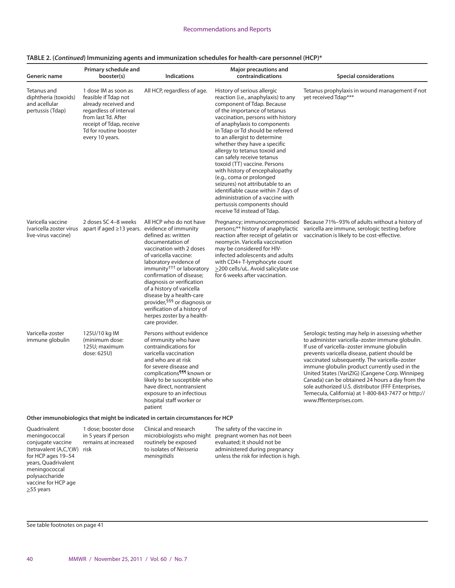| TABLE 2. (Continued) Immunizing agents and immunization schedules for health-care personnel (HCP)* |  |  |  |
|----------------------------------------------------------------------------------------------------|--|--|--|
|----------------------------------------------------------------------------------------------------|--|--|--|

| <b>Generic name</b>                                                                                                                        | Primary schedule and<br>booster(s)                                                                                                                                                             | <b>Indications</b>                                                                                                                                                                                                                                                                                                                                                                                                            | Major precautions and<br>contraindications                                                                                                                                                                                                                                                                                                                                                                                                                                                                                                                                                                                                          | <b>Special considerations</b>                                                                                                                                                                                                                                                                                                                                                                                                                                                                                                                    |  |
|--------------------------------------------------------------------------------------------------------------------------------------------|------------------------------------------------------------------------------------------------------------------------------------------------------------------------------------------------|-------------------------------------------------------------------------------------------------------------------------------------------------------------------------------------------------------------------------------------------------------------------------------------------------------------------------------------------------------------------------------------------------------------------------------|-----------------------------------------------------------------------------------------------------------------------------------------------------------------------------------------------------------------------------------------------------------------------------------------------------------------------------------------------------------------------------------------------------------------------------------------------------------------------------------------------------------------------------------------------------------------------------------------------------------------------------------------------------|--------------------------------------------------------------------------------------------------------------------------------------------------------------------------------------------------------------------------------------------------------------------------------------------------------------------------------------------------------------------------------------------------------------------------------------------------------------------------------------------------------------------------------------------------|--|
| Tetanus and<br>diphtheria (toxoids)<br>and acellular<br>pertussis (Tdap)                                                                   | 1 dose IM as soon as<br>feasible if Tdap not<br>already received and<br>regardless of interval<br>from last Td. After<br>receipt of Tdap, receive<br>Td for routine booster<br>every 10 years. | All HCP, regardless of age.                                                                                                                                                                                                                                                                                                                                                                                                   | History of serious allergic<br>reaction (i.e., anaphylaxis) to any<br>component of Tdap. Because<br>of the importance of tetanus<br>vaccination, persons with history<br>of anaphylaxis to components<br>in Tdap or Td should be referred<br>to an allergist to determine<br>whether they have a specific<br>allergy to tetanus toxoid and<br>can safely receive tetanus<br>toxoid (TT) vaccine. Persons<br>with history of encephalopathy<br>(e.g., coma or prolonged<br>seizures) not attributable to an<br>identifiable cause within 7 days of<br>administration of a vaccine with<br>pertussis components should<br>receive Td instead of Tdap. | Tetanus prophylaxis in wound management if not<br>yet received Tdap***                                                                                                                                                                                                                                                                                                                                                                                                                                                                           |  |
| Varicella vaccine<br>(varicella zoster virus<br>live-virus vaccine)                                                                        | 2 doses SC 4-8 weeks<br>apart if aged ≥13 years. evidence of immunity                                                                                                                          | All HCP who do not have<br>defined as: written<br>documentation of<br>vaccination with 2 doses<br>of varicella vaccine:<br>laboratory evidence of<br>immunity <sup>†††</sup> or laboratory<br>confirmation of disease;<br>diagnosis or verification<br>of a history of varicella<br>disease by a health-care<br>provider, §§§ or diagnosis or<br>verification of a history of<br>herpes zoster by a health-<br>care provider. | persons;** history of anaphylactic<br>reaction after receipt of gelatin or<br>neomycin. Varicella vaccination<br>may be considered for HIV-<br>infected adolescents and adults<br>with CD4+T-lymphocyte count<br>>200 cells/uL. Avoid salicylate use<br>for 6 weeks after vaccination.                                                                                                                                                                                                                                                                                                                                                              | Pregnancy; immunocompromised Because 71%-93% of adults without a history of<br>varicella are immune, serologic testing before<br>vaccination is likely to be cost-effective.                                                                                                                                                                                                                                                                                                                                                                     |  |
| Varicella-zoster<br>immune globulin                                                                                                        | 125U/10 kg IM<br>(minimum dose:<br>125U; maximum<br>dose: 625U)                                                                                                                                | Persons without evidence<br>of immunity who have<br>contraindications for<br>varicella vaccination<br>and who are at risk<br>for severe disease and<br>complications <sup>111</sup> known or<br>likely to be susceptible who<br>have direct, nontransient<br>exposure to an infectious<br>hospital staff worker or<br>patient                                                                                                 |                                                                                                                                                                                                                                                                                                                                                                                                                                                                                                                                                                                                                                                     | Serologic testing may help in assessing whether<br>to administer varicella-zoster immune globulin.<br>If use of varicella-zoster immune globulin<br>prevents varicella disease, patient should be<br>vaccinated subsequently. The varicella-zoster<br>immune globulin product currently used in the<br>United States (VariZIG) (Cangene Corp. Winnipeg<br>Canada) can be obtained 24 hours a day from the<br>sole authorized U.S. distributor (FFF Enterprises,<br>Temecula, California) at 1-800-843-7477 or http://<br>www.fffenterprises.com. |  |
| Other immunobiologics that might be indicated in certain circumstances for HCP                                                             |                                                                                                                                                                                                |                                                                                                                                                                                                                                                                                                                                                                                                                               |                                                                                                                                                                                                                                                                                                                                                                                                                                                                                                                                                                                                                                                     |                                                                                                                                                                                                                                                                                                                                                                                                                                                                                                                                                  |  |
| Quadrivalent<br>meningococcal<br>conjugate vaccine<br>(tetravalent (A,C,Y,W)<br>for HCP ages 19-54<br>years, Quadrivalent<br>meningococcal | 1 dose; booster dose<br>in 5 years if person<br>remains at increased<br>risk                                                                                                                   | Clinical and research<br>routinely be exposed<br>to isolates of Neisseria<br>meningitidis                                                                                                                                                                                                                                                                                                                                     | The safety of the vaccine in<br>microbiologists who might pregnant women has not been<br>evaluated; it should not be<br>administered during pregnancy<br>unless the risk for infection is high.                                                                                                                                                                                                                                                                                                                                                                                                                                                     |                                                                                                                                                                                                                                                                                                                                                                                                                                                                                                                                                  |  |

See table footnotes on page 41

polysaccharide vaccine for HCP age  $\geq$ 55 years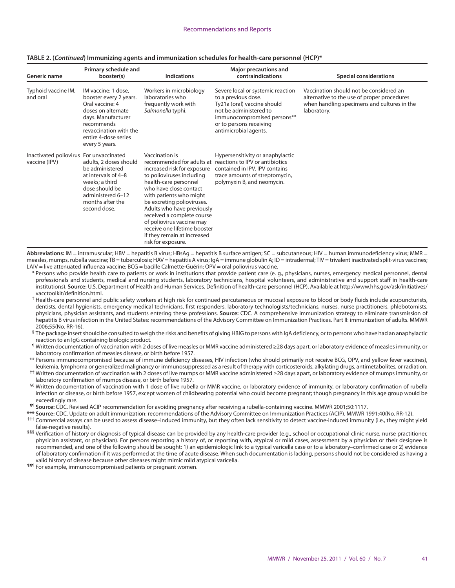| <b>Generic name</b>                                      | Primary schedule and<br>booster(s)                                                                                                                                                             | Indications                                                                                                                                                                                                                                                                                                                           | Major precautions and<br>contraindications                                                                                                                                                                                  | <b>Special considerations</b>                                                                                                                        |
|----------------------------------------------------------|------------------------------------------------------------------------------------------------------------------------------------------------------------------------------------------------|---------------------------------------------------------------------------------------------------------------------------------------------------------------------------------------------------------------------------------------------------------------------------------------------------------------------------------------|-----------------------------------------------------------------------------------------------------------------------------------------------------------------------------------------------------------------------------|------------------------------------------------------------------------------------------------------------------------------------------------------|
| Typhoid vaccine IM,<br>and oral                          | IM vaccine: 1 dose,<br>booster every 2 years.<br>Oral vaccine: 4<br>doses on alternate<br>days. Manufacturer<br>recommends<br>revaccination with the<br>entire 4-dose series<br>every 5 years. | Workers in microbiology<br>laboratories who<br>frequently work with<br>Salmonella typhi.                                                                                                                                                                                                                                              | Severe local or systemic reaction<br>to a previous dose.<br>Ty21a (oral) vaccine should<br>not be administered to<br>immunocompromised persons**<br>or to persons receiving<br>antimicrobial agents.                        | Vaccination should not be considered an<br>alternative to the use of proper procedures<br>when handling specimens and cultures in the<br>laboratory. |
| Inactivated poliovirus For unvaccinated<br>vaccine (IPV) | adults, 2 doses should<br>be administered<br>at intervals of 4-8<br>weeks; a third<br>dose should be<br>administered 6-12<br>months after the<br>second dose.                                  | Vaccination is<br>to polioviruses including<br>health-care personnel<br>who have close contact<br>with patients who might<br>be excreting polioviruses.<br>Adults who have previously<br>received a complete course<br>of poliovirus vaccine may<br>receive one lifetime booster<br>if they remain at increased<br>risk for exposure. | Hypersensitivity or anaphylactic<br>recommended for adults at reactions to IPV or antibiotics<br>increased risk for exposure contained in IPV. IPV contains<br>trace amounts of streptomycin,<br>polymyxin B, and neomycin. |                                                                                                                                                      |

#### **TABLE 2. (***Continued***) Immunizing agents and immunization schedules for health-care personnel (HCP)\***

Abbreviations: IM = intramuscular; HBV = hepatitis B virus; HBsAg = hepatitis B surface antigen; SC = subcutaneous; HIV = human immunodeficiency virus; MMR = measles, mumps, rubella vaccine; TB = tuberculosis; HAV = hepatitis A virus; IgA = immune globulin A; ID = intradermal; TIV = trivalent inactivated split-virus vaccines; LAIV = live attenuated influenza vaccine; BCG = bacille Calmette-Guérin; OPV = oral poliovirus vaccine.

\* Persons who provide health care to patients or work in institutions that provide patient care (e. g., physicians, nurses, emergency medical personnel, dental professionals and students, medical and nursing students, laboratory technicians, hospital volunteers, and administrative and support staff in health-care institutions). **Source:** U.S. Department of Health and Human Services. Definition of health-care personnel (HCP). Available at [http://www.hhs.gov/ask/initiatives/](http://www.hhs.gov/ask/initiatives/vacctoolkit/definition.html) vacctoolkit/definition.html

- $<sup>†</sup>$  Health-care personnel and public safety workers at high risk for continued percutaneous or mucosal exposure to blood or body fluids include acupuncturists,</sup> dentists, dental hygienists, emergency medical technicians, first responders, laboratory technologists/technicians, nurses, nurse practitioners, phlebotomists, physicians, physician assistants, and students entering these professions. **Source:** CDC. A comprehensive immunization strategy to eliminate transmission of hepatitis B virus infection in the United States: recommendations of the Advisory Committee on Immunization Practices. Part II: immunization of adults. MMWR 2006;55(No. RR-16).
- $\frac{6}{3}$  The package insert should be consulted to weigh the risks and benefits of giving HBIG to persons with IgA deficiency, or to persons who have had an anaphylactic reaction to an IgG containing biologic product.
- ¶ Written documentation of vaccination with 2 doses of live measles or MMR vaccine administered ≥28 days apart, or laboratory evidence of measles immunity, or laboratory confirmation of measles disease, or birth before 1957.
- \*\* Persons immunocompromised because of immune deficiency diseases, HIV infection (who should primarily not receive BCG, OPV, and yellow fever vaccines), leukemia, lymphoma or generalized malignancy or immunosuppressed as a result of therapy with corticosteroids, alkylating drugs, antimetabolites, or radiation.
- †† Written documentation of vaccination with 2 doses of live mumps or MMR vaccine administered ≥28 days apart, or laboratory evidence of mumps immunity, or laboratory confirmation of mumps disease, or birth before 1957.
- <sup>§§</sup> Written documentation of vaccination with 1 dose of live rubella or MMR vaccine, or laboratory evidence of immunity, or laboratory confirmation of rubella infection or disease, or birth before 1957, except women of childbearing potential who could become pregnant; though pregnancy in this age group would be exceedingly rare.
- ¶¶ **Source:** CDC. Revised ACIP recommendation for avoiding pregnancy after receiving a rubella-containing vaccine. MMWR 2001;50:1117.
- **\*\*\* Source:** CDC. Update on adult immunization: recommendations of the Advisory Committee on Immunization Practices (ACIP). MMWR 1991:40(No. RR-12).
- ††† Commercial assays can be used to assess disease–induced immunity, but they often lack sensitivity to detect vaccine-induced immunity (i.e., they might yield false-negative results).
- §§§ Verification of history or diagnosis of typical disease can be provided by any health-care provider (e.g., school or occupational clinic nurse, nurse practitioner, physician assistant, or physician). For persons reporting a history of, or reporting with, atypical or mild cases, assessment by a physician or their designee is recommended, and one of the following should be sought: 1) an epidemiologic link to a typical varicella case or to a laboratory–confirmed case or 2) evidence of laboratory confirmation if it was performed at the time of acute disease. When such documentation is lacking, persons should not be considered as having a valid history of disease because other diseases might mimic mild atypical varicella.

**111** For example, immunocompromised patients or pregnant women.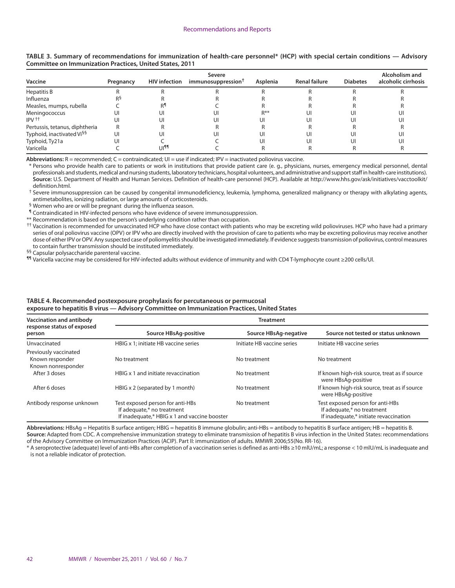| Vaccine                               | Pregnancy | <b>HIV</b> infection | Severe<br>immunosuppression <sup>T</sup> | Asplenia | <b>Renal failure</b> | <b>Diabetes</b> | Alcoholism and<br>alcoholic cirrhosis |
|---------------------------------------|-----------|----------------------|------------------------------------------|----------|----------------------|-----------------|---------------------------------------|
| Hepatitis B                           |           |                      |                                          |          |                      |                 |                                       |
| Influenza                             |           |                      |                                          |          |                      |                 |                                       |
| Measles, mumps, rubella               |           |                      |                                          |          |                      |                 |                                       |
| Meningococcus                         |           |                      | UI                                       | $R***$   | UI                   |                 | UI                                    |
| IPV <sup>++</sup>                     |           |                      | UI                                       | UI       |                      |                 | UI                                    |
| Pertussis, tetanus, diphtheria        |           |                      |                                          |          |                      |                 |                                       |
| Typhoid, inactivated Vi <sup>§§</sup> | UГ        | UI                   | UI                                       | UI       |                      |                 | UI                                    |
| Typhoid, Ty21a                        | UI        |                      |                                          | UI       | UI                   |                 | UI                                    |
| Varicella                             |           | Ul¶¶                 |                                          |          |                      |                 |                                       |

#### **TABLE 3. Summary of recommendations for immunization of health-care personnel\* (HCP) with special certain conditions — Advisory Committee on Immunization Practices, United States, 2011**

**Abbreviations:** R = recommended; C = contraindicated; UI = use if indicated; IPV = inactivated poliovirus vaccine.

\* Persons who provide health care to patients or work in institutions that provide patient care (e. g., physicians, nurses, emergency medical personnel, dental professionals and students, medical and nursing students, laboratory technicians, hospital volunteers, and administrative and support staff in health-care institutions). **Source:** U.S. Department of Health and Human Services. Definition of health-care personnel (HCP). Available at [http://www.hhs.gov/ask/initiatives/vacctoolkit/](http://www.hhs.gov/ask/initiatives/vacctoolkit/definition.html) [definition.html.](http://www.hhs.gov/ask/initiatives/vacctoolkit/definition.html)

<sup>†</sup> Severe immunosuppression can be caused by congenital immunodeficiency, leukemia, lymphoma, generalized malignancy or therapy with alkylating agents, antimetabolites, ionizing radiation, or large amounts of corticosteroids.

§ Women who are or will be pregnant during the influenza season.

¶ Contraindicated in HIV-infected persons who have evidence of severe immunosuppression.

\*\* Recommendation is based on the person's underlying condition rather than occupation.

†† Vaccination is recommended for unvaccinated HCP who have close contact with patients who may be excreting wild polioviruses. HCP who have had a primary series of oral poliovirus vaccine (OPV) or IPV who are directly involved with the provision of care to patients who may be excreting poliovirus may receive another dose of either IPV or OPV. Any suspected case of poliomyelitis should be investigated immediately. If evidence suggests transmission of poliovirus, control measures to contain further transmission should be instituted immediately.

§§ Capsular polysaccharide parenteral vaccine.

¶¶ Varicella vaccine may be considered for HIV-infected adults without evidence of immunity and with CD4 T-lymphocyte count ≥200 cells/Ul.

#### **TABLE 4. Recommended postexposure prophylaxis for percutaneous or permucosal exposure to hepatitis B virus — Advisory Committee on Immunization Practices, United States**

| Vaccination and antibody                                       | <b>Treatment</b>                                                                                               |                            |                                                                                                          |  |  |  |
|----------------------------------------------------------------|----------------------------------------------------------------------------------------------------------------|----------------------------|----------------------------------------------------------------------------------------------------------|--|--|--|
| response status of exposed<br>person                           | Source HBsAq-positive                                                                                          | Source HBsAq-negative      | Source not tested or status unknown                                                                      |  |  |  |
| Unvaccinated                                                   | HBIG x 1: initiate HB vaccine series                                                                           | Initiate HB vaccine series | Initiate HB vaccine series                                                                               |  |  |  |
| Previously vaccinated<br>Known responder<br>Known nonresponder | No treatment                                                                                                   | No treatment               | No treatment                                                                                             |  |  |  |
| After 3 doses                                                  | HBIG x 1 and initiate revaccination                                                                            | No treatment               | If known high-risk source, treat as if source<br>were HBsAq-positive                                     |  |  |  |
| After 6 doses                                                  | HBIG x 2 (separated by 1 month)                                                                                | No treatment               | If known high-risk source, treat as if source<br>were HBsAq-positive                                     |  |  |  |
| Antibody response unknown                                      | Test exposed person for anti-HBs<br>If adequate,* no treatment<br>If inadequate,* HBIG x 1 and vaccine booster | No treatment               | Test exposed person for anti-HBs<br>If adequate,* no treatment<br>If inadequate,* initiate revaccination |  |  |  |

**Abbreviations:** HBsAg = Hepatitis B surface antigen; HBIG = hepatitis B immune globulin; anti-HBs = antibody to hepatitis B surface antigen; HB = hepatitis B. **Source:** Adapted from CDC. A comprehensive immunization strategy to eliminate transmission of hepatitis B virus infection in the United States: recommendations of the Advisory Committee on Immunization Practices (ACIP). Part II: immunization of adults. MMWR 2006;55(No. RR-16).

\* A seroprotective (adequate) level of anti-HBs after completion of a vaccination series is defined as anti-HBs ≥10 mlU/mL; a response < 10 mlU/mL is inadequate and is not a reliable indicator of protection.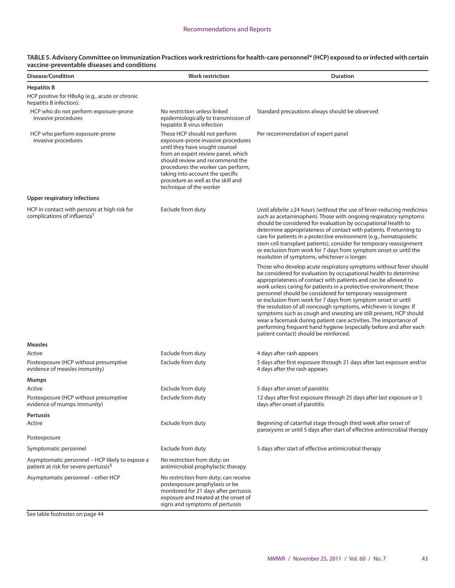#### **TABLE 5. Advisory Committee on Immunization Practices work restrictions for health-care personnel\* (HCP) exposed to or infected with certain vaccine-preventable diseases and conditions**

| Disease/Condition                                                                                    | <b>Work restriction</b>                                                                                                                                                                                                                                                                                                  | <b>Duration</b>                                                                                                                                                                                                                                                                                                                                                                                                                                                                                                                                                                                                                                                                                                                           |
|------------------------------------------------------------------------------------------------------|--------------------------------------------------------------------------------------------------------------------------------------------------------------------------------------------------------------------------------------------------------------------------------------------------------------------------|-------------------------------------------------------------------------------------------------------------------------------------------------------------------------------------------------------------------------------------------------------------------------------------------------------------------------------------------------------------------------------------------------------------------------------------------------------------------------------------------------------------------------------------------------------------------------------------------------------------------------------------------------------------------------------------------------------------------------------------------|
| <b>Hepatitis B</b>                                                                                   |                                                                                                                                                                                                                                                                                                                          |                                                                                                                                                                                                                                                                                                                                                                                                                                                                                                                                                                                                                                                                                                                                           |
| HCP positive for HBsAg (e.g., acute or chronic<br>hepatitis B infection):                            |                                                                                                                                                                                                                                                                                                                          |                                                                                                                                                                                                                                                                                                                                                                                                                                                                                                                                                                                                                                                                                                                                           |
| HCP who do not perform exposure-prone<br>invasive procedures                                         | No restriction unless linked<br>epidemiologically to transmission of<br>hepatitis B virus infection                                                                                                                                                                                                                      | Standard precautions always should be observed                                                                                                                                                                                                                                                                                                                                                                                                                                                                                                                                                                                                                                                                                            |
| HCP who perform exposure-prone<br>invasive procedures                                                | These HCP should not perform<br>exposure-prone invasive procedures<br>until they have sought counsel<br>from an expert review panel, which<br>should review and recommend the<br>procedures the worker can perform,<br>taking into account the specific<br>procedure as well as the skill and<br>technique of the worker | Per recommendation of expert panel                                                                                                                                                                                                                                                                                                                                                                                                                                                                                                                                                                                                                                                                                                        |
| Upper respiratory infections                                                                         |                                                                                                                                                                                                                                                                                                                          |                                                                                                                                                                                                                                                                                                                                                                                                                                                                                                                                                                                                                                                                                                                                           |
| HCP in contact with persons at high risk for<br>complications of influenza <sup>†</sup>              | Exclude from duty                                                                                                                                                                                                                                                                                                        | Until afebrile ≥24 hours (without the use of fever-reducing medicines<br>such as acetaminophen). Those with ongoing respiratory symptoms<br>should be considered for evaluation by occupational health to<br>determine appropriateness of contact with patients. If returning to<br>care for patients in a protective environment (e.g., hematopoietic<br>stem cell transplant patients), consider for temporary reassignment<br>or exclusion from work for 7 days from symptom onset or until the<br>resolution of symptoms, whichever is longer.                                                                                                                                                                                        |
|                                                                                                      |                                                                                                                                                                                                                                                                                                                          | Those who develop acute respiratory symptoms without fever should<br>be considered for evaluation by occupational health to determine<br>appropriateness of contact with patients and can be allowed to<br>work unless caring for patients in a protective environment; these<br>personnel should be considered for temporary reassignment<br>or exclusion from work for 7 days from symptom onset or until<br>the resolution of all noncough symptoms, whichever is longer. If<br>symptoms such as cough and sneezing are still present, HCP should<br>wear a facemask during patient care activities. The importance of<br>performing frequent hand hygiene (especially before and after each<br>patient contact) should be reinforced. |
| <b>Measles</b>                                                                                       |                                                                                                                                                                                                                                                                                                                          |                                                                                                                                                                                                                                                                                                                                                                                                                                                                                                                                                                                                                                                                                                                                           |
| Active                                                                                               | Exclude from duty                                                                                                                                                                                                                                                                                                        | 4 days after rash appears                                                                                                                                                                                                                                                                                                                                                                                                                                                                                                                                                                                                                                                                                                                 |
| Postexposure (HCP without presumptive<br>evidence of measles immunity)                               | Exclude from duty                                                                                                                                                                                                                                                                                                        | 5 days after first exposure through 21 days after last exposure and/or<br>4 days after the rash appears                                                                                                                                                                                                                                                                                                                                                                                                                                                                                                                                                                                                                                   |
| <b>Mumps</b>                                                                                         |                                                                                                                                                                                                                                                                                                                          |                                                                                                                                                                                                                                                                                                                                                                                                                                                                                                                                                                                                                                                                                                                                           |
| Active<br>Postexposure (HCP without presumptive<br>evidence of mumps immunity)                       | Exclude from duty<br>Exclude from duty                                                                                                                                                                                                                                                                                   | 5 days after onset of parotitis<br>12 days after first exposure through 25 days after last exposure or 5<br>days after onset of parotitis                                                                                                                                                                                                                                                                                                                                                                                                                                                                                                                                                                                                 |
| <b>Pertussis</b>                                                                                     |                                                                                                                                                                                                                                                                                                                          |                                                                                                                                                                                                                                                                                                                                                                                                                                                                                                                                                                                                                                                                                                                                           |
| Active                                                                                               | Exclude from duty                                                                                                                                                                                                                                                                                                        | Beginning of catarrhal stage through third week after onset of<br>paroxysms or until 5 days after start of effective antimicrobial therapy                                                                                                                                                                                                                                                                                                                                                                                                                                                                                                                                                                                                |
| Postexposure                                                                                         |                                                                                                                                                                                                                                                                                                                          |                                                                                                                                                                                                                                                                                                                                                                                                                                                                                                                                                                                                                                                                                                                                           |
| Symptomatic personnel                                                                                | Exclude from duty                                                                                                                                                                                                                                                                                                        | 5 days after start of effective antimicrobial therapy                                                                                                                                                                                                                                                                                                                                                                                                                                                                                                                                                                                                                                                                                     |
| Asymptomatic personnel - HCP likely to expose a<br>patient at risk for severe pertussis <sup>§</sup> | No restriction from duty; on<br>antimicrobial prophylactic therapy                                                                                                                                                                                                                                                       |                                                                                                                                                                                                                                                                                                                                                                                                                                                                                                                                                                                                                                                                                                                                           |
| Asymptomatic personnel - other HCP                                                                   | No restriction from duty; can receive<br>postexposure prophylaxis or be<br>monitored for 21 days after pertussis<br>exposure and treated at the onset of<br>signs and symptoms of pertussis                                                                                                                              |                                                                                                                                                                                                                                                                                                                                                                                                                                                                                                                                                                                                                                                                                                                                           |

See table footnotes on page 44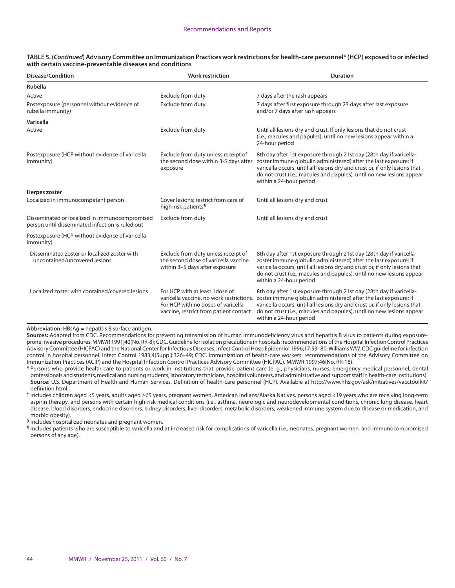| <b>Disease/Condition</b>                                                                           | <b>Work restriction</b>                                                                                         | <b>Duration</b>                                                                                                                                                                                                                                                                                                                                                    |
|----------------------------------------------------------------------------------------------------|-----------------------------------------------------------------------------------------------------------------|--------------------------------------------------------------------------------------------------------------------------------------------------------------------------------------------------------------------------------------------------------------------------------------------------------------------------------------------------------------------|
| Rubella                                                                                            |                                                                                                                 |                                                                                                                                                                                                                                                                                                                                                                    |
| Active                                                                                             | Exclude from duty                                                                                               | 7 days after the rash appears                                                                                                                                                                                                                                                                                                                                      |
| Postexposure (personnel without evidence of<br>rubella immunity)                                   | Exclude from duty                                                                                               | 7 days after first exposure through 23 days after last exposure<br>and/or 7 days after rash appears                                                                                                                                                                                                                                                                |
| Varicella                                                                                          |                                                                                                                 |                                                                                                                                                                                                                                                                                                                                                                    |
| Active                                                                                             | Exclude from duty                                                                                               | Until all lesions dry and crust. If only lesions that do not crust<br>(i.e., macules and papules), until no new lesions appear within a<br>24-hour period                                                                                                                                                                                                          |
| Postexposure (HCP without evidence of varicella<br>immunity)                                       | Exclude from duty unless receipt of<br>the second dose within 3-5 days after<br>exposure                        | 8th day after 1st exposure through 21st day (28th day if varicella-<br>zoster immune globulin administered) after the last exposure; if<br>varicella occurs, until all lesions dry and crust or, if only lesions that<br>do not crust (i.e., macules and papules), until no new lesions appear<br>within a 24-hour period                                          |
| Herpes zoster                                                                                      |                                                                                                                 |                                                                                                                                                                                                                                                                                                                                                                    |
| Localized in immunocompetent person                                                                | Cover lesions; restrict from care of<br>high-risk patients <sup>¶</sup>                                         | Until all lesions dry and crust                                                                                                                                                                                                                                                                                                                                    |
| Disseminated or localized in immunocompromised<br>person until disseminated infection is ruled out | Exclude from duty                                                                                               | Until all lesions dry and crust                                                                                                                                                                                                                                                                                                                                    |
| Postexposure (HCP without evidence of varicella<br>immunity)                                       |                                                                                                                 |                                                                                                                                                                                                                                                                                                                                                                    |
| Disseminated zoster or localized zoster with<br>uncontained/uncovered lesions                      | Exclude from duty unless receipt of<br>the second dose of varicella vaccine<br>within 3-5 days after exposure   | 8th day after 1st exposure through 21st day (28th day if varicella-<br>zoster immune globulin administered) after the last exposure; if<br>varicella occurs, until all lesions dry and crust or, if only lesions that<br>do not crust (i.e., macules and papules), until no new lesions appear<br>within a 24-hour period                                          |
| Localized zoster with contained/covered lesions                                                    | For HCP with at least 1 dose of<br>For HCP with no doses of varicella<br>vaccine, restrict from patient contact | 8th day after 1st exposure through 21st day (28th day if varicella-<br>varicella vaccine, no work restrictions. zoster immune globulin administered) after the last exposure; if<br>varicella occurs, until all lesions dry and crust or, if only lesions that<br>do not crust (i.e., macules and papules), until no new lesions appear<br>within a 24-hour period |

#### **TABLE 5. (***Continued***) Advisory Committee on Immunization Practices work restrictions for health-care personnel\* (HCP) exposed to or infected with certain vaccine-preventable diseases and conditions**

**Abbreviation:** HBsAg = hepatitis B surface antigen.

**Sources:** Adapted from CDC. Recommendations for preventing transmission of human immunodeficiency virus and hepatitis B virus to patients during exposureprone invasive procedures. MMWR 1991;40(No. RR-8); CDC. Guideline for isolation precautions in hospitals: recommendations of the Hospital Infection Control Practices Advisory Committee (HICPAC) and the National Center for Infectious Diseases. Infect Control Hosp Epidemiol 1996;17:53–80; Williams WW. CDC guideline for infection control in hospital personnel. Infect Control 1983;4(Suppl):326–49; CDC. Immunization of health-care workers: recommendations of the Advisory Committee on Immunization Practices (ACIP) and the Hospital Infection Control Practices Advisory Committee (HICPAC). MMWR 1997;46(No. RR-18).

\* Persons who provide health care to patients or work in institutions that provide patient care (e. g., physicians, nurses, emergency medical personnel, dental professionals and students, medical and nursing students, laboratory technicians, hospital volunteers, and administrative and support staff in health-care institutions). **Source:** U.S. Department of Health and Human Services. Definition of health-care personnel (HCP). Available at [http://www.hhs.gov/ask/initiatives/vacctoolkit/](http://www.hhs.gov/ask/initiatives/vacctoolkit/definition.html) [definition.html.](http://www.hhs.gov/ask/initiatives/vacctoolkit/definition.html)

† Includes children aged <5 years, adults aged ≥65 years, pregnant women, American Indians/Alaska Natives, persons aged <19 years who are receiving long-term aspirin therapy, and persons with certain high-risk medical conditions (i.e., asthma, neurologic and neurodevelopmental conditions, chronic lung disease, heart disease, blood disorders, endocrine disorders, kidney disorders, liver disorders, metabolic disorders, weakened immune system due to disease or medication, and morbid obesity).

§ Includes hospitalized neonates and pregnant women.

¶ Includes patients who are susceptible to varicella and at increased risk for complications of varicella (i.e., neonates, pregnant women, and immunocompromised persons of any age).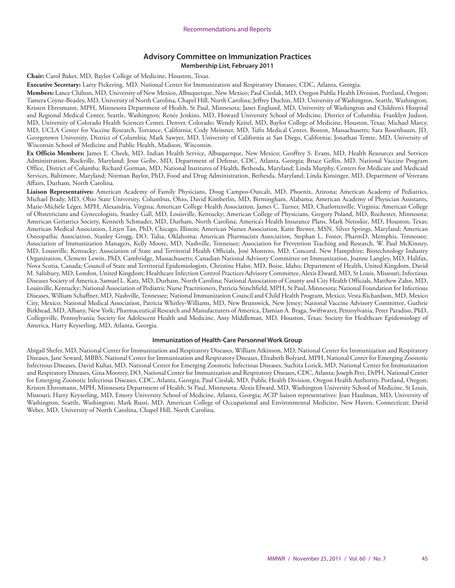#### **Advisory Committee on Immunization Practices Membership List, February 2011**

**Chair:** Carol Baker, MD, Baylor College of Medicine, Houston, Texas.

**Executive Secretary:** Larry Pickering, MD, National Center for Immunization and Respiratory Diseases, CDC, Atlanta, Georgia.

**Members:** Lance Chilton, MD, University of New Mexico, Albuquerque, New Mexico; Paul Cieslak, MD, Oregon Public Health Division, Portland, Oregon; Tamera Coyne-Beasley, MD, University of North Carolina, Chapel Hill, North Carolina; Jeffrey Duchin, MD, University of Washington, Seattle, Washington; Kristen Ehresmann, MPH, Minnesota Department of Health, St Paul, Minnesota; Janet Englund, MD, University of Washington and Children's Hospital and Regional Medical Center, Seattle, Washington; Renée Jenkins, MD, Howard University School of Medicine, District of Columbia; Franklyn Judson, MD, University of Colorado Health Sciences Center, Denver, Colorado; Wendy Keitel, MD, Baylor College of Medicine, Houston, Texas; Michael Marcy, MD, UCLA Center for Vaccine Research, Torrance, California; Cody Meissner, MD, Tufts Medical Center, Boston, Massachusetts; Sara Rosenbaum, JD, Georgetown University, District of Columbia; Mark Sawyer, MD, University of California at San Diego, California; Jonathan Temte, MD, University of Wisconsin School of Medicine and Public Health, Madison, Wisconsin.

**Ex Officio Members:** James E. Cheek, MD, Indian Health Service, Albuquerque, New Mexico; Geoffrey S. Evans, MD, Health Resources and Services Administration, Rockville, Maryland; Jesse Geibe, MD, Department of Defense, CDC, Atlanta, Georgia; Bruce Gellin, MD, National Vaccine Program Office, District of Columba; Richard Gorman, MD, National Institutes of Health, Bethesda, Maryland; Linda Murphy, Centers for Medicare and Medicaid Services, Baltimore, Maryland; Norman Baylor, PhD, Food and Drug Administration, Bethesda, Maryland; Linda Kinsinger, MD, Department of Veterans Affairs, Durham, North Carolina.

**Liaison Representatives:** American Academy of Family Physicians, Doug Campos-Outcalt, MD, Phoenix, Arizona; American Academy of Pediatrics, Michael Brady, MD, Ohio State University, Columbus, Ohio, David Kimberlin, MD, Birmingham, Alabama; American Academy of Physician Assistants, Marie-Michèle Léger, MPH, Alexandria, Virgina; American College Health Association, James C. Turner, MD, Charlottesville, Virginia; American College of Obstetricians and Gynecologists, Stanley Gall, MD, Louisville, Kentucky; American College of Physicians, Gregory Poland, MD, Rochester, Minnesota; American Geriatrics Society, Kenneth Schmader, MD, Durham, North Carolina; America's Health Insurance Plans, Mark Netoskie, MD, Houston, Texas; American Medical Association, Litjen Tan, PhD, Chicago, Illinois; American Nurses Association, Katie Brewer, MSN, Silver Springs, Maryland; American Osteopathic Association, Stanley Grogg, DO, Tulsa, Oklahoma; American Pharmacists Association, Stephan L. Foster, PharmD, Memphis, Tennessee; Association of Immunization Managers, Kelly Moore, MD, Nashville, Tennessee; Association for Prevention Teaching and Research, W. Paul McKinney, MD, Louisville, Kentucky; Association of State and Territorial Health Officials, José Montero, MD, Concord, New Hampshire; Biotechnology Industry Organization, Clement Lewin, PhD, Cambridge, Massachusetts; Canadian National Advisory Committee on Immunization, Joanne Langley, MD, Halifax, Nova Scotia, Canada; Council of State and Territorial Epidemiologists, Christine Hahn, MD, Boise, Idaho; Department of Health, United Kingdom, David M. Salisbury, MD, London, United Kingdom; Healthcare Infection Control Practices Advisory Committee, Alexis Elward, MD, St Louis, Missouri; Infectious Diseases Society of America, Samuel L. Katz, MD, Durham, North Carolina; National Association of County and City Health Officials, Matthew Zahn, MD, Louisville, Kentucky; National Association of Pediatric Nurse Practitioners, Patricia Stinchfield, MPH, St Paul, Minnesota; National Foundation for Infectious Diseases, William Schaffner, MD, Nashville, Tennessee; National Immunization Council and Child Health Program, Mexico, Vesta Richardson, MD, Mexico City, Mexico; National Medical Association, Patricia Whitley-Williams, MD, New Brunswick, New Jersey; National Vaccine Advisory Committee, Guthrie Birkhead, MD, Albany, New York; Pharmaceutical Research and Manufacturers of America, Damian A. Braga, Swiftwater, Pennsylvania, Peter Paradiso, PhD, Collegeville, Pennsylvania; Society for Adolescent Health and Medicine, Amy Middleman, MD, Houston, Texas; Society for Healthcare Epidemiology of America, Harry Keyserling, MD, Atlanta, Georgia.

#### **Immunization of Health-Care Personnel Work Group**

Abigail Shefer, MD, National Center for Immunization and Respiratory Diseases, William Atkinson, MD, National Center for Immunization and Respiratory Diseases, Jane Seward, MBBS, National Center for Immunization and Respiratory Diseases, Elizabeth Bolyard, MPH, National Center for Emerging Zoonotic Infectious Diseases, David Kuhar, MD, National Center for Emerging Zoonotic Infectious Diseases, Suchita Lorick, MD, National Center for Immunization and Respiratory Diseases, Gina Mootrey, DO, National Center for Immunization and Respiratory Diseases, CDC, Atlanta; Joseph Perz, DrPH, National Center for Emerging Zoonotic Infectious Diseases, CDC, Atlanta, Georgia; Paul Cieslak, MD, Public Health Division, Oregon Health Authority, Portland, Oregon; Kristen Ehresmann, MPH, Minnesota Department of Health, St Paul, Minnesota; Alexis Elward, MD, Washington University School of Medicine, St Louis, Missouri; Harry Keyserling, MD, Emory University School of Medicine, Atlanta, Georgia; ACIP liaison representatives: Jean Haulman, MD, University of Washington, Seattle, Washington; Mark Russi, MD, American College of Occupational and Environmental Medicine, New Haven, Connecticut; David Weber, MD, University of North Carolina, Chapel Hill, North Carolina.